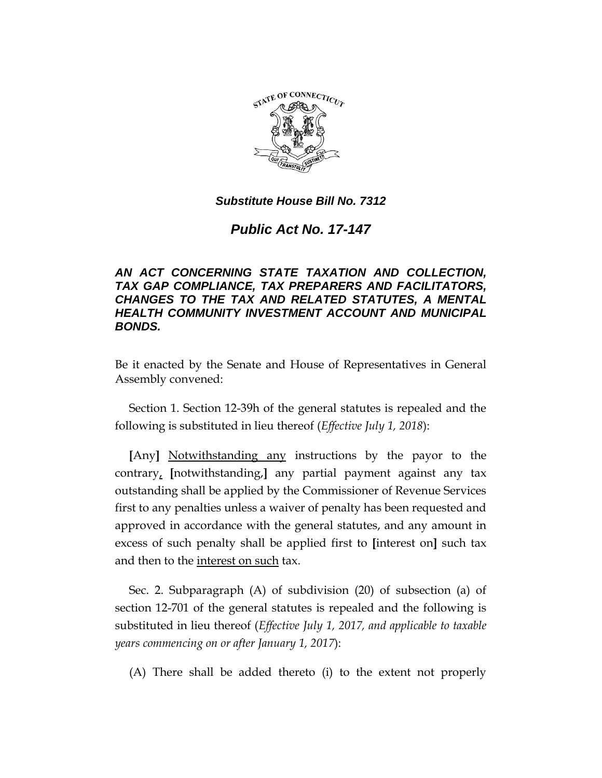

*Public Act No. 17-147*

# *AN ACT CONCERNING STATE TAXATION AND COLLECTION, TAX GAP COMPLIANCE, TAX PREPARERS AND FACILITATORS, CHANGES TO THE TAX AND RELATED STATUTES, A MENTAL HEALTH COMMUNITY INVESTMENT ACCOUNT AND MUNICIPAL BONDS.*

Be it enacted by the Senate and House of Representatives in General Assembly convened:

Section 1. Section 12-39h of the general statutes is repealed and the following is substituted in lieu thereof (*Effective July 1, 2018*):

**[**Any**]** Notwithstanding any instructions by the payor to the contrary, **[**notwithstanding,**]** any partial payment against any tax outstanding shall be applied by the Commissioner of Revenue Services first to any penalties unless a waiver of penalty has been requested and approved in accordance with the general statutes, and any amount in excess of such penalty shall be applied first to **[**interest on**]** such tax and then to the interest on such tax.

Sec. 2. Subparagraph (A) of subdivision (20) of subsection (a) of section 12-701 of the general statutes is repealed and the following is substituted in lieu thereof (*Effective July 1, 2017, and applicable to taxable years commencing on or after January 1, 2017*):

(A) There shall be added thereto (i) to the extent not properly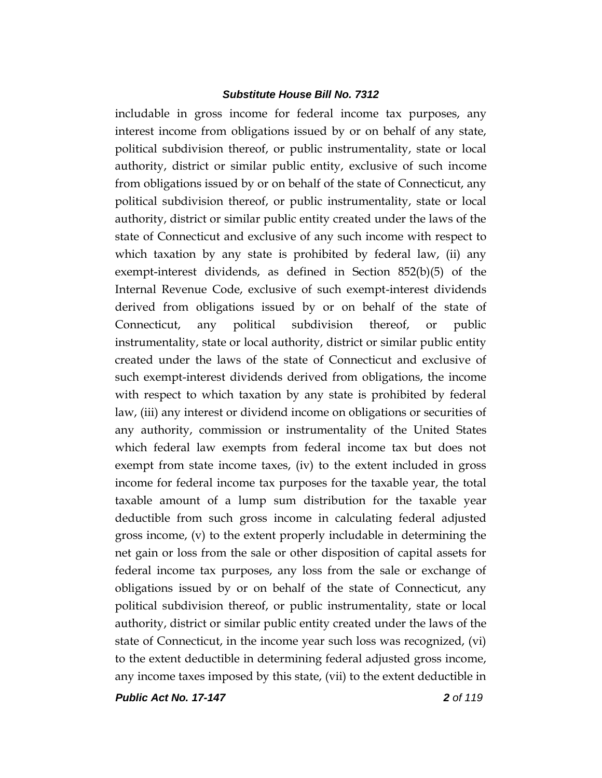includable in gross income for federal income tax purposes, any interest income from obligations issued by or on behalf of any state, political subdivision thereof, or public instrumentality, state or local authority, district or similar public entity, exclusive of such income from obligations issued by or on behalf of the state of Connecticut, any political subdivision thereof, or public instrumentality, state or local authority, district or similar public entity created under the laws of the state of Connecticut and exclusive of any such income with respect to which taxation by any state is prohibited by federal law, (ii) any exempt-interest dividends, as defined in Section 852(b)(5) of the Internal Revenue Code, exclusive of such exempt-interest dividends derived from obligations issued by or on behalf of the state of Connecticut, any political subdivision thereof, or public instrumentality, state or local authority, district or similar public entity created under the laws of the state of Connecticut and exclusive of such exempt-interest dividends derived from obligations, the income with respect to which taxation by any state is prohibited by federal law, (iii) any interest or dividend income on obligations or securities of any authority, commission or instrumentality of the United States which federal law exempts from federal income tax but does not exempt from state income taxes, (iv) to the extent included in gross income for federal income tax purposes for the taxable year, the total taxable amount of a lump sum distribution for the taxable year deductible from such gross income in calculating federal adjusted gross income, (v) to the extent properly includable in determining the net gain or loss from the sale or other disposition of capital assets for federal income tax purposes, any loss from the sale or exchange of obligations issued by or on behalf of the state of Connecticut, any political subdivision thereof, or public instrumentality, state or local authority, district or similar public entity created under the laws of the state of Connecticut, in the income year such loss was recognized, (vi) to the extent deductible in determining federal adjusted gross income, any income taxes imposed by this state, (vii) to the extent deductible in

*Public Act No. 17-147 2 of 119*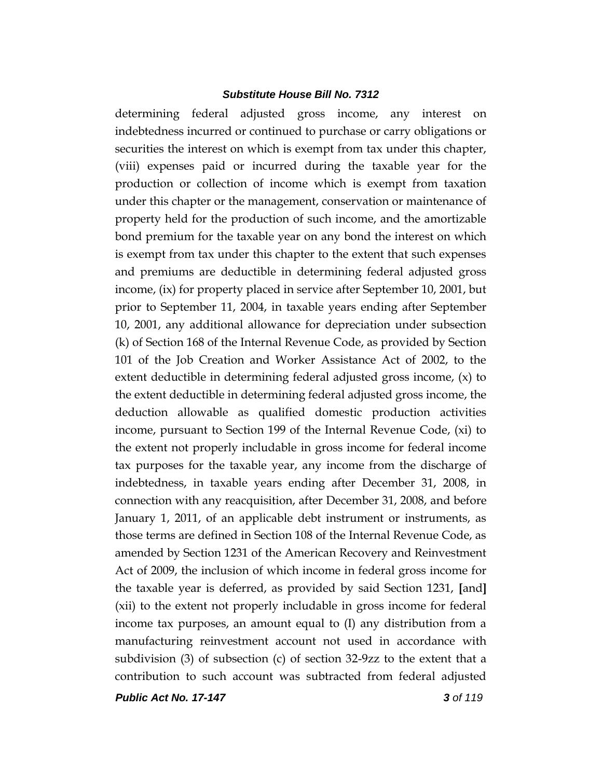determining federal adjusted gross income, any interest on indebtedness incurred or continued to purchase or carry obligations or securities the interest on which is exempt from tax under this chapter, (viii) expenses paid or incurred during the taxable year for the production or collection of income which is exempt from taxation under this chapter or the management, conservation or maintenance of property held for the production of such income, and the amortizable bond premium for the taxable year on any bond the interest on which is exempt from tax under this chapter to the extent that such expenses and premiums are deductible in determining federal adjusted gross income, (ix) for property placed in service after September 10, 2001, but prior to September 11, 2004, in taxable years ending after September 10, 2001, any additional allowance for depreciation under subsection (k) of Section 168 of the Internal Revenue Code, as provided by Section 101 of the Job Creation and Worker Assistance Act of 2002, to the extent deductible in determining federal adjusted gross income, (x) to the extent deductible in determining federal adjusted gross income, the deduction allowable as qualified domestic production activities income, pursuant to Section 199 of the Internal Revenue Code, (xi) to the extent not properly includable in gross income for federal income tax purposes for the taxable year, any income from the discharge of indebtedness, in taxable years ending after December 31, 2008, in connection with any reacquisition, after December 31, 2008, and before January 1, 2011, of an applicable debt instrument or instruments, as those terms are defined in Section 108 of the Internal Revenue Code, as amended by Section 1231 of the American Recovery and Reinvestment Act of 2009, the inclusion of which income in federal gross income for the taxable year is deferred, as provided by said Section 1231, **[**and**]** (xii) to the extent not properly includable in gross income for federal income tax purposes, an amount equal to (I) any distribution from a manufacturing reinvestment account not used in accordance with subdivision (3) of subsection (c) of section 32-9zz to the extent that a contribution to such account was subtracted from federal adjusted

*Public Act No. 17-147 3 of 119*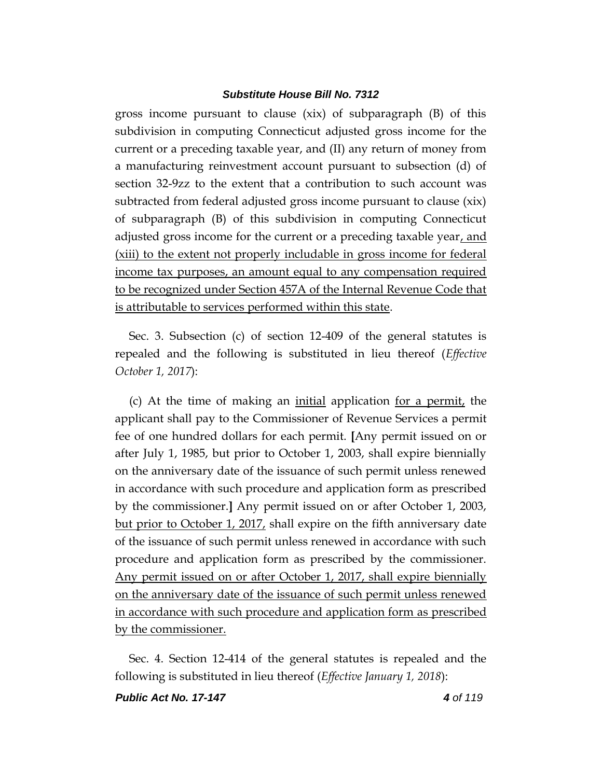gross income pursuant to clause (xix) of subparagraph (B) of this subdivision in computing Connecticut adjusted gross income for the current or a preceding taxable year, and (II) any return of money from a manufacturing reinvestment account pursuant to subsection (d) of section 32-9zz to the extent that a contribution to such account was subtracted from federal adjusted gross income pursuant to clause (xix) of subparagraph (B) of this subdivision in computing Connecticut adjusted gross income for the current or a preceding taxable year, and (xiii) to the extent not properly includable in gross income for federal income tax purposes, an amount equal to any compensation required to be recognized under Section 457A of the Internal Revenue Code that is attributable to services performed within this state.

Sec. 3. Subsection (c) of section 12-409 of the general statutes is repealed and the following is substituted in lieu thereof (*Effective October 1, 2017*):

(c) At the time of making an initial application for a permit, the applicant shall pay to the Commissioner of Revenue Services a permit fee of one hundred dollars for each permit. **[**Any permit issued on or after July 1, 1985, but prior to October 1, 2003, shall expire biennially on the anniversary date of the issuance of such permit unless renewed in accordance with such procedure and application form as prescribed by the commissioner.**]** Any permit issued on or after October 1, 2003, but prior to October 1, 2017, shall expire on the fifth anniversary date of the issuance of such permit unless renewed in accordance with such procedure and application form as prescribed by the commissioner. Any permit issued on or after October 1, 2017, shall expire biennially on the anniversary date of the issuance of such permit unless renewed in accordance with such procedure and application form as prescribed by the commissioner.

Sec. 4. Section 12-414 of the general statutes is repealed and the following is substituted in lieu thereof (*Effective January 1, 2018*):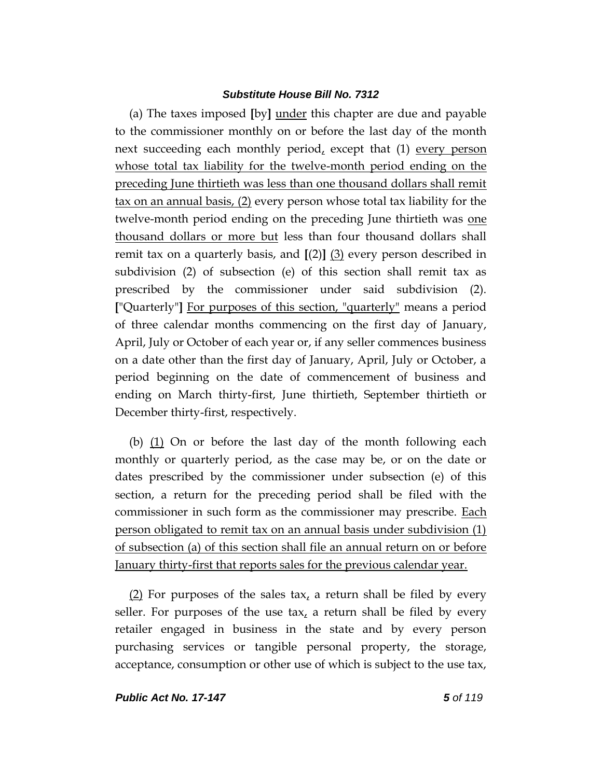(a) The taxes imposed **[**by**]** under this chapter are due and payable to the commissioner monthly on or before the last day of the month next succeeding each monthly period, except that  $(1)$  every person whose total tax liability for the twelve-month period ending on the preceding June thirtieth was less than one thousand dollars shall remit tax on an annual basis, (2) every person whose total tax liability for the twelve-month period ending on the preceding June thirtieth was one thousand dollars or more but less than four thousand dollars shall remit tax on a quarterly basis, and **[**(2)**]** (3) every person described in subdivision (2) of subsection (e) of this section shall remit tax as prescribed by the commissioner under said subdivision (2). **[**"Quarterly"**]** For purposes of this section, "quarterly" means a period of three calendar months commencing on the first day of January, April, July or October of each year or, if any seller commences business on a date other than the first day of January, April, July or October, a period beginning on the date of commencement of business and ending on March thirty-first, June thirtieth, September thirtieth or December thirty-first, respectively.

(b)  $(1)$  On or before the last day of the month following each monthly or quarterly period, as the case may be, or on the date or dates prescribed by the commissioner under subsection (e) of this section, a return for the preceding period shall be filed with the commissioner in such form as the commissioner may prescribe. Each person obligated to remit tax on an annual basis under subdivision (1) of subsection (a) of this section shall file an annual return on or before January thirty-first that reports sales for the previous calendar year.

(2) For purposes of the sales tax, a return shall be filed by every seller. For purposes of the use tax, a return shall be filed by every retailer engaged in business in the state and by every person purchasing services or tangible personal property, the storage, acceptance, consumption or other use of which is subject to the use tax,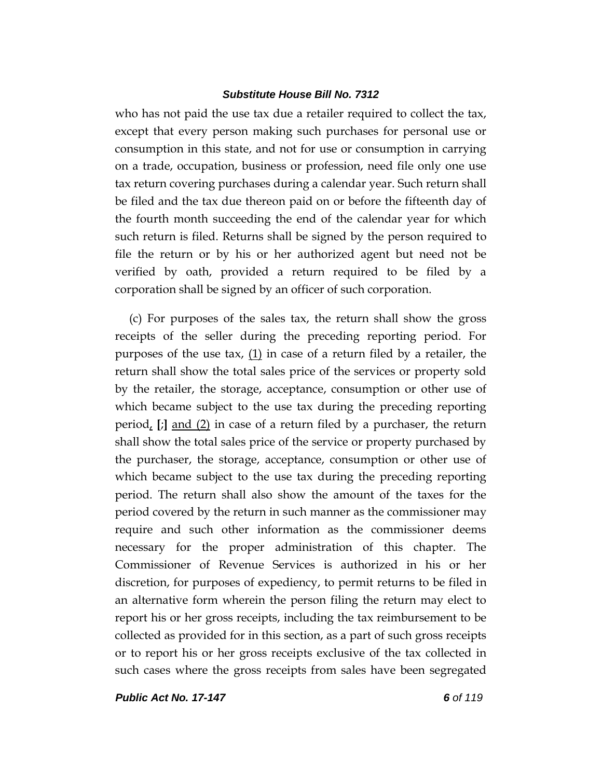who has not paid the use tax due a retailer required to collect the tax, except that every person making such purchases for personal use or consumption in this state, and not for use or consumption in carrying on a trade, occupation, business or profession, need file only one use tax return covering purchases during a calendar year. Such return shall be filed and the tax due thereon paid on or before the fifteenth day of the fourth month succeeding the end of the calendar year for which such return is filed. Returns shall be signed by the person required to file the return or by his or her authorized agent but need not be verified by oath, provided a return required to be filed by a corporation shall be signed by an officer of such corporation.

(c) For purposes of the sales tax, the return shall show the gross receipts of the seller during the preceding reporting period. For purposes of the use tax,  $(1)$  in case of a return filed by a retailer, the return shall show the total sales price of the services or property sold by the retailer, the storage, acceptance, consumption or other use of which became subject to the use tax during the preceding reporting period, **[**;**]** and (2) in case of a return filed by a purchaser, the return shall show the total sales price of the service or property purchased by the purchaser, the storage, acceptance, consumption or other use of which became subject to the use tax during the preceding reporting period. The return shall also show the amount of the taxes for the period covered by the return in such manner as the commissioner may require and such other information as the commissioner deems necessary for the proper administration of this chapter. The Commissioner of Revenue Services is authorized in his or her discretion, for purposes of expediency, to permit returns to be filed in an alternative form wherein the person filing the return may elect to report his or her gross receipts, including the tax reimbursement to be collected as provided for in this section, as a part of such gross receipts or to report his or her gross receipts exclusive of the tax collected in such cases where the gross receipts from sales have been segregated

*Public Act No. 17-147 6 of 119*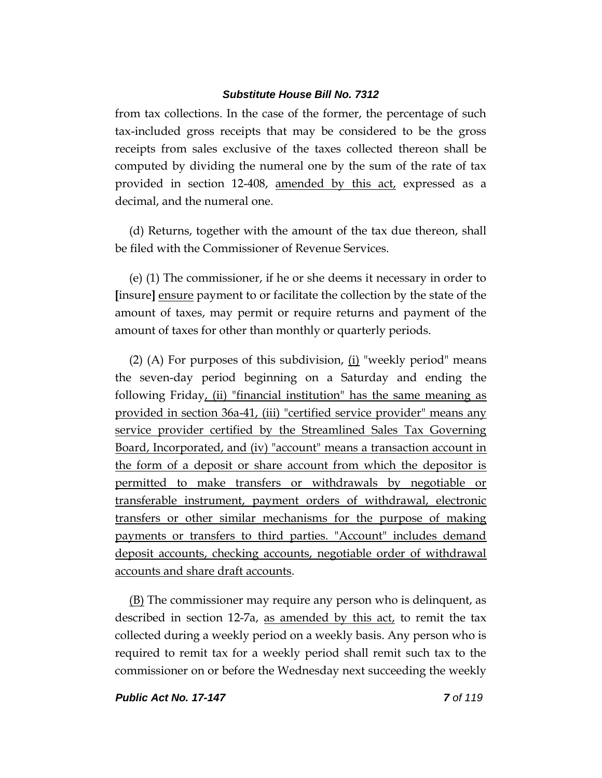from tax collections. In the case of the former, the percentage of such tax-included gross receipts that may be considered to be the gross receipts from sales exclusive of the taxes collected thereon shall be computed by dividing the numeral one by the sum of the rate of tax provided in section 12-408, amended by this act, expressed as a decimal, and the numeral one.

(d) Returns, together with the amount of the tax due thereon, shall be filed with the Commissioner of Revenue Services.

(e) (1) The commissioner, if he or she deems it necessary in order to **[**insure**]** ensure payment to or facilitate the collection by the state of the amount of taxes, may permit or require returns and payment of the amount of taxes for other than monthly or quarterly periods.

(2) (A) For purposes of this subdivision,  $(i)$  "weekly period" means the seven-day period beginning on a Saturday and ending the following Friday, (ii) "financial institution" has the same meaning as provided in section 36a-41, (iii) "certified service provider" means any service provider certified by the Streamlined Sales Tax Governing Board, Incorporated, and (iv) "account" means a transaction account in the form of a deposit or share account from which the depositor is permitted to make transfers or withdrawals by negotiable or transferable instrument, payment orders of withdrawal, electronic transfers or other similar mechanisms for the purpose of making payments or transfers to third parties. "Account" includes demand deposit accounts, checking accounts, negotiable order of withdrawal accounts and share draft accounts.

(B) The commissioner may require any person who is delinquent, as described in section 12-7a, as amended by this act, to remit the tax collected during a weekly period on a weekly basis. Any person who is required to remit tax for a weekly period shall remit such tax to the commissioner on or before the Wednesday next succeeding the weekly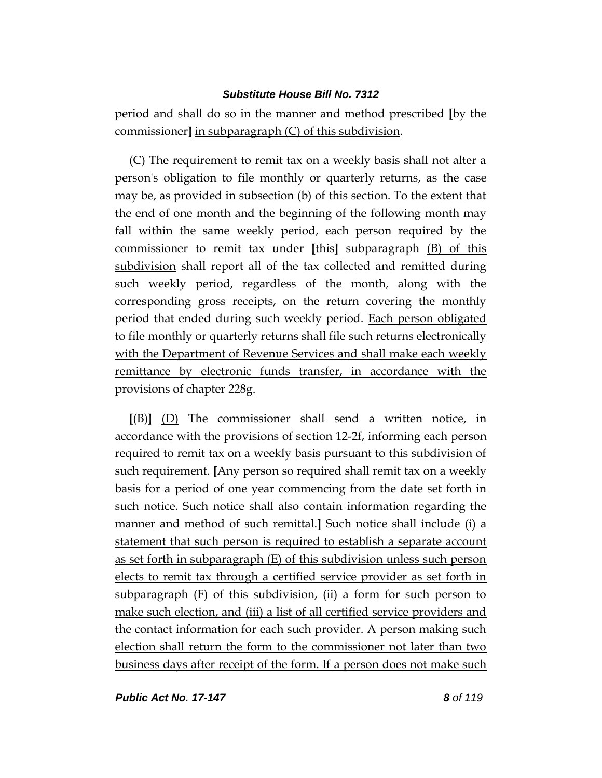period and shall do so in the manner and method prescribed **[**by the commissioner**]** in subparagraph (C) of this subdivision.

(C) The requirement to remit tax on a weekly basis shall not alter a person's obligation to file monthly or quarterly returns, as the case may be, as provided in subsection (b) of this section. To the extent that the end of one month and the beginning of the following month may fall within the same weekly period, each person required by the commissioner to remit tax under **[**this**]** subparagraph (B) of this subdivision shall report all of the tax collected and remitted during such weekly period, regardless of the month, along with the corresponding gross receipts, on the return covering the monthly period that ended during such weekly period. Each person obligated to file monthly or quarterly returns shall file such returns electronically with the Department of Revenue Services and shall make each weekly remittance by electronic funds transfer, in accordance with the provisions of chapter 228g.

**[**(B)**]** (D) The commissioner shall send a written notice, in accordance with the provisions of section 12-2f, informing each person required to remit tax on a weekly basis pursuant to this subdivision of such requirement. **[**Any person so required shall remit tax on a weekly basis for a period of one year commencing from the date set forth in such notice. Such notice shall also contain information regarding the manner and method of such remittal.**]** Such notice shall include (i) a statement that such person is required to establish a separate account as set forth in subparagraph (E) of this subdivision unless such person elects to remit tax through a certified service provider as set forth in subparagraph (F) of this subdivision, (ii) a form for such person to make such election, and (iii) a list of all certified service providers and the contact information for each such provider. A person making such election shall return the form to the commissioner not later than two business days after receipt of the form. If a person does not make such

*Public Act No. 17-147 8 of 119*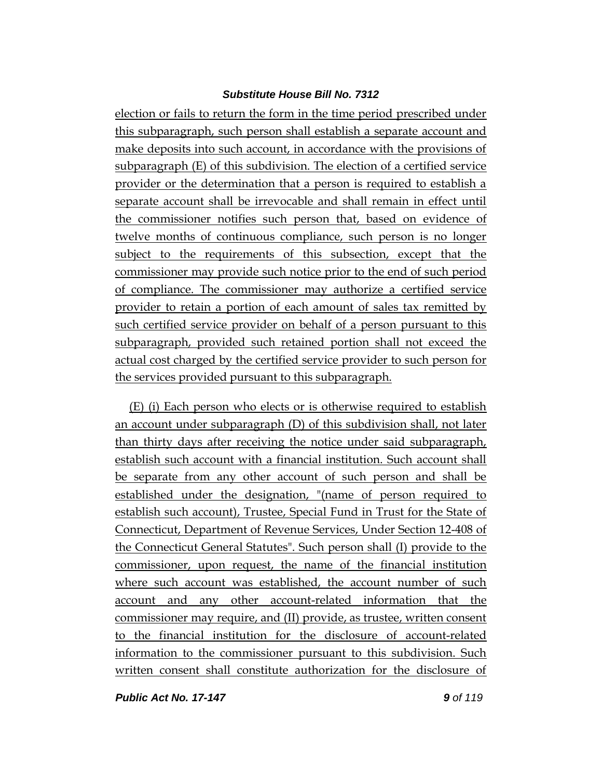election or fails to return the form in the time period prescribed under this subparagraph, such person shall establish a separate account and make deposits into such account, in accordance with the provisions of subparagraph (E) of this subdivision. The election of a certified service provider or the determination that a person is required to establish a separate account shall be irrevocable and shall remain in effect until the commissioner notifies such person that, based on evidence of twelve months of continuous compliance, such person is no longer subject to the requirements of this subsection, except that the commissioner may provide such notice prior to the end of such period of compliance. The commissioner may authorize a certified service provider to retain a portion of each amount of sales tax remitted by such certified service provider on behalf of a person pursuant to this subparagraph, provided such retained portion shall not exceed the actual cost charged by the certified service provider to such person for the services provided pursuant to this subparagraph.

(E) (i) Each person who elects or is otherwise required to establish an account under subparagraph (D) of this subdivision shall, not later than thirty days after receiving the notice under said subparagraph, establish such account with a financial institution. Such account shall be separate from any other account of such person and shall be established under the designation, "(name of person required to establish such account), Trustee, Special Fund in Trust for the State of Connecticut, Department of Revenue Services, Under Section 12-408 of the Connecticut General Statutes". Such person shall (I) provide to the commissioner, upon request, the name of the financial institution where such account was established, the account number of such account and any other account-related information that the commissioner may require, and (II) provide, as trustee, written consent to the financial institution for the disclosure of account-related information to the commissioner pursuant to this subdivision. Such written consent shall constitute authorization for the disclosure of

*Public Act No. 17-147 9 of 119*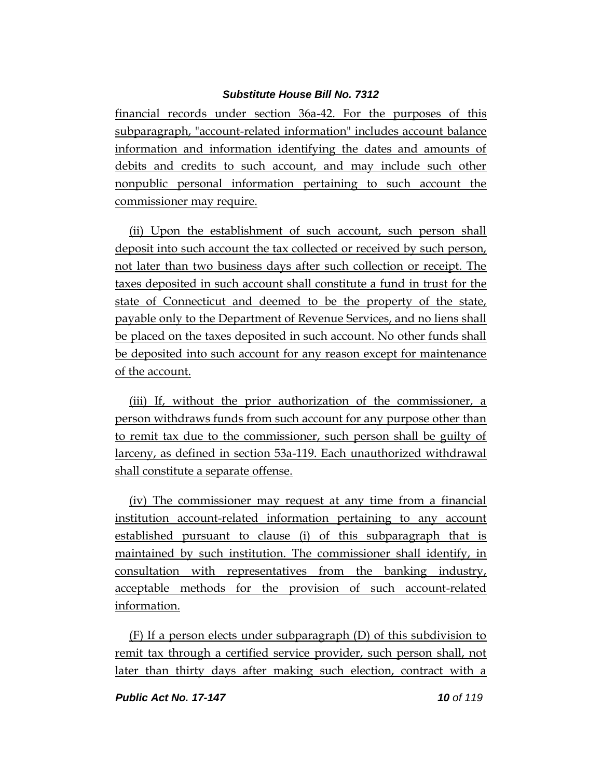financial records under section 36a-42. For the purposes of this subparagraph, "account-related information" includes account balance information and information identifying the dates and amounts of debits and credits to such account, and may include such other nonpublic personal information pertaining to such account the commissioner may require.

(ii) Upon the establishment of such account, such person shall deposit into such account the tax collected or received by such person, not later than two business days after such collection or receipt. The taxes deposited in such account shall constitute a fund in trust for the state of Connecticut and deemed to be the property of the state, payable only to the Department of Revenue Services, and no liens shall be placed on the taxes deposited in such account. No other funds shall be deposited into such account for any reason except for maintenance of the account.

(iii) If, without the prior authorization of the commissioner, a person withdraws funds from such account for any purpose other than to remit tax due to the commissioner, such person shall be guilty of larceny, as defined in section 53a-119. Each unauthorized withdrawal shall constitute a separate offense.

(iv) The commissioner may request at any time from a financial institution account-related information pertaining to any account established pursuant to clause (i) of this subparagraph that is maintained by such institution. The commissioner shall identify, in consultation with representatives from the banking industry, acceptable methods for the provision of such account-related information.

(F) If a person elects under subparagraph (D) of this subdivision to remit tax through a certified service provider, such person shall, not later than thirty days after making such election, contract with a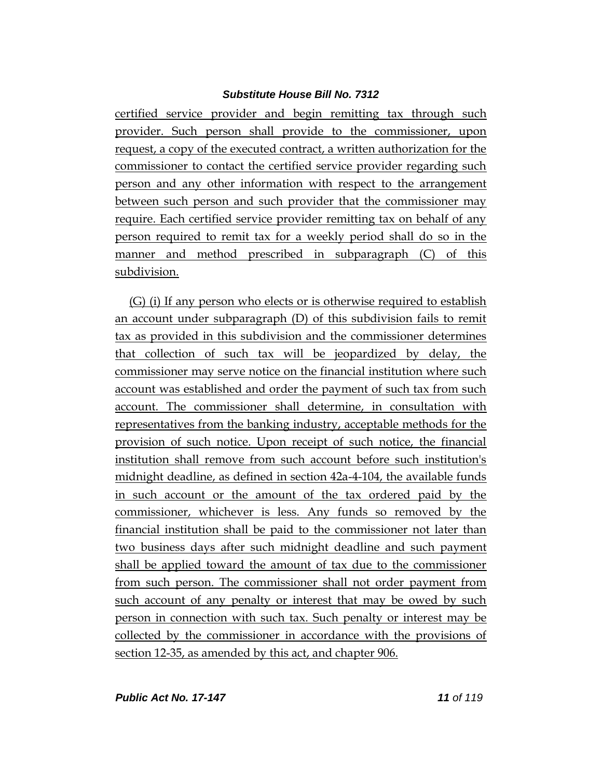certified service provider and begin remitting tax through such provider. Such person shall provide to the commissioner, upon request, a copy of the executed contract, a written authorization for the commissioner to contact the certified service provider regarding such person and any other information with respect to the arrangement between such person and such provider that the commissioner may require. Each certified service provider remitting tax on behalf of any person required to remit tax for a weekly period shall do so in the manner and method prescribed in subparagraph (C) of this subdivision.

(G) (i) If any person who elects or is otherwise required to establish an account under subparagraph (D) of this subdivision fails to remit tax as provided in this subdivision and the commissioner determines that collection of such tax will be jeopardized by delay, the commissioner may serve notice on the financial institution where such account was established and order the payment of such tax from such account. The commissioner shall determine, in consultation with representatives from the banking industry, acceptable methods for the provision of such notice. Upon receipt of such notice, the financial institution shall remove from such account before such institution's midnight deadline, as defined in section 42a-4-104, the available funds in such account or the amount of the tax ordered paid by the commissioner, whichever is less. Any funds so removed by the financial institution shall be paid to the commissioner not later than two business days after such midnight deadline and such payment shall be applied toward the amount of tax due to the commissioner from such person. The commissioner shall not order payment from such account of any penalty or interest that may be owed by such person in connection with such tax. Such penalty or interest may be collected by the commissioner in accordance with the provisions of section 12-35, as amended by this act, and chapter 906.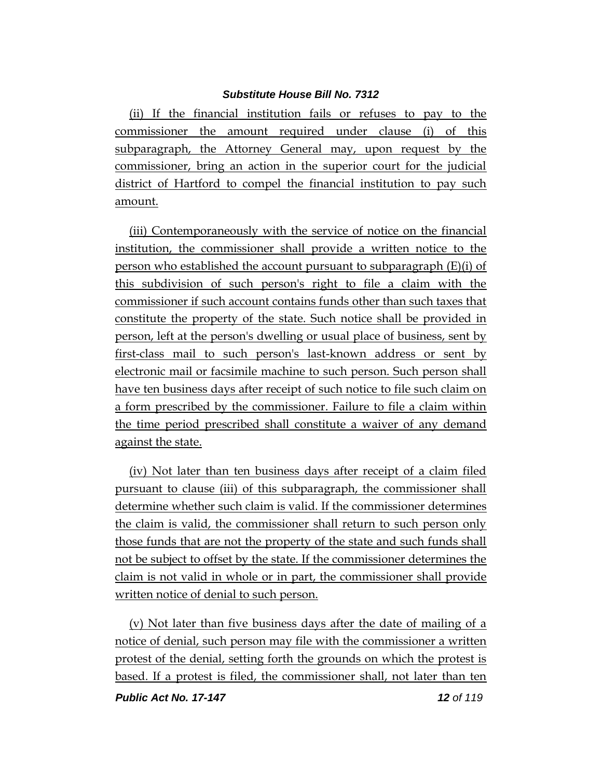(ii) If the financial institution fails or refuses to pay to the commissioner the amount required under clause (i) of this subparagraph, the Attorney General may, upon request by the commissioner, bring an action in the superior court for the judicial district of Hartford to compel the financial institution to pay such amount.

(iii) Contemporaneously with the service of notice on the financial institution, the commissioner shall provide a written notice to the person who established the account pursuant to subparagraph (E)(i) of this subdivision of such person's right to file a claim with the commissioner if such account contains funds other than such taxes that constitute the property of the state. Such notice shall be provided in person, left at the person's dwelling or usual place of business, sent by first-class mail to such person's last-known address or sent by electronic mail or facsimile machine to such person. Such person shall have ten business days after receipt of such notice to file such claim on a form prescribed by the commissioner. Failure to file a claim within the time period prescribed shall constitute a waiver of any demand against the state.

(iv) Not later than ten business days after receipt of a claim filed pursuant to clause (iii) of this subparagraph, the commissioner shall determine whether such claim is valid. If the commissioner determines the claim is valid, the commissioner shall return to such person only those funds that are not the property of the state and such funds shall not be subject to offset by the state. If the commissioner determines the claim is not valid in whole or in part, the commissioner shall provide written notice of denial to such person.

(v) Not later than five business days after the date of mailing of a notice of denial, such person may file with the commissioner a written protest of the denial, setting forth the grounds on which the protest is based. If a protest is filed, the commissioner shall, not later than ten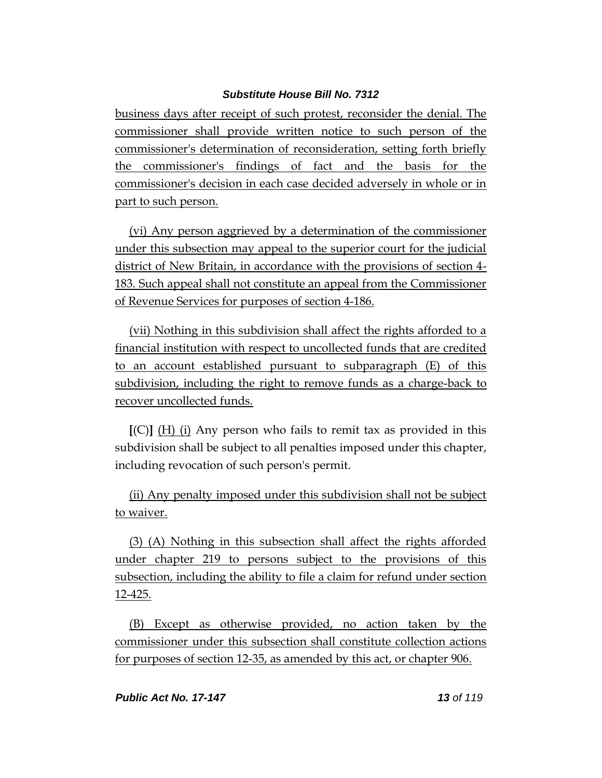business days after receipt of such protest, reconsider the denial. The commissioner shall provide written notice to such person of the commissioner's determination of reconsideration, setting forth briefly the commissioner's findings of fact and the basis for the commissioner's decision in each case decided adversely in whole or in part to such person.

(vi) Any person aggrieved by a determination of the commissioner under this subsection may appeal to the superior court for the judicial district of New Britain, in accordance with the provisions of section 4- 183. Such appeal shall not constitute an appeal from the Commissioner of Revenue Services for purposes of section 4-186.

(vii) Nothing in this subdivision shall affect the rights afforded to a financial institution with respect to uncollected funds that are credited to an account established pursuant to subparagraph (E) of this subdivision, including the right to remove funds as a charge-back to recover uncollected funds.

**[**(C)**]** (H) (i) Any person who fails to remit tax as provided in this subdivision shall be subject to all penalties imposed under this chapter, including revocation of such person's permit.

(ii) Any penalty imposed under this subdivision shall not be subject to waiver.

(3) (A) Nothing in this subsection shall affect the rights afforded under chapter 219 to persons subject to the provisions of this subsection, including the ability to file a claim for refund under section 12-425.

(B) Except as otherwise provided, no action taken by the commissioner under this subsection shall constitute collection actions for purposes of section 12-35, as amended by this act, or chapter 906.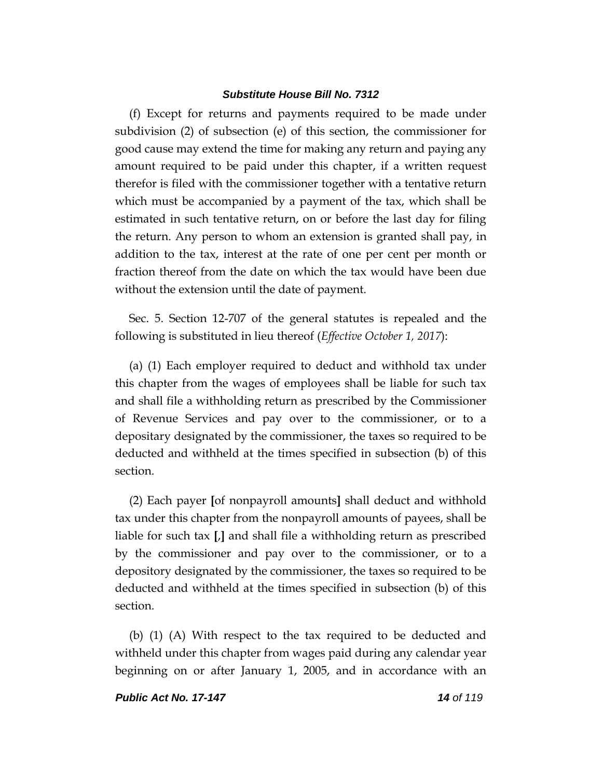(f) Except for returns and payments required to be made under subdivision (2) of subsection (e) of this section, the commissioner for good cause may extend the time for making any return and paying any amount required to be paid under this chapter, if a written request therefor is filed with the commissioner together with a tentative return which must be accompanied by a payment of the tax, which shall be estimated in such tentative return, on or before the last day for filing the return. Any person to whom an extension is granted shall pay, in addition to the tax, interest at the rate of one per cent per month or fraction thereof from the date on which the tax would have been due without the extension until the date of payment.

Sec. 5. Section 12-707 of the general statutes is repealed and the following is substituted in lieu thereof (*Effective October 1, 2017*):

(a) (1) Each employer required to deduct and withhold tax under this chapter from the wages of employees shall be liable for such tax and shall file a withholding return as prescribed by the Commissioner of Revenue Services and pay over to the commissioner, or to a depositary designated by the commissioner, the taxes so required to be deducted and withheld at the times specified in subsection (b) of this section.

(2) Each payer **[**of nonpayroll amounts**]** shall deduct and withhold tax under this chapter from the nonpayroll amounts of payees, shall be liable for such tax **[**,**]** and shall file a withholding return as prescribed by the commissioner and pay over to the commissioner, or to a depository designated by the commissioner, the taxes so required to be deducted and withheld at the times specified in subsection (b) of this section.

(b) (1) (A) With respect to the tax required to be deducted and withheld under this chapter from wages paid during any calendar year beginning on or after January 1, 2005, and in accordance with an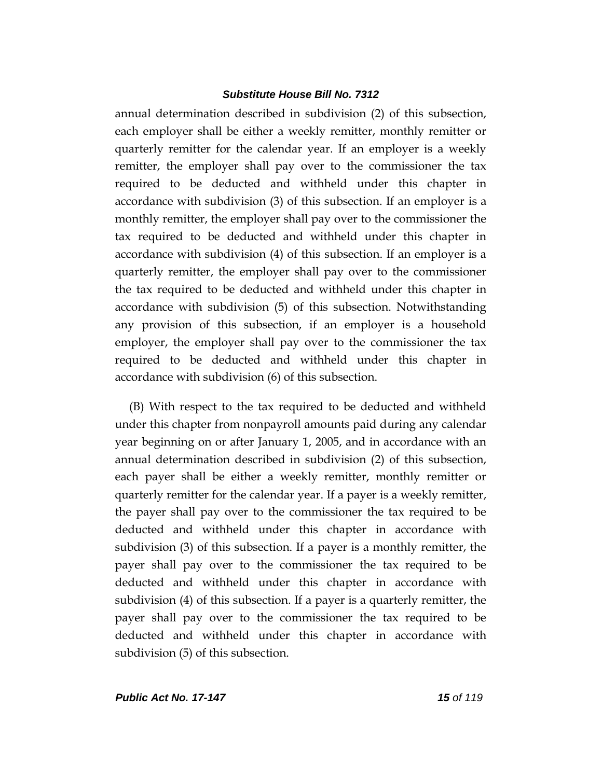annual determination described in subdivision (2) of this subsection, each employer shall be either a weekly remitter, monthly remitter or quarterly remitter for the calendar year. If an employer is a weekly remitter, the employer shall pay over to the commissioner the tax required to be deducted and withheld under this chapter in accordance with subdivision (3) of this subsection. If an employer is a monthly remitter, the employer shall pay over to the commissioner the tax required to be deducted and withheld under this chapter in accordance with subdivision (4) of this subsection. If an employer is a quarterly remitter, the employer shall pay over to the commissioner the tax required to be deducted and withheld under this chapter in accordance with subdivision (5) of this subsection. Notwithstanding any provision of this subsection, if an employer is a household employer, the employer shall pay over to the commissioner the tax required to be deducted and withheld under this chapter in accordance with subdivision (6) of this subsection.

(B) With respect to the tax required to be deducted and withheld under this chapter from nonpayroll amounts paid during any calendar year beginning on or after January 1, 2005, and in accordance with an annual determination described in subdivision (2) of this subsection, each payer shall be either a weekly remitter, monthly remitter or quarterly remitter for the calendar year. If a payer is a weekly remitter, the payer shall pay over to the commissioner the tax required to be deducted and withheld under this chapter in accordance with subdivision (3) of this subsection. If a payer is a monthly remitter, the payer shall pay over to the commissioner the tax required to be deducted and withheld under this chapter in accordance with subdivision (4) of this subsection. If a payer is a quarterly remitter, the payer shall pay over to the commissioner the tax required to be deducted and withheld under this chapter in accordance with subdivision (5) of this subsection.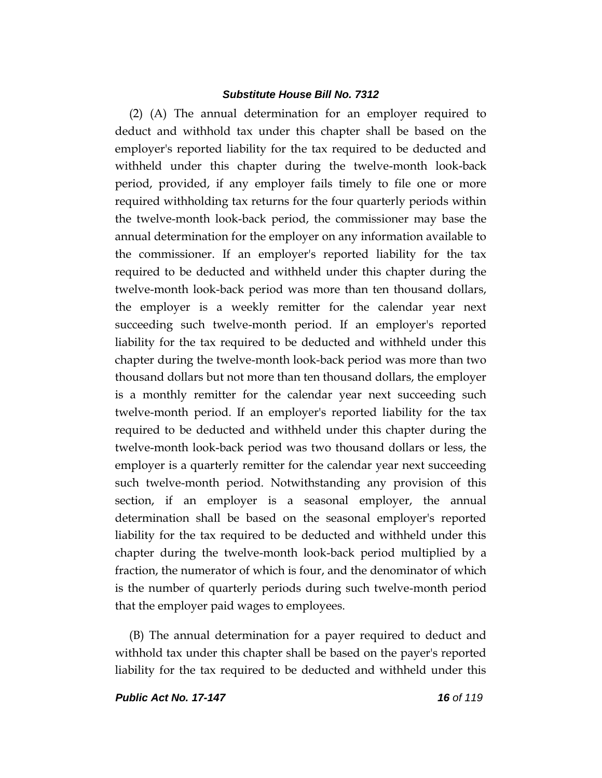(2) (A) The annual determination for an employer required to deduct and withhold tax under this chapter shall be based on the employer's reported liability for the tax required to be deducted and withheld under this chapter during the twelve-month look-back period, provided, if any employer fails timely to file one or more required withholding tax returns for the four quarterly periods within the twelve-month look-back period, the commissioner may base the annual determination for the employer on any information available to the commissioner. If an employer's reported liability for the tax required to be deducted and withheld under this chapter during the twelve-month look-back period was more than ten thousand dollars, the employer is a weekly remitter for the calendar year next succeeding such twelve-month period. If an employer's reported liability for the tax required to be deducted and withheld under this chapter during the twelve-month look-back period was more than two thousand dollars but not more than ten thousand dollars, the employer is a monthly remitter for the calendar year next succeeding such twelve-month period. If an employer's reported liability for the tax required to be deducted and withheld under this chapter during the twelve-month look-back period was two thousand dollars or less, the employer is a quarterly remitter for the calendar year next succeeding such twelve-month period. Notwithstanding any provision of this section, if an employer is a seasonal employer, the annual determination shall be based on the seasonal employer's reported liability for the tax required to be deducted and withheld under this chapter during the twelve-month look-back period multiplied by a fraction, the numerator of which is four, and the denominator of which is the number of quarterly periods during such twelve-month period that the employer paid wages to employees.

(B) The annual determination for a payer required to deduct and withhold tax under this chapter shall be based on the payer's reported liability for the tax required to be deducted and withheld under this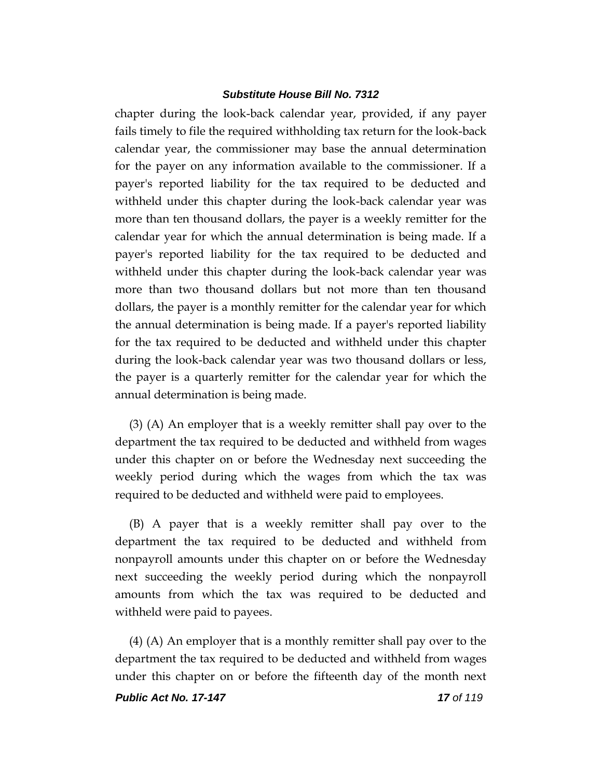chapter during the look-back calendar year, provided, if any payer fails timely to file the required withholding tax return for the look-back calendar year, the commissioner may base the annual determination for the payer on any information available to the commissioner. If a payer's reported liability for the tax required to be deducted and withheld under this chapter during the look-back calendar year was more than ten thousand dollars, the payer is a weekly remitter for the calendar year for which the annual determination is being made. If a payer's reported liability for the tax required to be deducted and withheld under this chapter during the look-back calendar year was more than two thousand dollars but not more than ten thousand dollars, the payer is a monthly remitter for the calendar year for which the annual determination is being made. If a payer's reported liability for the tax required to be deducted and withheld under this chapter during the look-back calendar year was two thousand dollars or less, the payer is a quarterly remitter for the calendar year for which the annual determination is being made.

(3) (A) An employer that is a weekly remitter shall pay over to the department the tax required to be deducted and withheld from wages under this chapter on or before the Wednesday next succeeding the weekly period during which the wages from which the tax was required to be deducted and withheld were paid to employees.

(B) A payer that is a weekly remitter shall pay over to the department the tax required to be deducted and withheld from nonpayroll amounts under this chapter on or before the Wednesday next succeeding the weekly period during which the nonpayroll amounts from which the tax was required to be deducted and withheld were paid to payees.

(4) (A) An employer that is a monthly remitter shall pay over to the department the tax required to be deducted and withheld from wages under this chapter on or before the fifteenth day of the month next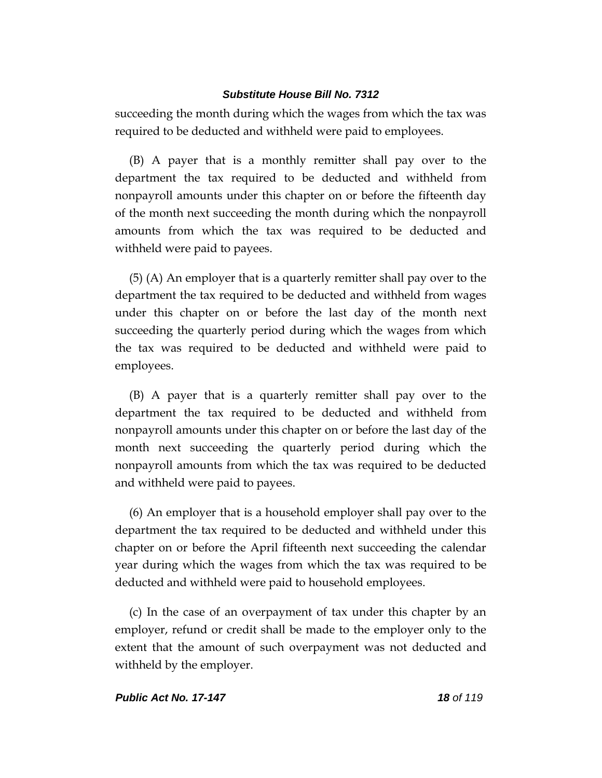succeeding the month during which the wages from which the tax was required to be deducted and withheld were paid to employees.

(B) A payer that is a monthly remitter shall pay over to the department the tax required to be deducted and withheld from nonpayroll amounts under this chapter on or before the fifteenth day of the month next succeeding the month during which the nonpayroll amounts from which the tax was required to be deducted and withheld were paid to payees.

(5) (A) An employer that is a quarterly remitter shall pay over to the department the tax required to be deducted and withheld from wages under this chapter on or before the last day of the month next succeeding the quarterly period during which the wages from which the tax was required to be deducted and withheld were paid to employees.

(B) A payer that is a quarterly remitter shall pay over to the department the tax required to be deducted and withheld from nonpayroll amounts under this chapter on or before the last day of the month next succeeding the quarterly period during which the nonpayroll amounts from which the tax was required to be deducted and withheld were paid to payees.

(6) An employer that is a household employer shall pay over to the department the tax required to be deducted and withheld under this chapter on or before the April fifteenth next succeeding the calendar year during which the wages from which the tax was required to be deducted and withheld were paid to household employees.

(c) In the case of an overpayment of tax under this chapter by an employer, refund or credit shall be made to the employer only to the extent that the amount of such overpayment was not deducted and withheld by the employer.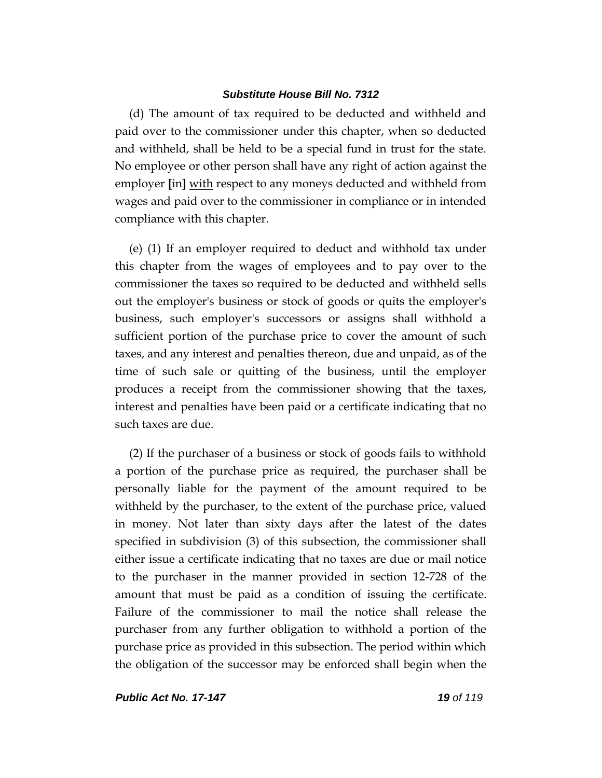(d) The amount of tax required to be deducted and withheld and paid over to the commissioner under this chapter, when so deducted and withheld, shall be held to be a special fund in trust for the state. No employee or other person shall have any right of action against the employer **[**in**]** with respect to any moneys deducted and withheld from wages and paid over to the commissioner in compliance or in intended compliance with this chapter.

(e) (1) If an employer required to deduct and withhold tax under this chapter from the wages of employees and to pay over to the commissioner the taxes so required to be deducted and withheld sells out the employer's business or stock of goods or quits the employer's business, such employer's successors or assigns shall withhold a sufficient portion of the purchase price to cover the amount of such taxes, and any interest and penalties thereon, due and unpaid, as of the time of such sale or quitting of the business, until the employer produces a receipt from the commissioner showing that the taxes, interest and penalties have been paid or a certificate indicating that no such taxes are due.

(2) If the purchaser of a business or stock of goods fails to withhold a portion of the purchase price as required, the purchaser shall be personally liable for the payment of the amount required to be withheld by the purchaser, to the extent of the purchase price, valued in money. Not later than sixty days after the latest of the dates specified in subdivision (3) of this subsection, the commissioner shall either issue a certificate indicating that no taxes are due or mail notice to the purchaser in the manner provided in section 12-728 of the amount that must be paid as a condition of issuing the certificate. Failure of the commissioner to mail the notice shall release the purchaser from any further obligation to withhold a portion of the purchase price as provided in this subsection. The period within which the obligation of the successor may be enforced shall begin when the

*Public Act No. 17-147 19 of 119*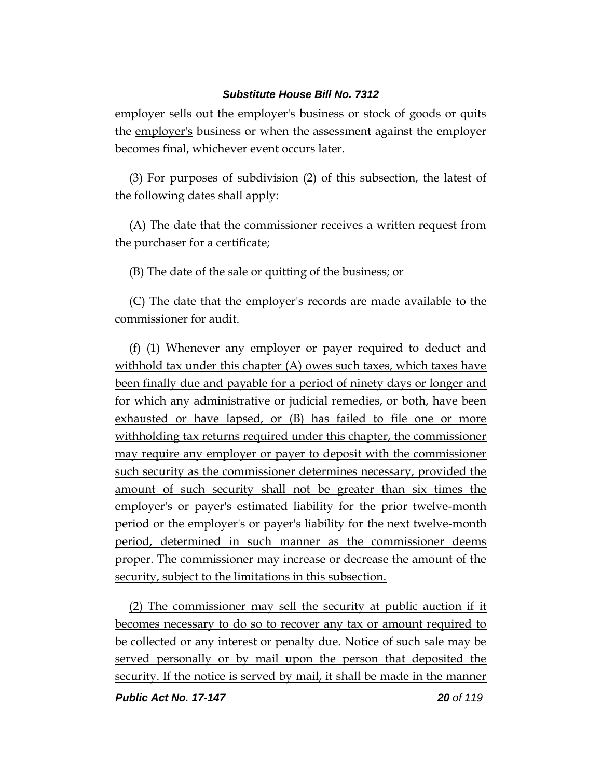employer sells out the employer's business or stock of goods or quits the employer's business or when the assessment against the employer becomes final, whichever event occurs later.

(3) For purposes of subdivision (2) of this subsection, the latest of the following dates shall apply:

(A) The date that the commissioner receives a written request from the purchaser for a certificate;

(B) The date of the sale or quitting of the business; or

(C) The date that the employer's records are made available to the commissioner for audit.

(f) (1) Whenever any employer or payer required to deduct and withhold tax under this chapter (A) owes such taxes, which taxes have been finally due and payable for a period of ninety days or longer and for which any administrative or judicial remedies, or both, have been exhausted or have lapsed, or (B) has failed to file one or more withholding tax returns required under this chapter, the commissioner may require any employer or payer to deposit with the commissioner such security as the commissioner determines necessary, provided the amount of such security shall not be greater than six times the employer's or payer's estimated liability for the prior twelve-month period or the employer's or payer's liability for the next twelve-month period, determined in such manner as the commissioner deems proper. The commissioner may increase or decrease the amount of the security, subject to the limitations in this subsection.

(2) The commissioner may sell the security at public auction if it becomes necessary to do so to recover any tax or amount required to be collected or any interest or penalty due. Notice of such sale may be served personally or by mail upon the person that deposited the security. If the notice is served by mail, it shall be made in the manner

*Public Act No. 17-147 20 of 119*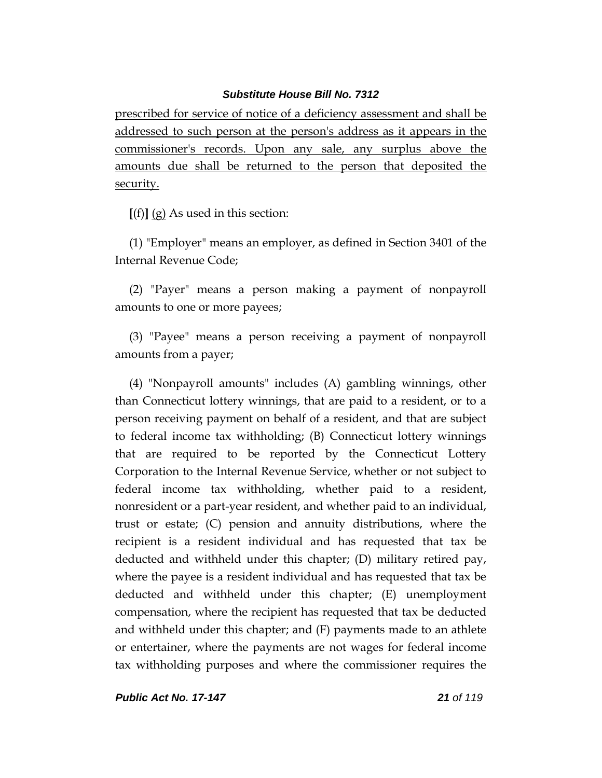prescribed for service of notice of a deficiency assessment and shall be addressed to such person at the person's address as it appears in the commissioner's records. Upon any sale, any surplus above the amounts due shall be returned to the person that deposited the security.

**[**(f)**]** (g) As used in this section:

(1) "Employer" means an employer, as defined in Section 3401 of the Internal Revenue Code;

(2) "Payer" means a person making a payment of nonpayroll amounts to one or more payees;

(3) "Payee" means a person receiving a payment of nonpayroll amounts from a payer;

(4) "Nonpayroll amounts" includes (A) gambling winnings, other than Connecticut lottery winnings, that are paid to a resident, or to a person receiving payment on behalf of a resident, and that are subject to federal income tax withholding; (B) Connecticut lottery winnings that are required to be reported by the Connecticut Lottery Corporation to the Internal Revenue Service, whether or not subject to federal income tax withholding, whether paid to a resident, nonresident or a part-year resident, and whether paid to an individual, trust or estate; (C) pension and annuity distributions, where the recipient is a resident individual and has requested that tax be deducted and withheld under this chapter; (D) military retired pay, where the payee is a resident individual and has requested that tax be deducted and withheld under this chapter; (E) unemployment compensation, where the recipient has requested that tax be deducted and withheld under this chapter; and (F) payments made to an athlete or entertainer, where the payments are not wages for federal income tax withholding purposes and where the commissioner requires the

*Public Act No. 17-147 21 of 119*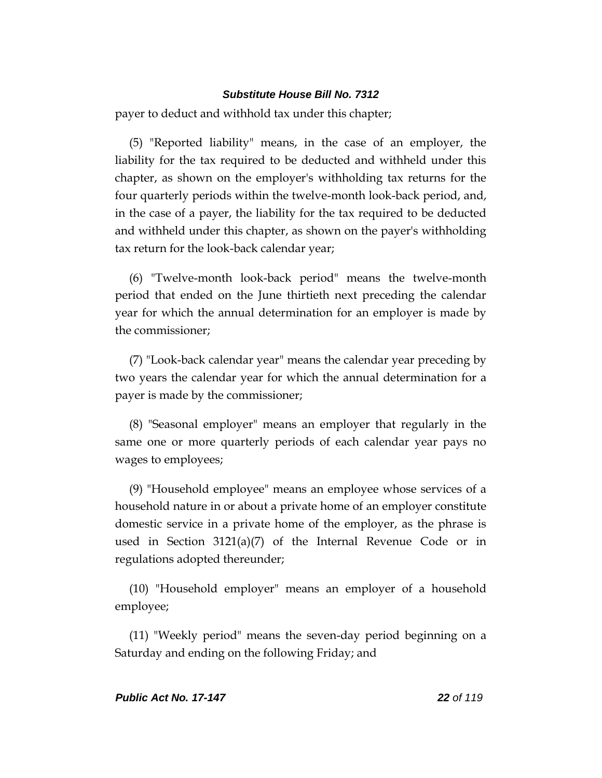payer to deduct and withhold tax under this chapter;

(5) "Reported liability" means, in the case of an employer, the liability for the tax required to be deducted and withheld under this chapter, as shown on the employer's withholding tax returns for the four quarterly periods within the twelve-month look-back period, and, in the case of a payer, the liability for the tax required to be deducted and withheld under this chapter, as shown on the payer's withholding tax return for the look-back calendar year;

(6) "Twelve-month look-back period" means the twelve-month period that ended on the June thirtieth next preceding the calendar year for which the annual determination for an employer is made by the commissioner;

(7) "Look-back calendar year" means the calendar year preceding by two years the calendar year for which the annual determination for a payer is made by the commissioner;

(8) "Seasonal employer" means an employer that regularly in the same one or more quarterly periods of each calendar year pays no wages to employees;

(9) "Household employee" means an employee whose services of a household nature in or about a private home of an employer constitute domestic service in a private home of the employer, as the phrase is used in Section  $3121(a)(7)$  of the Internal Revenue Code or in regulations adopted thereunder;

(10) "Household employer" means an employer of a household employee;

(11) "Weekly period" means the seven-day period beginning on a Saturday and ending on the following Friday; and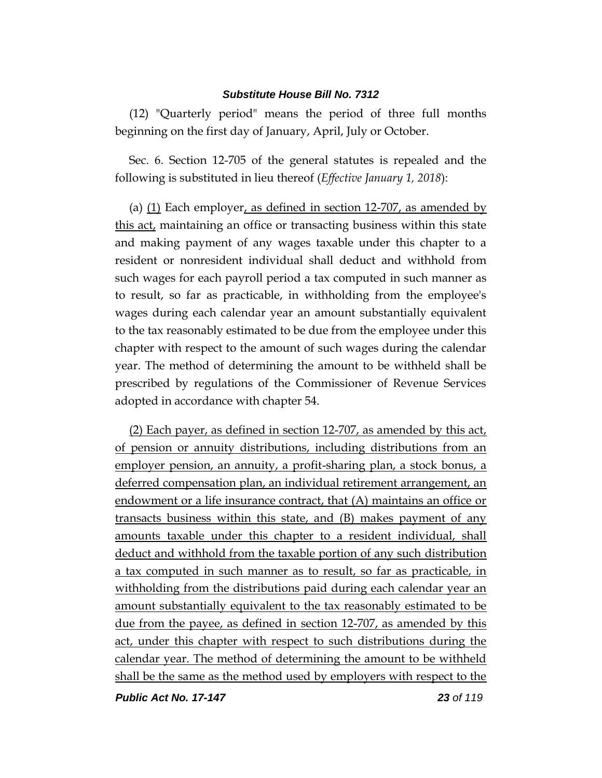(12) "Quarterly period" means the period of three full months beginning on the first day of January, April, July or October.

Sec. 6. Section 12-705 of the general statutes is repealed and the following is substituted in lieu thereof (*Effective January 1, 2018*):

(a) (1) Each employer, as defined in section 12-707, as amended by this act, maintaining an office or transacting business within this state and making payment of any wages taxable under this chapter to a resident or nonresident individual shall deduct and withhold from such wages for each payroll period a tax computed in such manner as to result, so far as practicable, in withholding from the employee's wages during each calendar year an amount substantially equivalent to the tax reasonably estimated to be due from the employee under this chapter with respect to the amount of such wages during the calendar year. The method of determining the amount to be withheld shall be prescribed by regulations of the Commissioner of Revenue Services adopted in accordance with chapter 54.

(2) Each payer, as defined in section 12-707, as amended by this act, of pension or annuity distributions, including distributions from an employer pension, an annuity, a profit-sharing plan, a stock bonus, a deferred compensation plan, an individual retirement arrangement, an endowment or a life insurance contract, that (A) maintains an office or transacts business within this state, and (B) makes payment of any amounts taxable under this chapter to a resident individual, shall deduct and withhold from the taxable portion of any such distribution a tax computed in such manner as to result, so far as practicable, in withholding from the distributions paid during each calendar year an amount substantially equivalent to the tax reasonably estimated to be due from the payee, as defined in section 12-707, as amended by this act, under this chapter with respect to such distributions during the calendar year. The method of determining the amount to be withheld shall be the same as the method used by employers with respect to the

*Public Act No. 17-147 23 of 119*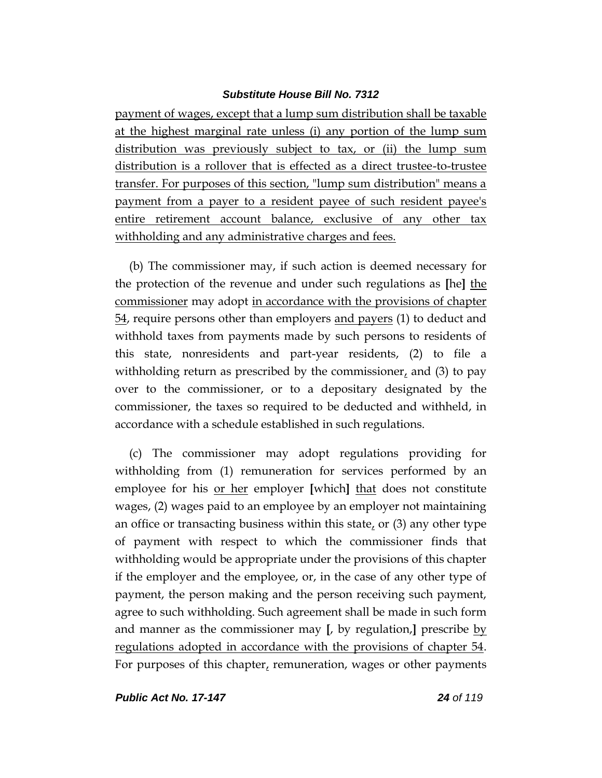payment of wages, except that a lump sum distribution shall be taxable at the highest marginal rate unless (i) any portion of the lump sum distribution was previously subject to tax, or (ii) the lump sum distribution is a rollover that is effected as a direct trustee-to-trustee transfer. For purposes of this section, "lump sum distribution" means a payment from a payer to a resident payee of such resident payee's entire retirement account balance, exclusive of any other tax withholding and any administrative charges and fees.

(b) The commissioner may, if such action is deemed necessary for the protection of the revenue and under such regulations as **[**he**]** the commissioner may adopt in accordance with the provisions of chapter 54, require persons other than employers and payers (1) to deduct and withhold taxes from payments made by such persons to residents of this state, nonresidents and part-year residents, (2) to file a withholding return as prescribed by the commissioner, and (3) to pay over to the commissioner, or to a depositary designated by the commissioner, the taxes so required to be deducted and withheld, in accordance with a schedule established in such regulations.

(c) The commissioner may adopt regulations providing for withholding from (1) remuneration for services performed by an employee for his or her employer **[**which**]** that does not constitute wages, (2) wages paid to an employee by an employer not maintaining an office or transacting business within this state, or (3) any other type of payment with respect to which the commissioner finds that withholding would be appropriate under the provisions of this chapter if the employer and the employee, or, in the case of any other type of payment, the person making and the person receiving such payment, agree to such withholding. Such agreement shall be made in such form and manner as the commissioner may **[**, by regulation,**]** prescribe by regulations adopted in accordance with the provisions of chapter 54. For purposes of this chapter, remuneration, wages or other payments

*Public Act No. 17-147 24 of 119*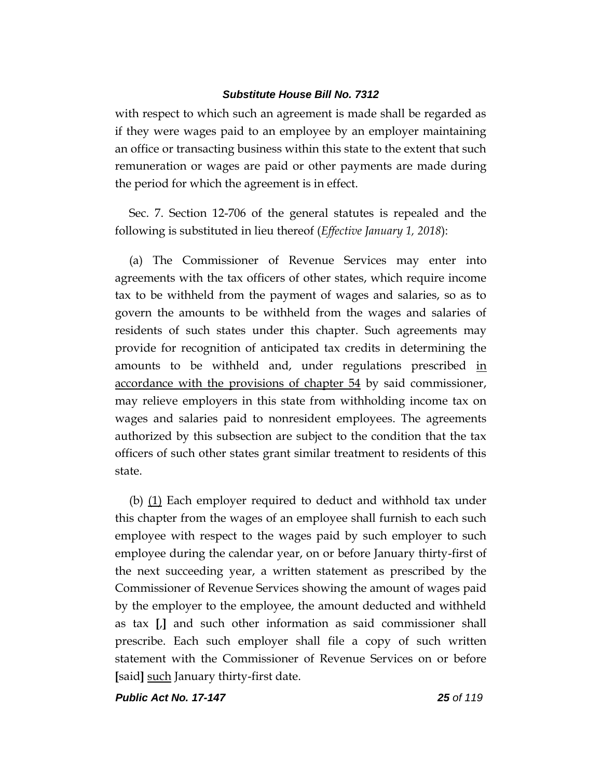with respect to which such an agreement is made shall be regarded as if they were wages paid to an employee by an employer maintaining an office or transacting business within this state to the extent that such remuneration or wages are paid or other payments are made during the period for which the agreement is in effect.

Sec. 7. Section 12-706 of the general statutes is repealed and the following is substituted in lieu thereof (*Effective January 1, 2018*):

(a) The Commissioner of Revenue Services may enter into agreements with the tax officers of other states, which require income tax to be withheld from the payment of wages and salaries, so as to govern the amounts to be withheld from the wages and salaries of residents of such states under this chapter. Such agreements may provide for recognition of anticipated tax credits in determining the amounts to be withheld and, under regulations prescribed in accordance with the provisions of chapter 54 by said commissioner, may relieve employers in this state from withholding income tax on wages and salaries paid to nonresident employees. The agreements authorized by this subsection are subject to the condition that the tax officers of such other states grant similar treatment to residents of this state.

(b)  $(1)$  Each employer required to deduct and withhold tax under this chapter from the wages of an employee shall furnish to each such employee with respect to the wages paid by such employer to such employee during the calendar year, on or before January thirty-first of the next succeeding year, a written statement as prescribed by the Commissioner of Revenue Services showing the amount of wages paid by the employer to the employee, the amount deducted and withheld as tax **[**,**]** and such other information as said commissioner shall prescribe. Each such employer shall file a copy of such written statement with the Commissioner of Revenue Services on or before **[**said**]** such January thirty-first date.

*Public Act No. 17-147 25 of 119*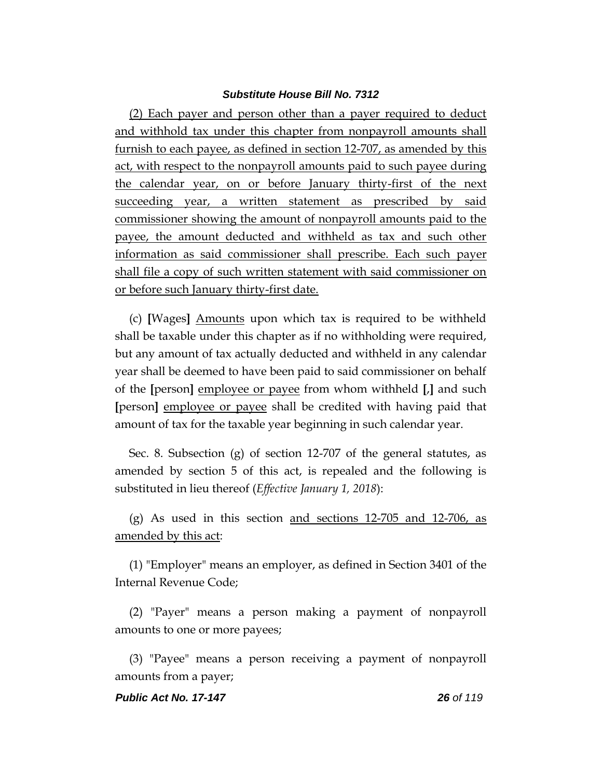(2) Each payer and person other than a payer required to deduct and withhold tax under this chapter from nonpayroll amounts shall furnish to each payee, as defined in section 12-707, as amended by this act, with respect to the nonpayroll amounts paid to such payee during the calendar year, on or before January thirty-first of the next succeeding year, a written statement as prescribed by said commissioner showing the amount of nonpayroll amounts paid to the payee, the amount deducted and withheld as tax and such other information as said commissioner shall prescribe. Each such payer shall file a copy of such written statement with said commissioner on or before such January thirty-first date.

(c) **[**Wages**]** Amounts upon which tax is required to be withheld shall be taxable under this chapter as if no withholding were required, but any amount of tax actually deducted and withheld in any calendar year shall be deemed to have been paid to said commissioner on behalf of the **[**person**]** employee or payee from whom withheld **[**,**]** and such **[**person**]** employee or payee shall be credited with having paid that amount of tax for the taxable year beginning in such calendar year.

Sec. 8. Subsection (g) of section 12-707 of the general statutes, as amended by section 5 of this act, is repealed and the following is substituted in lieu thereof (*Effective January 1, 2018*):

(g) As used in this section and sections  $12-705$  and  $12-706$ , as amended by this act:

(1) "Employer" means an employer, as defined in Section 3401 of the Internal Revenue Code;

(2) "Payer" means a person making a payment of nonpayroll amounts to one or more payees;

(3) "Payee" means a person receiving a payment of nonpayroll amounts from a payer;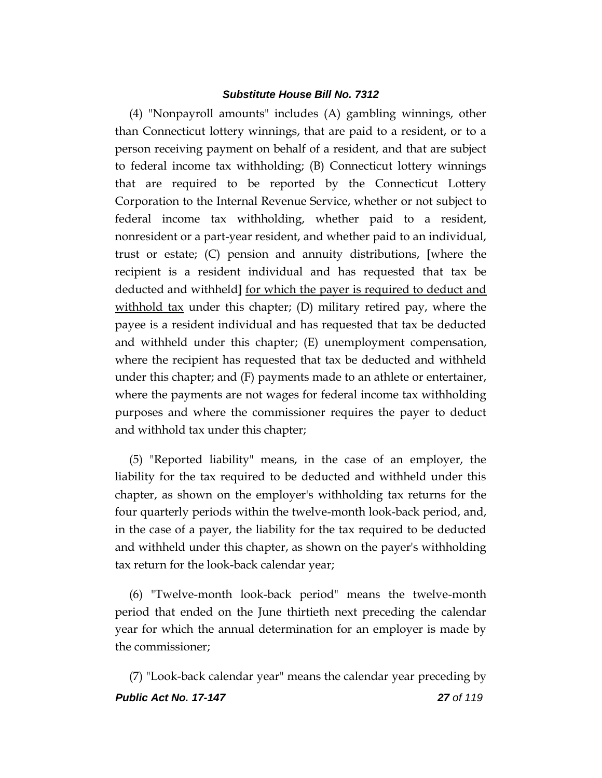(4) "Nonpayroll amounts" includes (A) gambling winnings, other than Connecticut lottery winnings, that are paid to a resident, or to a person receiving payment on behalf of a resident, and that are subject to federal income tax withholding; (B) Connecticut lottery winnings that are required to be reported by the Connecticut Lottery Corporation to the Internal Revenue Service, whether or not subject to federal income tax withholding, whether paid to a resident, nonresident or a part-year resident, and whether paid to an individual, trust or estate; (C) pension and annuity distributions, **[**where the recipient is a resident individual and has requested that tax be deducted and withheld**]** for which the payer is required to deduct and withhold tax under this chapter; (D) military retired pay, where the payee is a resident individual and has requested that tax be deducted and withheld under this chapter; (E) unemployment compensation, where the recipient has requested that tax be deducted and withheld under this chapter; and (F) payments made to an athlete or entertainer, where the payments are not wages for federal income tax withholding purposes and where the commissioner requires the payer to deduct and withhold tax under this chapter;

(5) "Reported liability" means, in the case of an employer, the liability for the tax required to be deducted and withheld under this chapter, as shown on the employer's withholding tax returns for the four quarterly periods within the twelve-month look-back period, and, in the case of a payer, the liability for the tax required to be deducted and withheld under this chapter, as shown on the payer's withholding tax return for the look-back calendar year;

(6) "Twelve-month look-back period" means the twelve-month period that ended on the June thirtieth next preceding the calendar year for which the annual determination for an employer is made by the commissioner;

*Public Act No. 17-147 27 of 119* (7) "Look-back calendar year" means the calendar year preceding by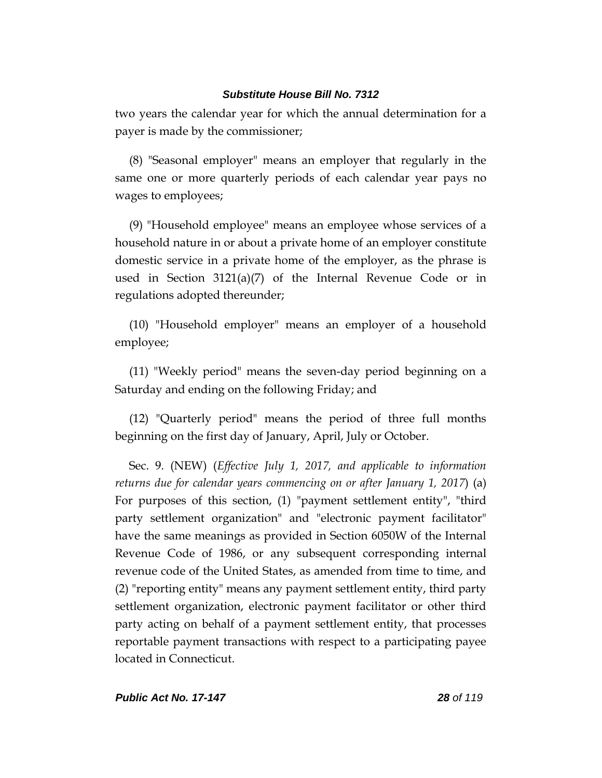two years the calendar year for which the annual determination for a payer is made by the commissioner;

(8) "Seasonal employer" means an employer that regularly in the same one or more quarterly periods of each calendar year pays no wages to employees;

(9) "Household employee" means an employee whose services of a household nature in or about a private home of an employer constitute domestic service in a private home of the employer, as the phrase is used in Section 3121(a)(7) of the Internal Revenue Code or in regulations adopted thereunder;

(10) "Household employer" means an employer of a household employee;

(11) "Weekly period" means the seven-day period beginning on a Saturday and ending on the following Friday; and

(12) "Quarterly period" means the period of three full months beginning on the first day of January, April, July or October.

Sec. 9. (NEW) (*Effective July 1, 2017, and applicable to information returns due for calendar years commencing on or after January 1, 2017*) (a) For purposes of this section, (1) "payment settlement entity", "third party settlement organization" and "electronic payment facilitator" have the same meanings as provided in Section 6050W of the Internal Revenue Code of 1986, or any subsequent corresponding internal revenue code of the United States, as amended from time to time, and (2) "reporting entity" means any payment settlement entity, third party settlement organization, electronic payment facilitator or other third party acting on behalf of a payment settlement entity, that processes reportable payment transactions with respect to a participating payee located in Connecticut.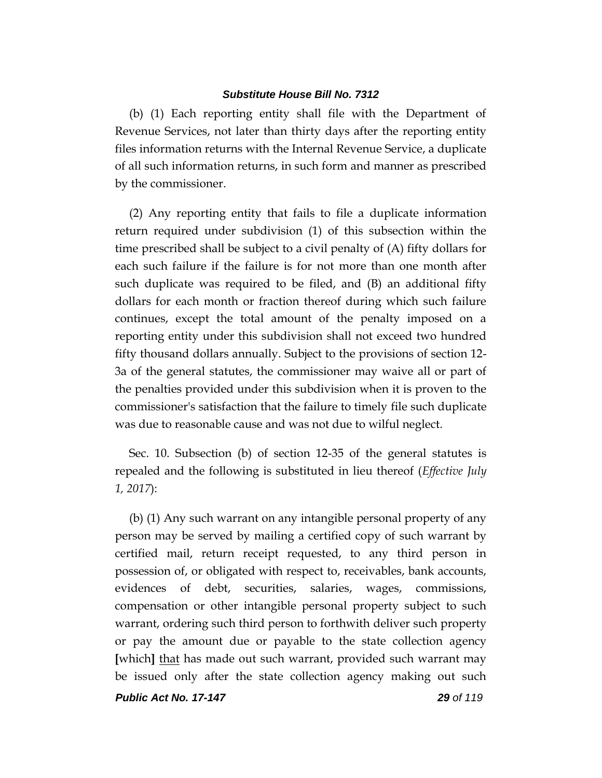(b) (1) Each reporting entity shall file with the Department of Revenue Services, not later than thirty days after the reporting entity files information returns with the Internal Revenue Service, a duplicate of all such information returns, in such form and manner as prescribed by the commissioner.

(2) Any reporting entity that fails to file a duplicate information return required under subdivision (1) of this subsection within the time prescribed shall be subject to a civil penalty of (A) fifty dollars for each such failure if the failure is for not more than one month after such duplicate was required to be filed, and (B) an additional fifty dollars for each month or fraction thereof during which such failure continues, except the total amount of the penalty imposed on a reporting entity under this subdivision shall not exceed two hundred fifty thousand dollars annually. Subject to the provisions of section 12- 3a of the general statutes, the commissioner may waive all or part of the penalties provided under this subdivision when it is proven to the commissioner's satisfaction that the failure to timely file such duplicate was due to reasonable cause and was not due to wilful neglect.

Sec. 10. Subsection (b) of section 12-35 of the general statutes is repealed and the following is substituted in lieu thereof (*Effective July 1, 2017*):

(b) (1) Any such warrant on any intangible personal property of any person may be served by mailing a certified copy of such warrant by certified mail, return receipt requested, to any third person in possession of, or obligated with respect to, receivables, bank accounts, evidences of debt, securities, salaries, wages, commissions, compensation or other intangible personal property subject to such warrant, ordering such third person to forthwith deliver such property or pay the amount due or payable to the state collection agency **[**which**]** that has made out such warrant, provided such warrant may be issued only after the state collection agency making out such

*Public Act No. 17-147 29 of 119*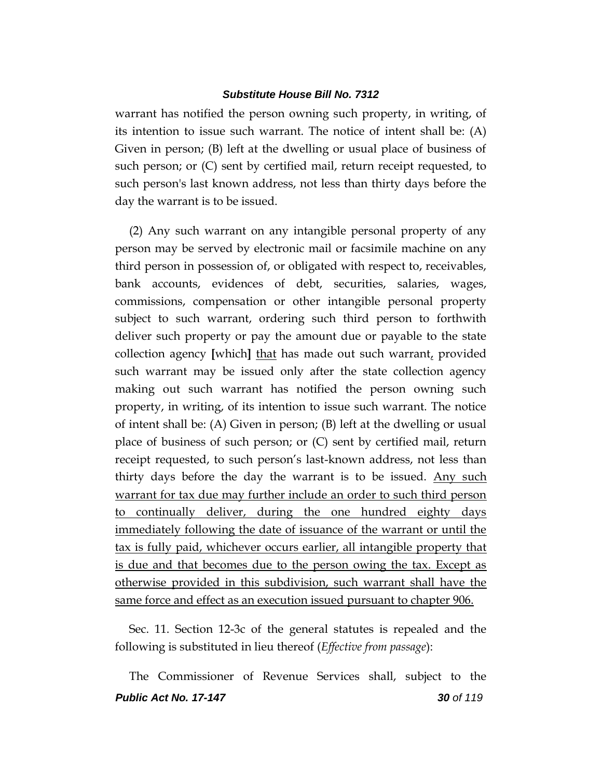warrant has notified the person owning such property, in writing, of its intention to issue such warrant. The notice of intent shall be: (A) Given in person; (B) left at the dwelling or usual place of business of such person; or (C) sent by certified mail, return receipt requested, to such person's last known address, not less than thirty days before the day the warrant is to be issued.

(2) Any such warrant on any intangible personal property of any person may be served by electronic mail or facsimile machine on any third person in possession of, or obligated with respect to, receivables, bank accounts, evidences of debt, securities, salaries, wages, commissions, compensation or other intangible personal property subject to such warrant, ordering such third person to forthwith deliver such property or pay the amount due or payable to the state collection agency **[**which**]** that has made out such warrant, provided such warrant may be issued only after the state collection agency making out such warrant has notified the person owning such property, in writing, of its intention to issue such warrant. The notice of intent shall be: (A) Given in person; (B) left at the dwelling or usual place of business of such person; or (C) sent by certified mail, return receipt requested, to such person's last-known address, not less than thirty days before the day the warrant is to be issued. Any such warrant for tax due may further include an order to such third person to continually deliver, during the one hundred eighty days immediately following the date of issuance of the warrant or until the tax is fully paid, whichever occurs earlier, all intangible property that is due and that becomes due to the person owing the tax. Except as otherwise provided in this subdivision, such warrant shall have the same force and effect as an execution issued pursuant to chapter 906.

Sec. 11. Section 12-3c of the general statutes is repealed and the following is substituted in lieu thereof (*Effective from passage*):

*Public Act No. 17-147 30 of 119* The Commissioner of Revenue Services shall, subject to the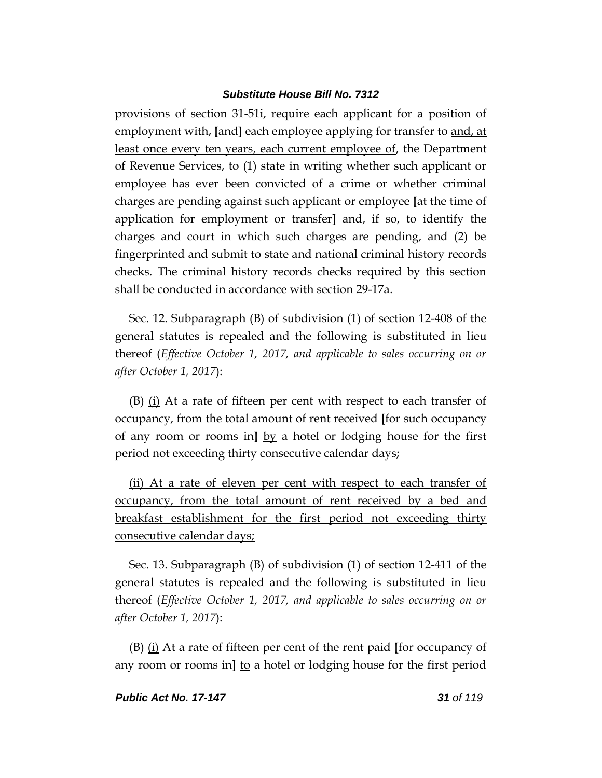provisions of section 31-51i, require each applicant for a position of employment with, **[**and**]** each employee applying for transfer to and, at least once every ten years, each current employee of, the Department of Revenue Services, to (1) state in writing whether such applicant or employee has ever been convicted of a crime or whether criminal charges are pending against such applicant or employee **[**at the time of application for employment or transfer**]** and, if so, to identify the charges and court in which such charges are pending, and (2) be fingerprinted and submit to state and national criminal history records checks. The criminal history records checks required by this section shall be conducted in accordance with section 29-17a.

Sec. 12. Subparagraph (B) of subdivision (1) of section 12-408 of the general statutes is repealed and the following is substituted in lieu thereof (*Effective October 1, 2017, and applicable to sales occurring on or after October 1, 2017*):

(B) (i) At a rate of fifteen per cent with respect to each transfer of occupancy, from the total amount of rent received **[**for such occupancy of any room or rooms in**]** by a hotel or lodging house for the first period not exceeding thirty consecutive calendar days;

(ii) At a rate of eleven per cent with respect to each transfer of occupancy, from the total amount of rent received by a bed and breakfast establishment for the first period not exceeding thirty consecutive calendar days;

Sec. 13. Subparagraph (B) of subdivision (1) of section 12-411 of the general statutes is repealed and the following is substituted in lieu thereof (*Effective October 1, 2017, and applicable to sales occurring on or after October 1, 2017*):

(B) (i) At a rate of fifteen per cent of the rent paid **[**for occupancy of any room or rooms in**]** to a hotel or lodging house for the first period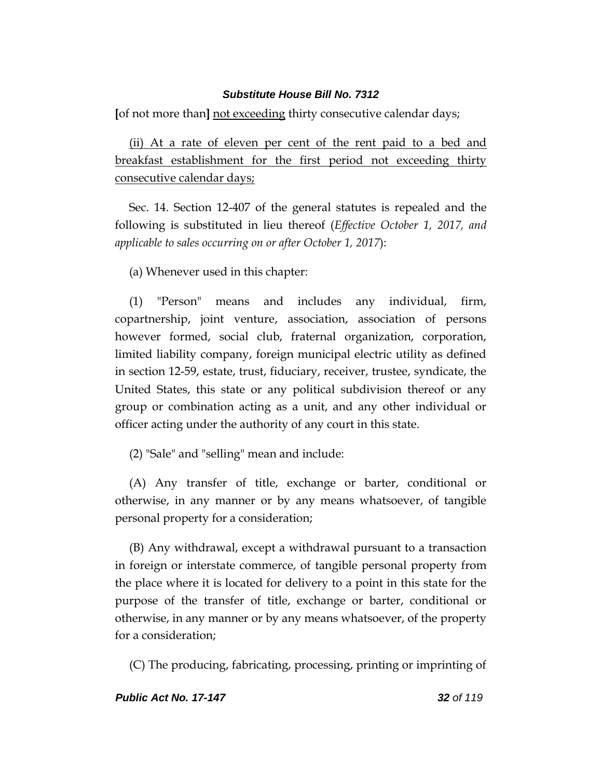**[**of not more than**]** not exceeding thirty consecutive calendar days;

(ii) At a rate of eleven per cent of the rent paid to a bed and breakfast establishment for the first period not exceeding thirty consecutive calendar days;

Sec. 14. Section 12-407 of the general statutes is repealed and the following is substituted in lieu thereof (*Effective October 1, 2017, and applicable to sales occurring on or after October 1, 2017*):

(a) Whenever used in this chapter:

(1) "Person" means and includes any individual, firm, copartnership, joint venture, association, association of persons however formed, social club, fraternal organization, corporation, limited liability company, foreign municipal electric utility as defined in section 12-59, estate, trust, fiduciary, receiver, trustee, syndicate, the United States, this state or any political subdivision thereof or any group or combination acting as a unit, and any other individual or officer acting under the authority of any court in this state.

(2) "Sale" and "selling" mean and include:

(A) Any transfer of title, exchange or barter, conditional or otherwise, in any manner or by any means whatsoever, of tangible personal property for a consideration;

(B) Any withdrawal, except a withdrawal pursuant to a transaction in foreign or interstate commerce, of tangible personal property from the place where it is located for delivery to a point in this state for the purpose of the transfer of title, exchange or barter, conditional or otherwise, in any manner or by any means whatsoever, of the property for a consideration;

(C) The producing, fabricating, processing, printing or imprinting of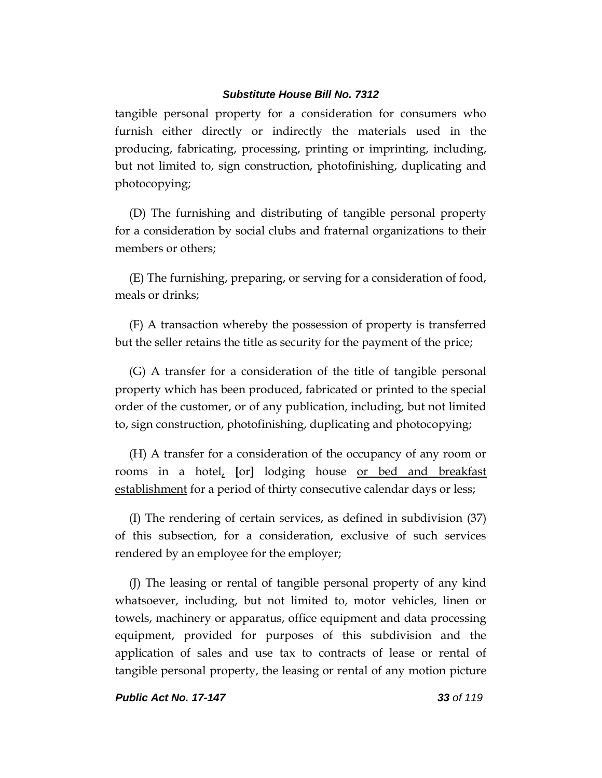tangible personal property for a consideration for consumers who furnish either directly or indirectly the materials used in the producing, fabricating, processing, printing or imprinting, including, but not limited to, sign construction, photofinishing, duplicating and photocopying;

(D) The furnishing and distributing of tangible personal property for a consideration by social clubs and fraternal organizations to their members or others;

(E) The furnishing, preparing, or serving for a consideration of food, meals or drinks;

(F) A transaction whereby the possession of property is transferred but the seller retains the title as security for the payment of the price;

(G) A transfer for a consideration of the title of tangible personal property which has been produced, fabricated or printed to the special order of the customer, or of any publication, including, but not limited to, sign construction, photofinishing, duplicating and photocopying;

(H) A transfer for a consideration of the occupancy of any room or rooms in a hotel, **[**or**]** lodging house or bed and breakfast establishment for a period of thirty consecutive calendar days or less;

(I) The rendering of certain services, as defined in subdivision (37) of this subsection, for a consideration, exclusive of such services rendered by an employee for the employer;

(J) The leasing or rental of tangible personal property of any kind whatsoever, including, but not limited to, motor vehicles, linen or towels, machinery or apparatus, office equipment and data processing equipment, provided for purposes of this subdivision and the application of sales and use tax to contracts of lease or rental of tangible personal property, the leasing or rental of any motion picture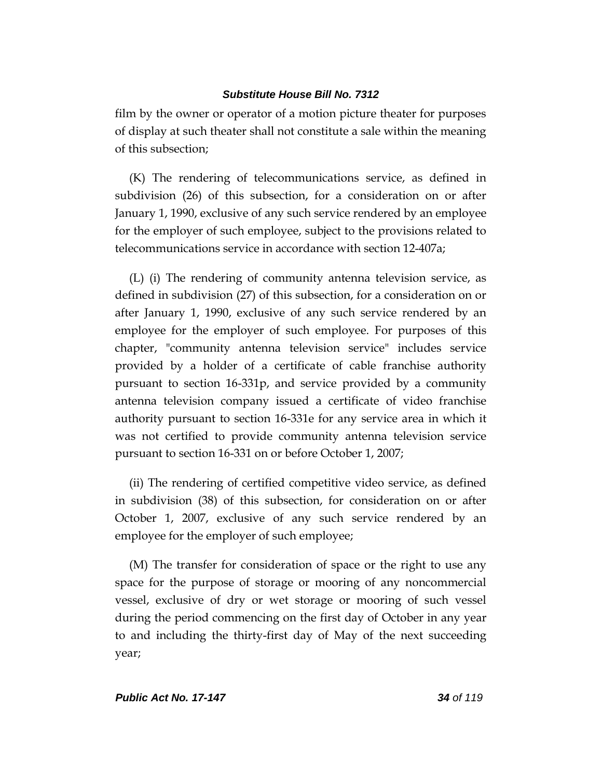film by the owner or operator of a motion picture theater for purposes of display at such theater shall not constitute a sale within the meaning of this subsection;

(K) The rendering of telecommunications service, as defined in subdivision (26) of this subsection, for a consideration on or after January 1, 1990, exclusive of any such service rendered by an employee for the employer of such employee, subject to the provisions related to telecommunications service in accordance with section 12-407a;

(L) (i) The rendering of community antenna television service, as defined in subdivision (27) of this subsection, for a consideration on or after January 1, 1990, exclusive of any such service rendered by an employee for the employer of such employee. For purposes of this chapter, "community antenna television service" includes service provided by a holder of a certificate of cable franchise authority pursuant to section 16-331p, and service provided by a community antenna television company issued a certificate of video franchise authority pursuant to section 16-331e for any service area in which it was not certified to provide community antenna television service pursuant to section 16-331 on or before October 1, 2007;

(ii) The rendering of certified competitive video service, as defined in subdivision (38) of this subsection, for consideration on or after October 1, 2007, exclusive of any such service rendered by an employee for the employer of such employee;

(M) The transfer for consideration of space or the right to use any space for the purpose of storage or mooring of any noncommercial vessel, exclusive of dry or wet storage or mooring of such vessel during the period commencing on the first day of October in any year to and including the thirty-first day of May of the next succeeding year;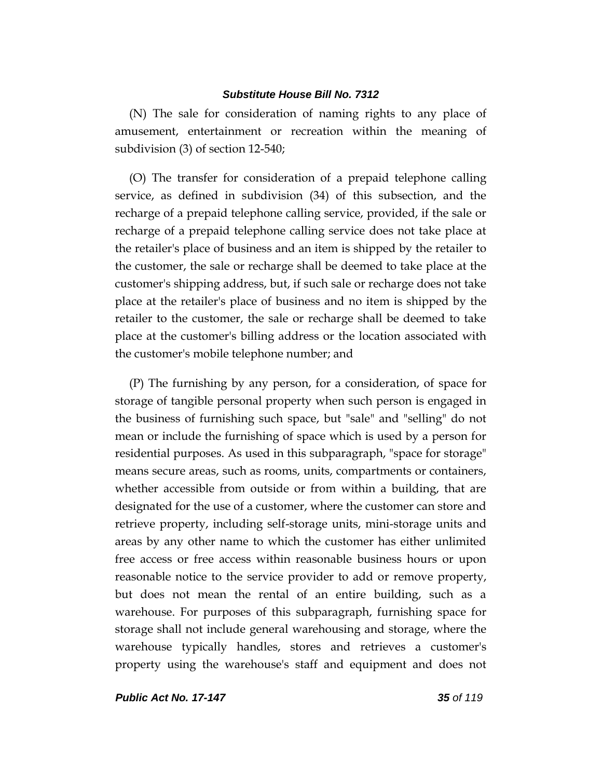(N) The sale for consideration of naming rights to any place of amusement, entertainment or recreation within the meaning of subdivision (3) of section 12-540;

(O) The transfer for consideration of a prepaid telephone calling service, as defined in subdivision (34) of this subsection, and the recharge of a prepaid telephone calling service, provided, if the sale or recharge of a prepaid telephone calling service does not take place at the retailer's place of business and an item is shipped by the retailer to the customer, the sale or recharge shall be deemed to take place at the customer's shipping address, but, if such sale or recharge does not take place at the retailer's place of business and no item is shipped by the retailer to the customer, the sale or recharge shall be deemed to take place at the customer's billing address or the location associated with the customer's mobile telephone number; and

(P) The furnishing by any person, for a consideration, of space for storage of tangible personal property when such person is engaged in the business of furnishing such space, but "sale" and "selling" do not mean or include the furnishing of space which is used by a person for residential purposes. As used in this subparagraph, "space for storage" means secure areas, such as rooms, units, compartments or containers, whether accessible from outside or from within a building, that are designated for the use of a customer, where the customer can store and retrieve property, including self-storage units, mini-storage units and areas by any other name to which the customer has either unlimited free access or free access within reasonable business hours or upon reasonable notice to the service provider to add or remove property, but does not mean the rental of an entire building, such as a warehouse. For purposes of this subparagraph, furnishing space for storage shall not include general warehousing and storage, where the warehouse typically handles, stores and retrieves a customer's property using the warehouse's staff and equipment and does not

*Public Act No. 17-147 35 of 119*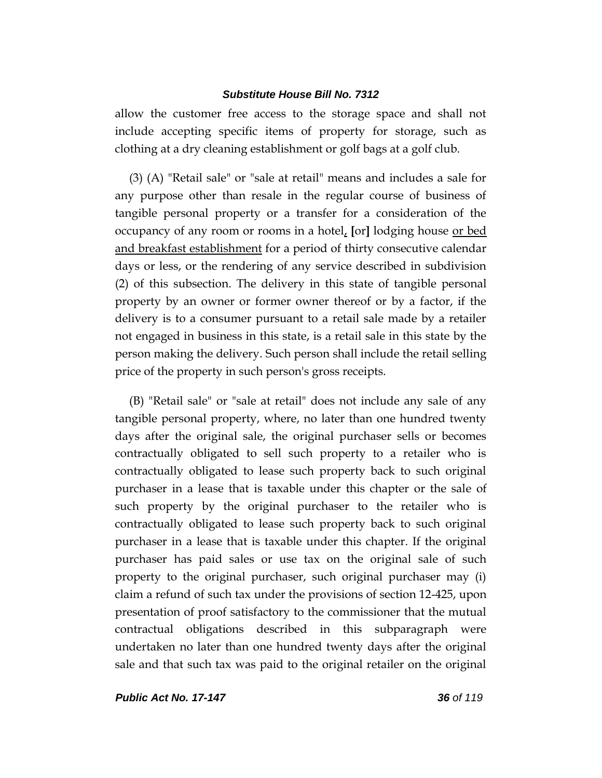allow the customer free access to the storage space and shall not include accepting specific items of property for storage, such as clothing at a dry cleaning establishment or golf bags at a golf club.

(3) (A) "Retail sale" or "sale at retail" means and includes a sale for any purpose other than resale in the regular course of business of tangible personal property or a transfer for a consideration of the occupancy of any room or rooms in a hotel, **[**or**]** lodging house or bed and breakfast establishment for a period of thirty consecutive calendar days or less, or the rendering of any service described in subdivision (2) of this subsection. The delivery in this state of tangible personal property by an owner or former owner thereof or by a factor, if the delivery is to a consumer pursuant to a retail sale made by a retailer not engaged in business in this state, is a retail sale in this state by the person making the delivery. Such person shall include the retail selling price of the property in such person's gross receipts.

(B) "Retail sale" or "sale at retail" does not include any sale of any tangible personal property, where, no later than one hundred twenty days after the original sale, the original purchaser sells or becomes contractually obligated to sell such property to a retailer who is contractually obligated to lease such property back to such original purchaser in a lease that is taxable under this chapter or the sale of such property by the original purchaser to the retailer who is contractually obligated to lease such property back to such original purchaser in a lease that is taxable under this chapter. If the original purchaser has paid sales or use tax on the original sale of such property to the original purchaser, such original purchaser may (i) claim a refund of such tax under the provisions of section 12-425, upon presentation of proof satisfactory to the commissioner that the mutual contractual obligations described in this subparagraph were undertaken no later than one hundred twenty days after the original sale and that such tax was paid to the original retailer on the original

*Public Act No. 17-147 36 of 119*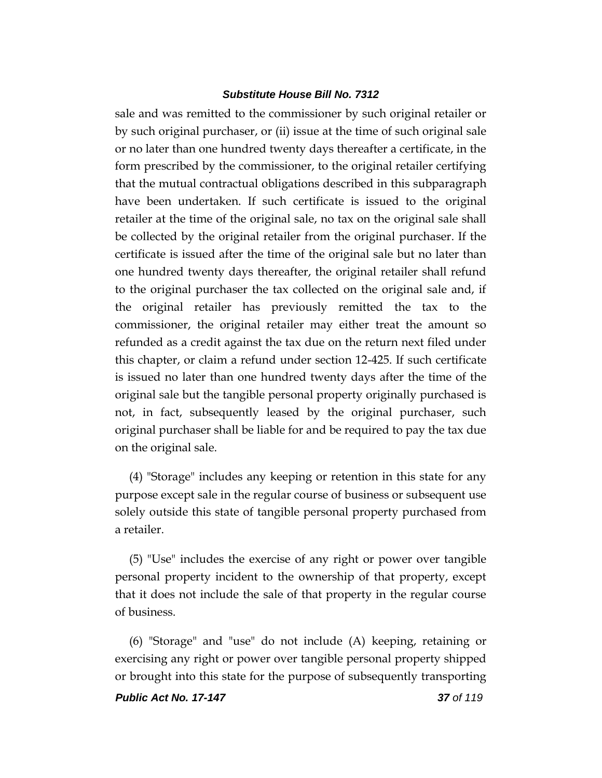sale and was remitted to the commissioner by such original retailer or by such original purchaser, or (ii) issue at the time of such original sale or no later than one hundred twenty days thereafter a certificate, in the form prescribed by the commissioner, to the original retailer certifying that the mutual contractual obligations described in this subparagraph have been undertaken. If such certificate is issued to the original retailer at the time of the original sale, no tax on the original sale shall be collected by the original retailer from the original purchaser. If the certificate is issued after the time of the original sale but no later than one hundred twenty days thereafter, the original retailer shall refund to the original purchaser the tax collected on the original sale and, if the original retailer has previously remitted the tax to the commissioner, the original retailer may either treat the amount so refunded as a credit against the tax due on the return next filed under this chapter, or claim a refund under section 12-425. If such certificate is issued no later than one hundred twenty days after the time of the original sale but the tangible personal property originally purchased is not, in fact, subsequently leased by the original purchaser, such original purchaser shall be liable for and be required to pay the tax due on the original sale.

(4) "Storage" includes any keeping or retention in this state for any purpose except sale in the regular course of business or subsequent use solely outside this state of tangible personal property purchased from a retailer.

(5) "Use" includes the exercise of any right or power over tangible personal property incident to the ownership of that property, except that it does not include the sale of that property in the regular course of business.

(6) "Storage" and "use" do not include (A) keeping, retaining or exercising any right or power over tangible personal property shipped or brought into this state for the purpose of subsequently transporting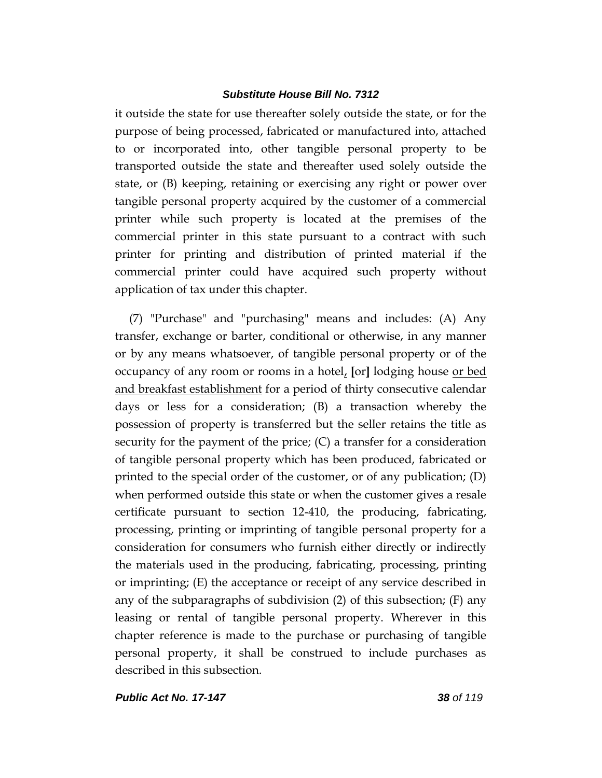it outside the state for use thereafter solely outside the state, or for the purpose of being processed, fabricated or manufactured into, attached to or incorporated into, other tangible personal property to be transported outside the state and thereafter used solely outside the state, or (B) keeping, retaining or exercising any right or power over tangible personal property acquired by the customer of a commercial printer while such property is located at the premises of the commercial printer in this state pursuant to a contract with such printer for printing and distribution of printed material if the commercial printer could have acquired such property without application of tax under this chapter.

(7) "Purchase" and "purchasing" means and includes: (A) Any transfer, exchange or barter, conditional or otherwise, in any manner or by any means whatsoever, of tangible personal property or of the occupancy of any room or rooms in a hotel, **[**or**]** lodging house or bed and breakfast establishment for a period of thirty consecutive calendar days or less for a consideration; (B) a transaction whereby the possession of property is transferred but the seller retains the title as security for the payment of the price; (C) a transfer for a consideration of tangible personal property which has been produced, fabricated or printed to the special order of the customer, or of any publication; (D) when performed outside this state or when the customer gives a resale certificate pursuant to section 12-410, the producing, fabricating, processing, printing or imprinting of tangible personal property for a consideration for consumers who furnish either directly or indirectly the materials used in the producing, fabricating, processing, printing or imprinting; (E) the acceptance or receipt of any service described in any of the subparagraphs of subdivision (2) of this subsection; (F) any leasing or rental of tangible personal property. Wherever in this chapter reference is made to the purchase or purchasing of tangible personal property, it shall be construed to include purchases as described in this subsection.

*Public Act No. 17-147 38 of 119*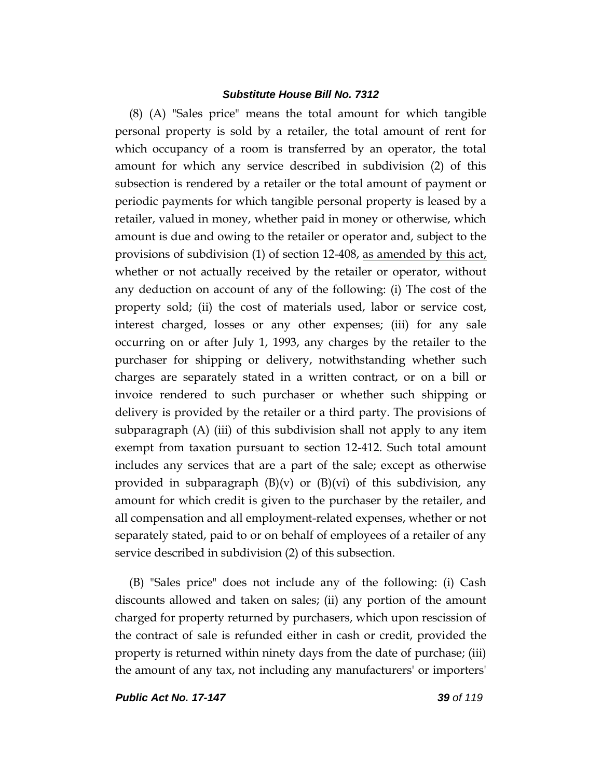(8) (A) "Sales price" means the total amount for which tangible personal property is sold by a retailer, the total amount of rent for which occupancy of a room is transferred by an operator, the total amount for which any service described in subdivision (2) of this subsection is rendered by a retailer or the total amount of payment or periodic payments for which tangible personal property is leased by a retailer, valued in money, whether paid in money or otherwise, which amount is due and owing to the retailer or operator and, subject to the provisions of subdivision (1) of section 12-408, as amended by this act, whether or not actually received by the retailer or operator, without any deduction on account of any of the following: (i) The cost of the property sold; (ii) the cost of materials used, labor or service cost, interest charged, losses or any other expenses; (iii) for any sale occurring on or after July 1, 1993, any charges by the retailer to the purchaser for shipping or delivery, notwithstanding whether such charges are separately stated in a written contract, or on a bill or invoice rendered to such purchaser or whether such shipping or delivery is provided by the retailer or a third party. The provisions of subparagraph (A) (iii) of this subdivision shall not apply to any item exempt from taxation pursuant to section 12-412. Such total amount includes any services that are a part of the sale; except as otherwise provided in subparagraph  $(B)(v)$  or  $(B)(vi)$  of this subdivision, any amount for which credit is given to the purchaser by the retailer, and all compensation and all employment-related expenses, whether or not separately stated, paid to or on behalf of employees of a retailer of any service described in subdivision (2) of this subsection.

(B) "Sales price" does not include any of the following: (i) Cash discounts allowed and taken on sales; (ii) any portion of the amount charged for property returned by purchasers, which upon rescission of the contract of sale is refunded either in cash or credit, provided the property is returned within ninety days from the date of purchase; (iii) the amount of any tax, not including any manufacturers' or importers'

*Public Act No. 17-147 39 of 119*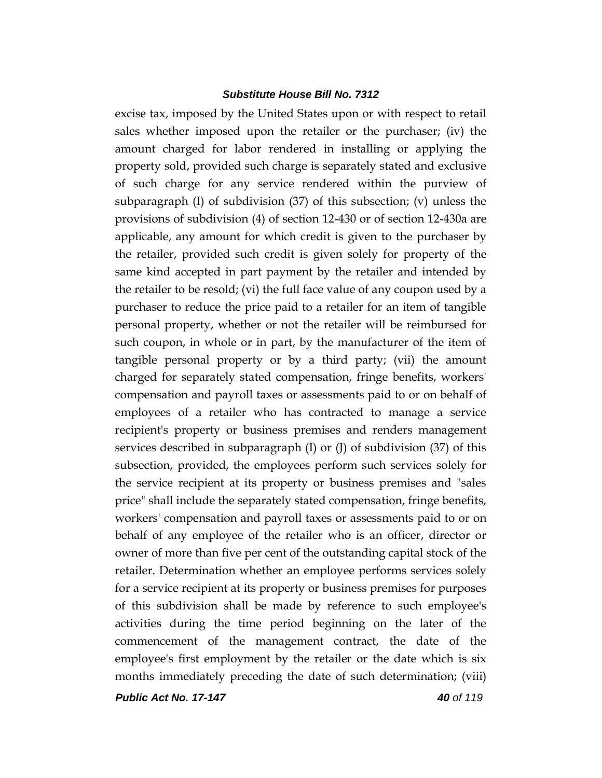excise tax, imposed by the United States upon or with respect to retail sales whether imposed upon the retailer or the purchaser; (iv) the amount charged for labor rendered in installing or applying the property sold, provided such charge is separately stated and exclusive of such charge for any service rendered within the purview of subparagraph (I) of subdivision (37) of this subsection; (v) unless the provisions of subdivision (4) of section 12-430 or of section 12-430a are applicable, any amount for which credit is given to the purchaser by the retailer, provided such credit is given solely for property of the same kind accepted in part payment by the retailer and intended by the retailer to be resold; (vi) the full face value of any coupon used by a purchaser to reduce the price paid to a retailer for an item of tangible personal property, whether or not the retailer will be reimbursed for such coupon, in whole or in part, by the manufacturer of the item of tangible personal property or by a third party; (vii) the amount charged for separately stated compensation, fringe benefits, workers' compensation and payroll taxes or assessments paid to or on behalf of employees of a retailer who has contracted to manage a service recipient's property or business premises and renders management services described in subparagraph (I) or (J) of subdivision (37) of this subsection, provided, the employees perform such services solely for the service recipient at its property or business premises and "sales price" shall include the separately stated compensation, fringe benefits, workers' compensation and payroll taxes or assessments paid to or on behalf of any employee of the retailer who is an officer, director or owner of more than five per cent of the outstanding capital stock of the retailer. Determination whether an employee performs services solely for a service recipient at its property or business premises for purposes of this subdivision shall be made by reference to such employee's activities during the time period beginning on the later of the commencement of the management contract, the date of the employee's first employment by the retailer or the date which is six months immediately preceding the date of such determination; (viii)

*Public Act No. 17-147 40 of 119*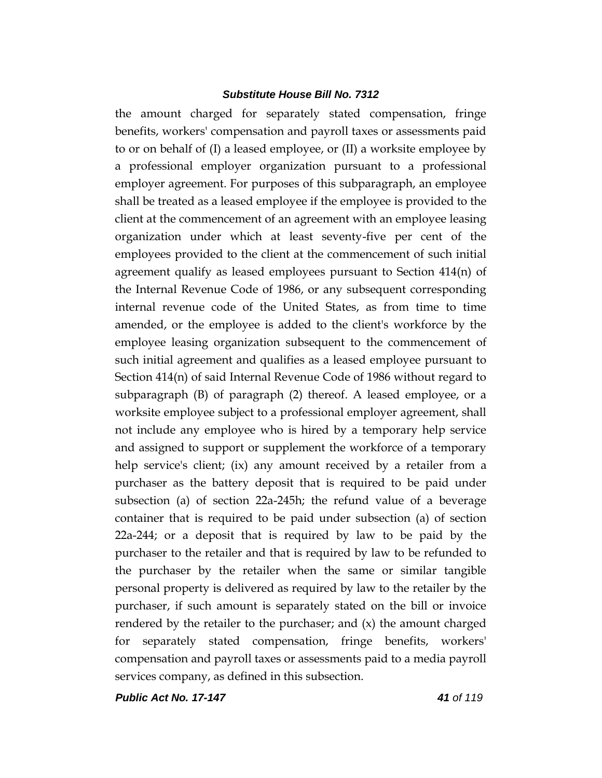the amount charged for separately stated compensation, fringe benefits, workers' compensation and payroll taxes or assessments paid to or on behalf of (I) a leased employee, or (II) a worksite employee by a professional employer organization pursuant to a professional employer agreement. For purposes of this subparagraph, an employee shall be treated as a leased employee if the employee is provided to the client at the commencement of an agreement with an employee leasing organization under which at least seventy-five per cent of the employees provided to the client at the commencement of such initial agreement qualify as leased employees pursuant to Section 414(n) of the Internal Revenue Code of 1986, or any subsequent corresponding internal revenue code of the United States, as from time to time amended, or the employee is added to the client's workforce by the employee leasing organization subsequent to the commencement of such initial agreement and qualifies as a leased employee pursuant to Section 414(n) of said Internal Revenue Code of 1986 without regard to subparagraph (B) of paragraph (2) thereof. A leased employee, or a worksite employee subject to a professional employer agreement, shall not include any employee who is hired by a temporary help service and assigned to support or supplement the workforce of a temporary help service's client; (ix) any amount received by a retailer from a purchaser as the battery deposit that is required to be paid under subsection (a) of section 22a-245h; the refund value of a beverage container that is required to be paid under subsection (a) of section 22a-244; or a deposit that is required by law to be paid by the purchaser to the retailer and that is required by law to be refunded to the purchaser by the retailer when the same or similar tangible personal property is delivered as required by law to the retailer by the purchaser, if such amount is separately stated on the bill or invoice rendered by the retailer to the purchaser; and  $(x)$  the amount charged for separately stated compensation, fringe benefits, workers' compensation and payroll taxes or assessments paid to a media payroll services company, as defined in this subsection.

*Public Act No. 17-147 41 of 119*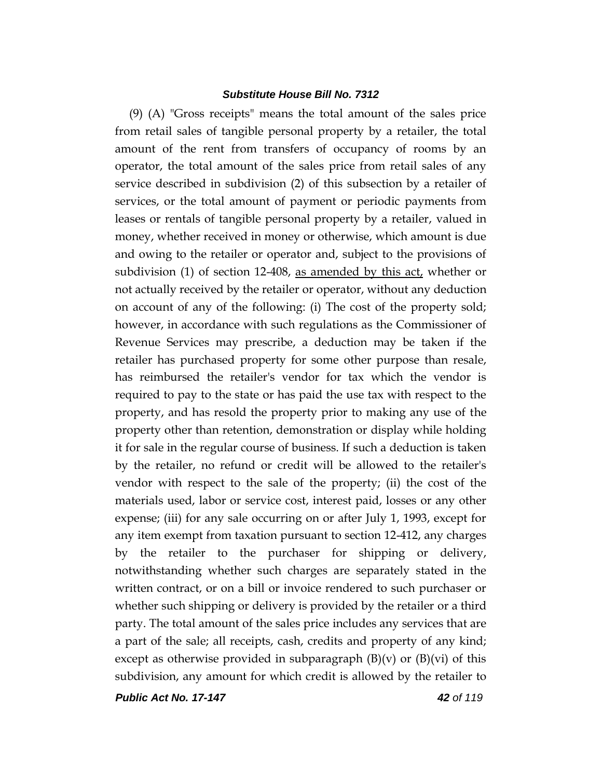(9) (A) "Gross receipts" means the total amount of the sales price from retail sales of tangible personal property by a retailer, the total amount of the rent from transfers of occupancy of rooms by an operator, the total amount of the sales price from retail sales of any service described in subdivision (2) of this subsection by a retailer of services, or the total amount of payment or periodic payments from leases or rentals of tangible personal property by a retailer, valued in money, whether received in money or otherwise, which amount is due and owing to the retailer or operator and, subject to the provisions of subdivision (1) of section 12-408, as amended by this act, whether or not actually received by the retailer or operator, without any deduction on account of any of the following: (i) The cost of the property sold; however, in accordance with such regulations as the Commissioner of Revenue Services may prescribe, a deduction may be taken if the retailer has purchased property for some other purpose than resale, has reimbursed the retailer's vendor for tax which the vendor is required to pay to the state or has paid the use tax with respect to the property, and has resold the property prior to making any use of the property other than retention, demonstration or display while holding it for sale in the regular course of business. If such a deduction is taken by the retailer, no refund or credit will be allowed to the retailer's vendor with respect to the sale of the property; (ii) the cost of the materials used, labor or service cost, interest paid, losses or any other expense; (iii) for any sale occurring on or after July 1, 1993, except for any item exempt from taxation pursuant to section 12-412, any charges by the retailer to the purchaser for shipping or delivery, notwithstanding whether such charges are separately stated in the written contract, or on a bill or invoice rendered to such purchaser or whether such shipping or delivery is provided by the retailer or a third party. The total amount of the sales price includes any services that are a part of the sale; all receipts, cash, credits and property of any kind; except as otherwise provided in subparagraph  $(B)(v)$  or  $(B)(vi)$  of this subdivision, any amount for which credit is allowed by the retailer to

*Public Act No. 17-147 42 of 119*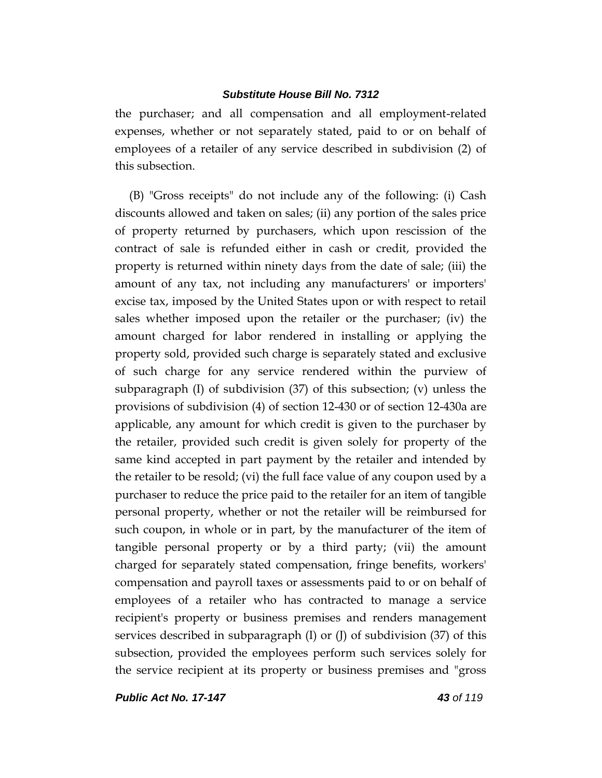the purchaser; and all compensation and all employment-related expenses, whether or not separately stated, paid to or on behalf of employees of a retailer of any service described in subdivision (2) of this subsection.

(B) "Gross receipts" do not include any of the following: (i) Cash discounts allowed and taken on sales; (ii) any portion of the sales price of property returned by purchasers, which upon rescission of the contract of sale is refunded either in cash or credit, provided the property is returned within ninety days from the date of sale; (iii) the amount of any tax, not including any manufacturers' or importers' excise tax, imposed by the United States upon or with respect to retail sales whether imposed upon the retailer or the purchaser; (iv) the amount charged for labor rendered in installing or applying the property sold, provided such charge is separately stated and exclusive of such charge for any service rendered within the purview of subparagraph  $(I)$  of subdivision  $(37)$  of this subsection;  $(v)$  unless the provisions of subdivision (4) of section 12-430 or of section 12-430a are applicable, any amount for which credit is given to the purchaser by the retailer, provided such credit is given solely for property of the same kind accepted in part payment by the retailer and intended by the retailer to be resold; (vi) the full face value of any coupon used by a purchaser to reduce the price paid to the retailer for an item of tangible personal property, whether or not the retailer will be reimbursed for such coupon, in whole or in part, by the manufacturer of the item of tangible personal property or by a third party; (vii) the amount charged for separately stated compensation, fringe benefits, workers' compensation and payroll taxes or assessments paid to or on behalf of employees of a retailer who has contracted to manage a service recipient's property or business premises and renders management services described in subparagraph  $(I)$  or  $(J)$  of subdivision  $(37)$  of this subsection, provided the employees perform such services solely for the service recipient at its property or business premises and "gross

*Public Act No. 17-147 43 of 119*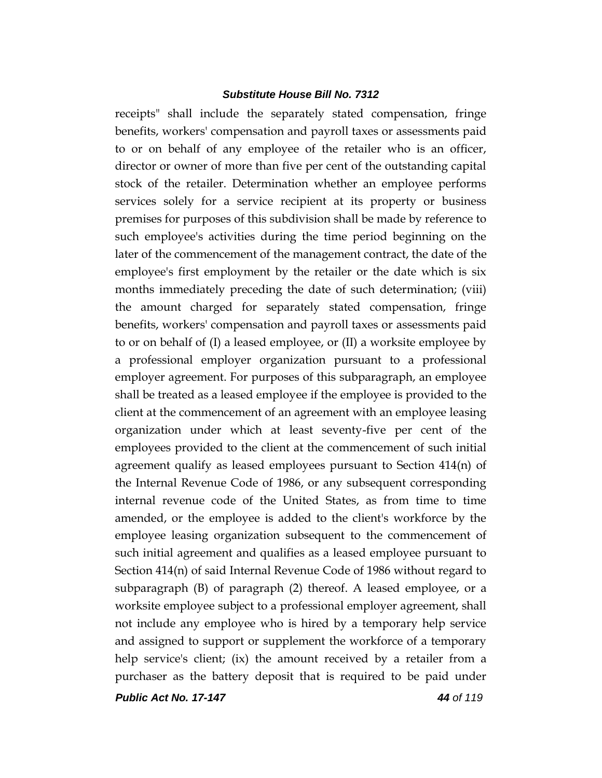receipts" shall include the separately stated compensation, fringe benefits, workers' compensation and payroll taxes or assessments paid to or on behalf of any employee of the retailer who is an officer, director or owner of more than five per cent of the outstanding capital stock of the retailer. Determination whether an employee performs services solely for a service recipient at its property or business premises for purposes of this subdivision shall be made by reference to such employee's activities during the time period beginning on the later of the commencement of the management contract, the date of the employee's first employment by the retailer or the date which is six months immediately preceding the date of such determination; (viii) the amount charged for separately stated compensation, fringe benefits, workers' compensation and payroll taxes or assessments paid to or on behalf of (I) a leased employee, or (II) a worksite employee by a professional employer organization pursuant to a professional employer agreement. For purposes of this subparagraph, an employee shall be treated as a leased employee if the employee is provided to the client at the commencement of an agreement with an employee leasing organization under which at least seventy-five per cent of the employees provided to the client at the commencement of such initial agreement qualify as leased employees pursuant to Section 414(n) of the Internal Revenue Code of 1986, or any subsequent corresponding internal revenue code of the United States, as from time to time amended, or the employee is added to the client's workforce by the employee leasing organization subsequent to the commencement of such initial agreement and qualifies as a leased employee pursuant to Section 414(n) of said Internal Revenue Code of 1986 without regard to subparagraph (B) of paragraph (2) thereof. A leased employee, or a worksite employee subject to a professional employer agreement, shall not include any employee who is hired by a temporary help service and assigned to support or supplement the workforce of a temporary help service's client; (ix) the amount received by a retailer from a purchaser as the battery deposit that is required to be paid under

*Public Act No. 17-147 44 of 119*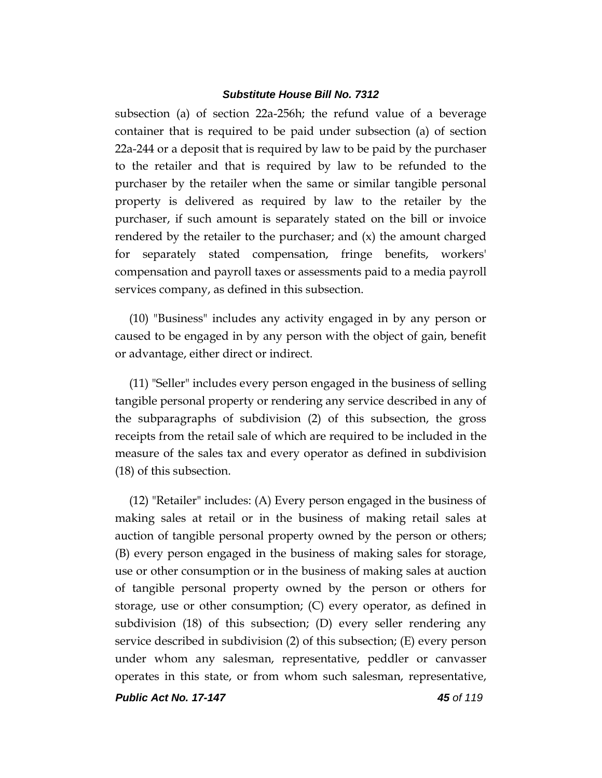subsection (a) of section 22a-256h; the refund value of a beverage container that is required to be paid under subsection (a) of section 22a-244 or a deposit that is required by law to be paid by the purchaser to the retailer and that is required by law to be refunded to the purchaser by the retailer when the same or similar tangible personal property is delivered as required by law to the retailer by the purchaser, if such amount is separately stated on the bill or invoice rendered by the retailer to the purchaser; and (x) the amount charged for separately stated compensation, fringe benefits, workers' compensation and payroll taxes or assessments paid to a media payroll services company, as defined in this subsection.

(10) "Business" includes any activity engaged in by any person or caused to be engaged in by any person with the object of gain, benefit or advantage, either direct or indirect.

(11) "Seller" includes every person engaged in the business of selling tangible personal property or rendering any service described in any of the subparagraphs of subdivision (2) of this subsection, the gross receipts from the retail sale of which are required to be included in the measure of the sales tax and every operator as defined in subdivision (18) of this subsection.

(12) "Retailer" includes: (A) Every person engaged in the business of making sales at retail or in the business of making retail sales at auction of tangible personal property owned by the person or others; (B) every person engaged in the business of making sales for storage, use or other consumption or in the business of making sales at auction of tangible personal property owned by the person or others for storage, use or other consumption; (C) every operator, as defined in subdivision (18) of this subsection; (D) every seller rendering any service described in subdivision (2) of this subsection; (E) every person under whom any salesman, representative, peddler or canvasser operates in this state, or from whom such salesman, representative,

*Public Act No. 17-147 45 of 119*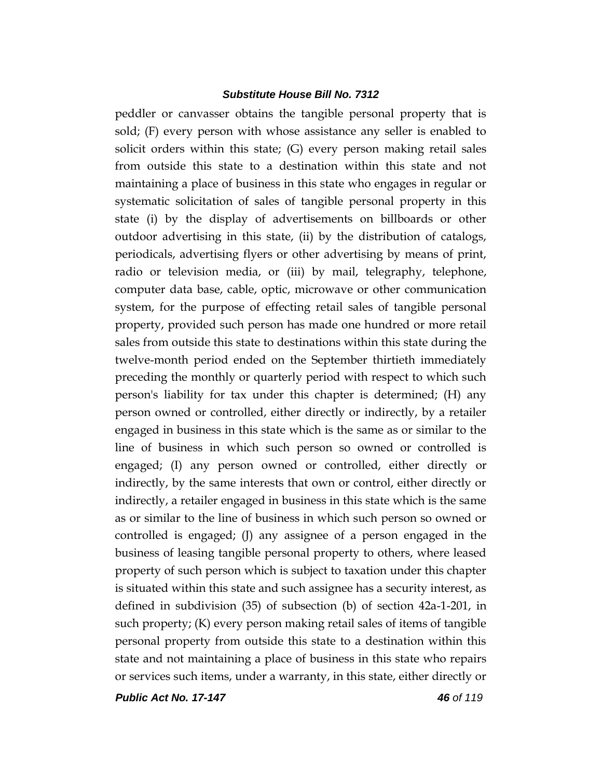peddler or canvasser obtains the tangible personal property that is sold; (F) every person with whose assistance any seller is enabled to solicit orders within this state; (G) every person making retail sales from outside this state to a destination within this state and not maintaining a place of business in this state who engages in regular or systematic solicitation of sales of tangible personal property in this state (i) by the display of advertisements on billboards or other outdoor advertising in this state, (ii) by the distribution of catalogs, periodicals, advertising flyers or other advertising by means of print, radio or television media, or (iii) by mail, telegraphy, telephone, computer data base, cable, optic, microwave or other communication system, for the purpose of effecting retail sales of tangible personal property, provided such person has made one hundred or more retail sales from outside this state to destinations within this state during the twelve-month period ended on the September thirtieth immediately preceding the monthly or quarterly period with respect to which such person's liability for tax under this chapter is determined; (H) any person owned or controlled, either directly or indirectly, by a retailer engaged in business in this state which is the same as or similar to the line of business in which such person so owned or controlled is engaged; (I) any person owned or controlled, either directly or indirectly, by the same interests that own or control, either directly or indirectly, a retailer engaged in business in this state which is the same as or similar to the line of business in which such person so owned or controlled is engaged; (J) any assignee of a person engaged in the business of leasing tangible personal property to others, where leased property of such person which is subject to taxation under this chapter is situated within this state and such assignee has a security interest, as defined in subdivision (35) of subsection (b) of section 42a-1-201, in such property; (K) every person making retail sales of items of tangible personal property from outside this state to a destination within this state and not maintaining a place of business in this state who repairs or services such items, under a warranty, in this state, either directly or

*Public Act No. 17-147 46 of 119*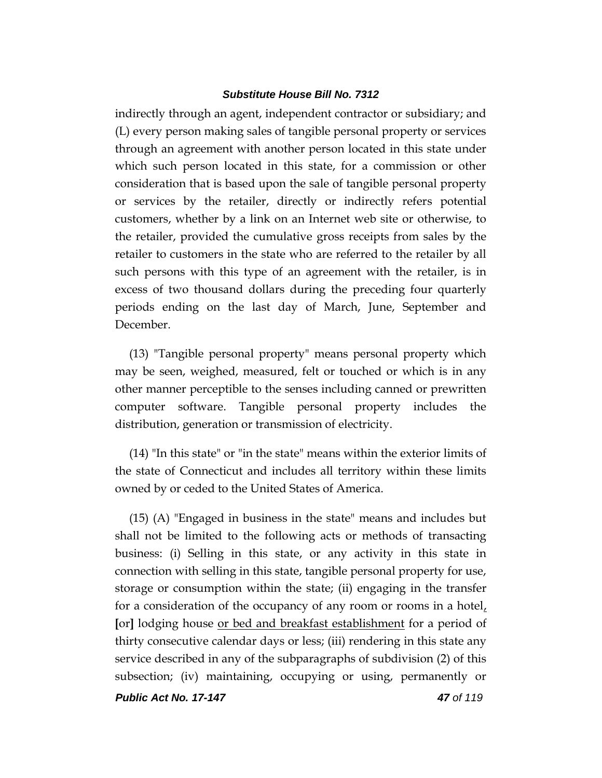indirectly through an agent, independent contractor or subsidiary; and (L) every person making sales of tangible personal property or services through an agreement with another person located in this state under which such person located in this state, for a commission or other consideration that is based upon the sale of tangible personal property or services by the retailer, directly or indirectly refers potential customers, whether by a link on an Internet web site or otherwise, to the retailer, provided the cumulative gross receipts from sales by the retailer to customers in the state who are referred to the retailer by all such persons with this type of an agreement with the retailer, is in excess of two thousand dollars during the preceding four quarterly periods ending on the last day of March, June, September and December.

(13) "Tangible personal property" means personal property which may be seen, weighed, measured, felt or touched or which is in any other manner perceptible to the senses including canned or prewritten computer software. Tangible personal property includes the distribution, generation or transmission of electricity.

(14) "In this state" or "in the state" means within the exterior limits of the state of Connecticut and includes all territory within these limits owned by or ceded to the United States of America.

(15) (A) "Engaged in business in the state" means and includes but shall not be limited to the following acts or methods of transacting business: (i) Selling in this state, or any activity in this state in connection with selling in this state, tangible personal property for use, storage or consumption within the state; (ii) engaging in the transfer for a consideration of the occupancy of any room or rooms in a hotel, **[**or**]** lodging house or bed and breakfast establishment for a period of thirty consecutive calendar days or less; (iii) rendering in this state any service described in any of the subparagraphs of subdivision (2) of this subsection; (iv) maintaining, occupying or using, permanently or

*Public Act No. 17-147 47 of 119*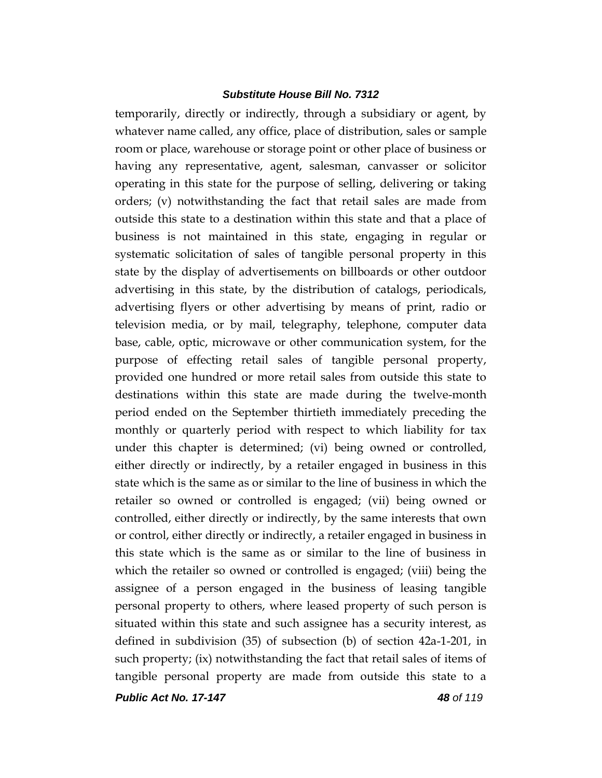temporarily, directly or indirectly, through a subsidiary or agent, by whatever name called, any office, place of distribution, sales or sample room or place, warehouse or storage point or other place of business or having any representative, agent, salesman, canvasser or solicitor operating in this state for the purpose of selling, delivering or taking orders; (v) notwithstanding the fact that retail sales are made from outside this state to a destination within this state and that a place of business is not maintained in this state, engaging in regular or systematic solicitation of sales of tangible personal property in this state by the display of advertisements on billboards or other outdoor advertising in this state, by the distribution of catalogs, periodicals, advertising flyers or other advertising by means of print, radio or television media, or by mail, telegraphy, telephone, computer data base, cable, optic, microwave or other communication system, for the purpose of effecting retail sales of tangible personal property, provided one hundred or more retail sales from outside this state to destinations within this state are made during the twelve-month period ended on the September thirtieth immediately preceding the monthly or quarterly period with respect to which liability for tax under this chapter is determined; (vi) being owned or controlled, either directly or indirectly, by a retailer engaged in business in this state which is the same as or similar to the line of business in which the retailer so owned or controlled is engaged; (vii) being owned or controlled, either directly or indirectly, by the same interests that own or control, either directly or indirectly, a retailer engaged in business in this state which is the same as or similar to the line of business in which the retailer so owned or controlled is engaged; (viii) being the assignee of a person engaged in the business of leasing tangible personal property to others, where leased property of such person is situated within this state and such assignee has a security interest, as defined in subdivision (35) of subsection (b) of section 42a-1-201, in such property; (ix) notwithstanding the fact that retail sales of items of tangible personal property are made from outside this state to a

*Public Act No. 17-147 48 of 119*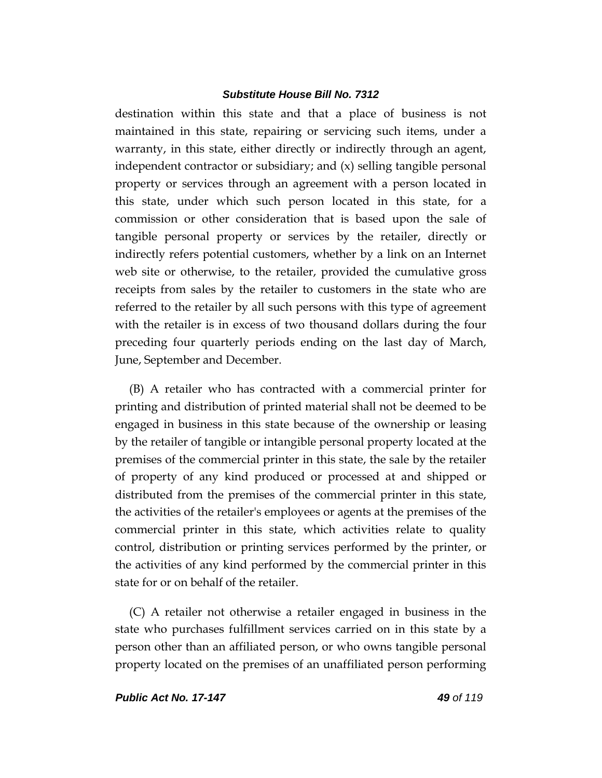destination within this state and that a place of business is not maintained in this state, repairing or servicing such items, under a warranty, in this state, either directly or indirectly through an agent, independent contractor or subsidiary; and (x) selling tangible personal property or services through an agreement with a person located in this state, under which such person located in this state, for a commission or other consideration that is based upon the sale of tangible personal property or services by the retailer, directly or indirectly refers potential customers, whether by a link on an Internet web site or otherwise, to the retailer, provided the cumulative gross receipts from sales by the retailer to customers in the state who are referred to the retailer by all such persons with this type of agreement with the retailer is in excess of two thousand dollars during the four preceding four quarterly periods ending on the last day of March, June, September and December.

(B) A retailer who has contracted with a commercial printer for printing and distribution of printed material shall not be deemed to be engaged in business in this state because of the ownership or leasing by the retailer of tangible or intangible personal property located at the premises of the commercial printer in this state, the sale by the retailer of property of any kind produced or processed at and shipped or distributed from the premises of the commercial printer in this state, the activities of the retailer's employees or agents at the premises of the commercial printer in this state, which activities relate to quality control, distribution or printing services performed by the printer, or the activities of any kind performed by the commercial printer in this state for or on behalf of the retailer.

(C) A retailer not otherwise a retailer engaged in business in the state who purchases fulfillment services carried on in this state by a person other than an affiliated person, or who owns tangible personal property located on the premises of an unaffiliated person performing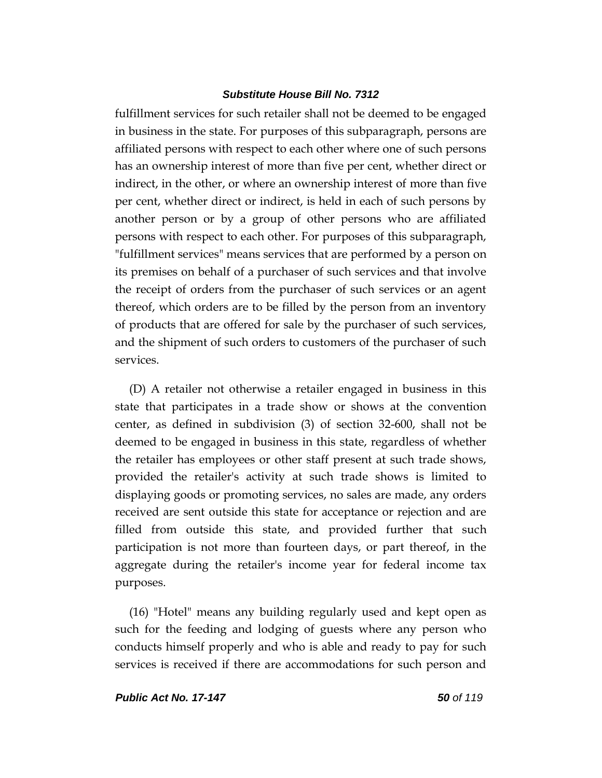fulfillment services for such retailer shall not be deemed to be engaged in business in the state. For purposes of this subparagraph, persons are affiliated persons with respect to each other where one of such persons has an ownership interest of more than five per cent, whether direct or indirect, in the other, or where an ownership interest of more than five per cent, whether direct or indirect, is held in each of such persons by another person or by a group of other persons who are affiliated persons with respect to each other. For purposes of this subparagraph, "fulfillment services" means services that are performed by a person on its premises on behalf of a purchaser of such services and that involve the receipt of orders from the purchaser of such services or an agent thereof, which orders are to be filled by the person from an inventory of products that are offered for sale by the purchaser of such services, and the shipment of such orders to customers of the purchaser of such services.

(D) A retailer not otherwise a retailer engaged in business in this state that participates in a trade show or shows at the convention center, as defined in subdivision (3) of section 32-600, shall not be deemed to be engaged in business in this state, regardless of whether the retailer has employees or other staff present at such trade shows, provided the retailer's activity at such trade shows is limited to displaying goods or promoting services, no sales are made, any orders received are sent outside this state for acceptance or rejection and are filled from outside this state, and provided further that such participation is not more than fourteen days, or part thereof, in the aggregate during the retailer's income year for federal income tax purposes.

(16) "Hotel" means any building regularly used and kept open as such for the feeding and lodging of guests where any person who conducts himself properly and who is able and ready to pay for such services is received if there are accommodations for such person and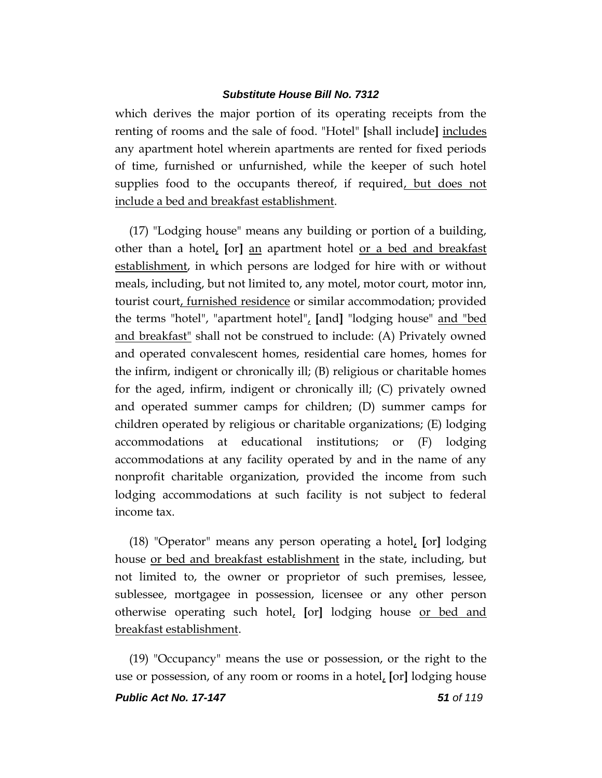which derives the major portion of its operating receipts from the renting of rooms and the sale of food. "Hotel" **[**shall include**]** includes any apartment hotel wherein apartments are rented for fixed periods of time, furnished or unfurnished, while the keeper of such hotel supplies food to the occupants thereof, if required, but does not include a bed and breakfast establishment.

(17) "Lodging house" means any building or portion of a building, other than a hotel, **[**or**]** an apartment hotel or a bed and breakfast establishment, in which persons are lodged for hire with or without meals, including, but not limited to, any motel, motor court, motor inn, tourist court, furnished residence or similar accommodation; provided the terms "hotel", "apartment hotel", **[**and**]** "lodging house" and "bed and breakfast" shall not be construed to include: (A) Privately owned and operated convalescent homes, residential care homes, homes for the infirm, indigent or chronically ill; (B) religious or charitable homes for the aged, infirm, indigent or chronically ill; (C) privately owned and operated summer camps for children; (D) summer camps for children operated by religious or charitable organizations; (E) lodging accommodations at educational institutions; or (F) lodging accommodations at any facility operated by and in the name of any nonprofit charitable organization, provided the income from such lodging accommodations at such facility is not subject to federal income tax.

(18) "Operator" means any person operating a hotel, **[**or**]** lodging house or bed and breakfast establishment in the state, including, but not limited to, the owner or proprietor of such premises, lessee, sublessee, mortgagee in possession, licensee or any other person otherwise operating such hotel, **[**or**]** lodging house or bed and breakfast establishment.

*Public Act No. 17-147 51 of 119* (19) "Occupancy" means the use or possession, or the right to the use or possession, of any room or rooms in a hotel, **[**or**]** lodging house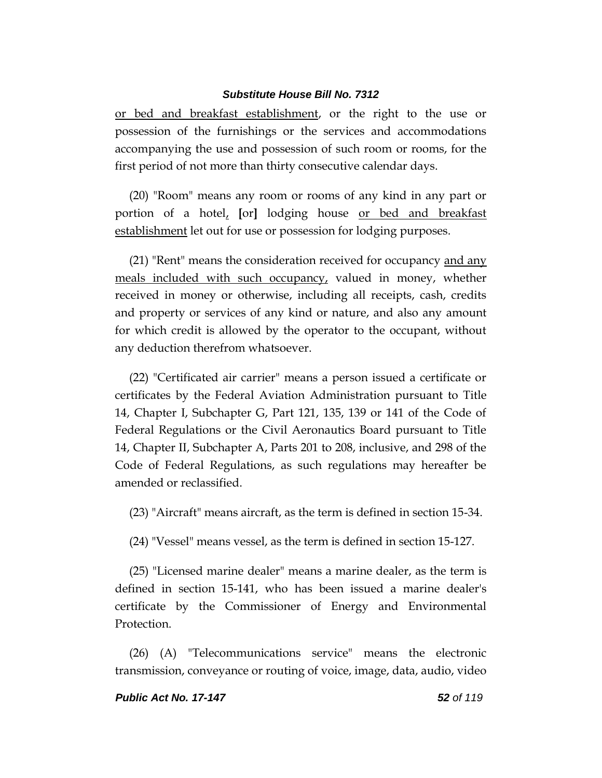or bed and breakfast establishment, or the right to the use or possession of the furnishings or the services and accommodations accompanying the use and possession of such room or rooms, for the first period of not more than thirty consecutive calendar days.

(20) "Room" means any room or rooms of any kind in any part or portion of a hotel, **[**or**]** lodging house or bed and breakfast establishment let out for use or possession for lodging purposes.

(21) "Rent" means the consideration received for occupancy and any meals included with such occupancy, valued in money, whether received in money or otherwise, including all receipts, cash, credits and property or services of any kind or nature, and also any amount for which credit is allowed by the operator to the occupant, without any deduction therefrom whatsoever.

(22) "Certificated air carrier" means a person issued a certificate or certificates by the Federal Aviation Administration pursuant to Title 14, Chapter I, Subchapter G, Part 121, 135, 139 or 141 of the Code of Federal Regulations or the Civil Aeronautics Board pursuant to Title 14, Chapter II, Subchapter A, Parts 201 to 208, inclusive, and 298 of the Code of Federal Regulations, as such regulations may hereafter be amended or reclassified.

(23) "Aircraft" means aircraft, as the term is defined in section 15-34.

(24) "Vessel" means vessel, as the term is defined in section 15-127.

(25) "Licensed marine dealer" means a marine dealer, as the term is defined in section 15-141, who has been issued a marine dealer's certificate by the Commissioner of Energy and Environmental Protection.

(26) (A) "Telecommunications service" means the electronic transmission, conveyance or routing of voice, image, data, audio, video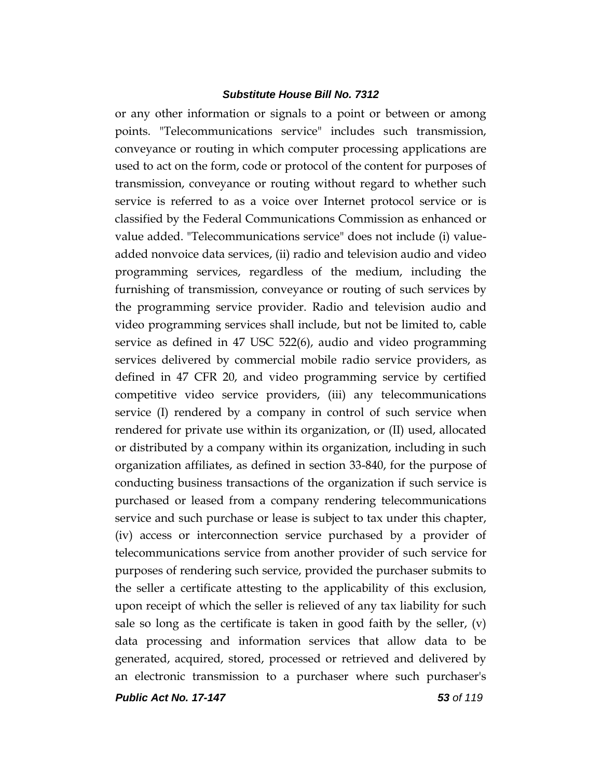or any other information or signals to a point or between or among points. "Telecommunications service" includes such transmission, conveyance or routing in which computer processing applications are used to act on the form, code or protocol of the content for purposes of transmission, conveyance or routing without regard to whether such service is referred to as a voice over Internet protocol service or is classified by the Federal Communications Commission as enhanced or value added. "Telecommunications service" does not include (i) valueadded nonvoice data services, (ii) radio and television audio and video programming services, regardless of the medium, including the furnishing of transmission, conveyance or routing of such services by the programming service provider. Radio and television audio and video programming services shall include, but not be limited to, cable service as defined in 47 USC 522(6), audio and video programming services delivered by commercial mobile radio service providers, as defined in 47 CFR 20, and video programming service by certified competitive video service providers, (iii) any telecommunications service (I) rendered by a company in control of such service when rendered for private use within its organization, or (II) used, allocated or distributed by a company within its organization, including in such organization affiliates, as defined in section 33-840, for the purpose of conducting business transactions of the organization if such service is purchased or leased from a company rendering telecommunications service and such purchase or lease is subject to tax under this chapter, (iv) access or interconnection service purchased by a provider of telecommunications service from another provider of such service for purposes of rendering such service, provided the purchaser submits to the seller a certificate attesting to the applicability of this exclusion, upon receipt of which the seller is relieved of any tax liability for such sale so long as the certificate is taken in good faith by the seller, (v) data processing and information services that allow data to be generated, acquired, stored, processed or retrieved and delivered by an electronic transmission to a purchaser where such purchaser's

*Public Act No. 17-147 53 of 119*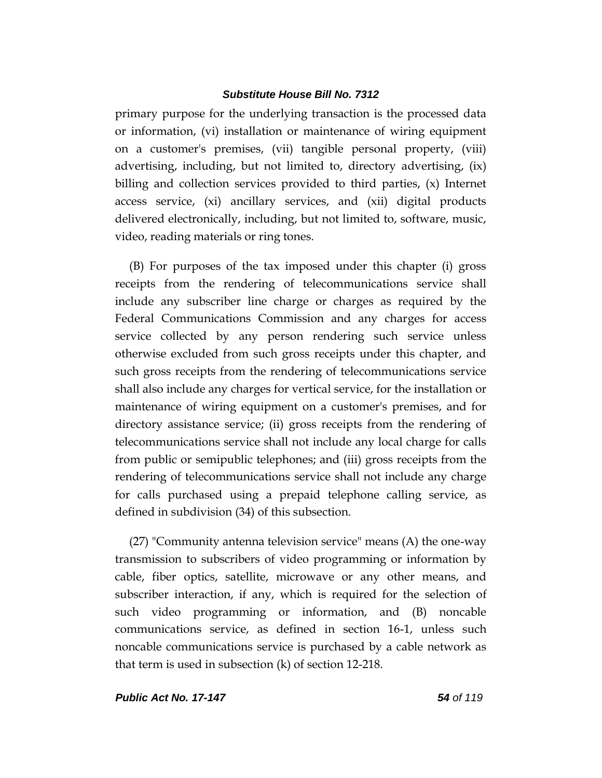primary purpose for the underlying transaction is the processed data or information, (vi) installation or maintenance of wiring equipment on a customer's premises, (vii) tangible personal property, (viii) advertising, including, but not limited to, directory advertising, (ix) billing and collection services provided to third parties, (x) Internet access service, (xi) ancillary services, and (xii) digital products delivered electronically, including, but not limited to, software, music, video, reading materials or ring tones.

(B) For purposes of the tax imposed under this chapter (i) gross receipts from the rendering of telecommunications service shall include any subscriber line charge or charges as required by the Federal Communications Commission and any charges for access service collected by any person rendering such service unless otherwise excluded from such gross receipts under this chapter, and such gross receipts from the rendering of telecommunications service shall also include any charges for vertical service, for the installation or maintenance of wiring equipment on a customer's premises, and for directory assistance service; (ii) gross receipts from the rendering of telecommunications service shall not include any local charge for calls from public or semipublic telephones; and (iii) gross receipts from the rendering of telecommunications service shall not include any charge for calls purchased using a prepaid telephone calling service, as defined in subdivision (34) of this subsection.

(27) "Community antenna television service" means (A) the one-way transmission to subscribers of video programming or information by cable, fiber optics, satellite, microwave or any other means, and subscriber interaction, if any, which is required for the selection of such video programming or information, and (B) noncable communications service, as defined in section 16-1, unless such noncable communications service is purchased by a cable network as that term is used in subsection (k) of section 12-218.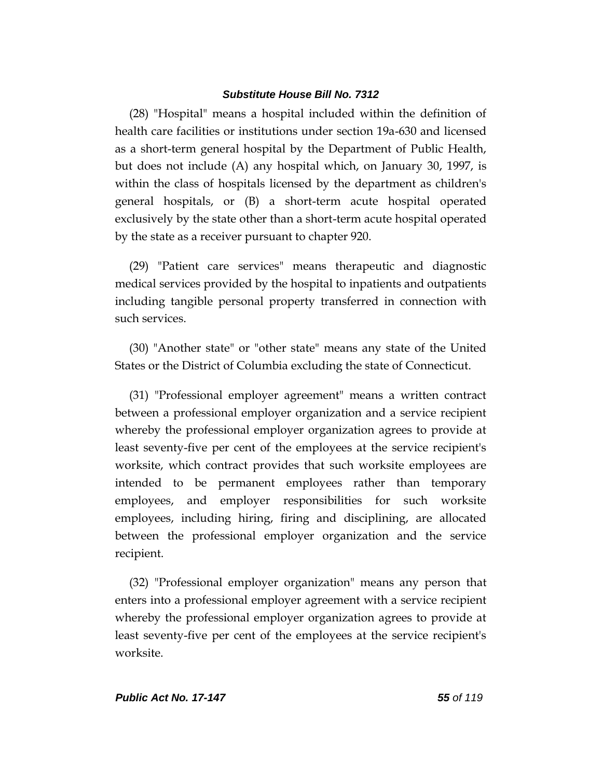(28) "Hospital" means a hospital included within the definition of health care facilities or institutions under section 19a-630 and licensed as a short-term general hospital by the Department of Public Health, but does not include (A) any hospital which, on January 30, 1997, is within the class of hospitals licensed by the department as children's general hospitals, or (B) a short-term acute hospital operated exclusively by the state other than a short-term acute hospital operated by the state as a receiver pursuant to chapter 920.

(29) "Patient care services" means therapeutic and diagnostic medical services provided by the hospital to inpatients and outpatients including tangible personal property transferred in connection with such services.

(30) "Another state" or "other state" means any state of the United States or the District of Columbia excluding the state of Connecticut.

(31) "Professional employer agreement" means a written contract between a professional employer organization and a service recipient whereby the professional employer organization agrees to provide at least seventy-five per cent of the employees at the service recipient's worksite, which contract provides that such worksite employees are intended to be permanent employees rather than temporary employees, and employer responsibilities for such worksite employees, including hiring, firing and disciplining, are allocated between the professional employer organization and the service recipient.

(32) "Professional employer organization" means any person that enters into a professional employer agreement with a service recipient whereby the professional employer organization agrees to provide at least seventy-five per cent of the employees at the service recipient's worksite.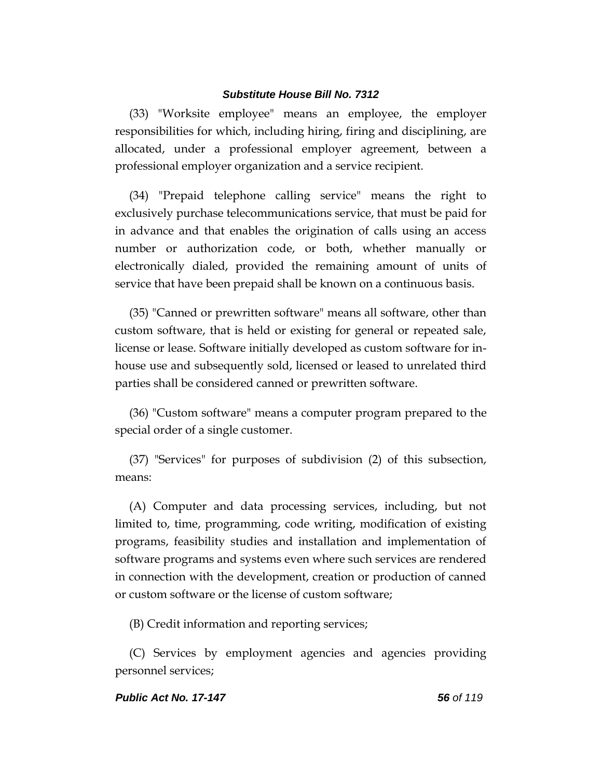(33) "Worksite employee" means an employee, the employer responsibilities for which, including hiring, firing and disciplining, are allocated, under a professional employer agreement, between a professional employer organization and a service recipient.

(34) "Prepaid telephone calling service" means the right to exclusively purchase telecommunications service, that must be paid for in advance and that enables the origination of calls using an access number or authorization code, or both, whether manually or electronically dialed, provided the remaining amount of units of service that have been prepaid shall be known on a continuous basis.

(35) "Canned or prewritten software" means all software, other than custom software, that is held or existing for general or repeated sale, license or lease. Software initially developed as custom software for inhouse use and subsequently sold, licensed or leased to unrelated third parties shall be considered canned or prewritten software.

(36) "Custom software" means a computer program prepared to the special order of a single customer.

(37) "Services" for purposes of subdivision (2) of this subsection, means:

(A) Computer and data processing services, including, but not limited to, time, programming, code writing, modification of existing programs, feasibility studies and installation and implementation of software programs and systems even where such services are rendered in connection with the development, creation or production of canned or custom software or the license of custom software;

(B) Credit information and reporting services;

(C) Services by employment agencies and agencies providing personnel services;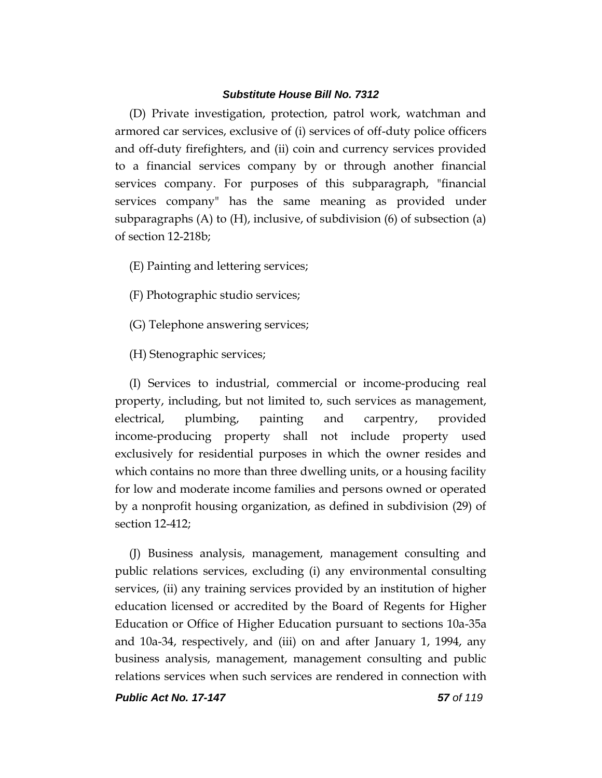(D) Private investigation, protection, patrol work, watchman and armored car services, exclusive of (i) services of off-duty police officers and off-duty firefighters, and (ii) coin and currency services provided to a financial services company by or through another financial services company. For purposes of this subparagraph, "financial services company" has the same meaning as provided under subparagraphs  $(A)$  to  $(H)$ , inclusive, of subdivision  $(6)$  of subsection  $(a)$ of section 12-218b;

(E) Painting and lettering services;

(F) Photographic studio services;

(G) Telephone answering services;

(H) Stenographic services;

(I) Services to industrial, commercial or income-producing real property, including, but not limited to, such services as management, electrical, plumbing, painting and carpentry, provided income-producing property shall not include property used exclusively for residential purposes in which the owner resides and which contains no more than three dwelling units, or a housing facility for low and moderate income families and persons owned or operated by a nonprofit housing organization, as defined in subdivision (29) of section 12-412;

(J) Business analysis, management, management consulting and public relations services, excluding (i) any environmental consulting services, (ii) any training services provided by an institution of higher education licensed or accredited by the Board of Regents for Higher Education or Office of Higher Education pursuant to sections 10a-35a and 10a-34, respectively, and (iii) on and after January 1, 1994, any business analysis, management, management consulting and public relations services when such services are rendered in connection with

*Public Act No. 17-147 57 of 119*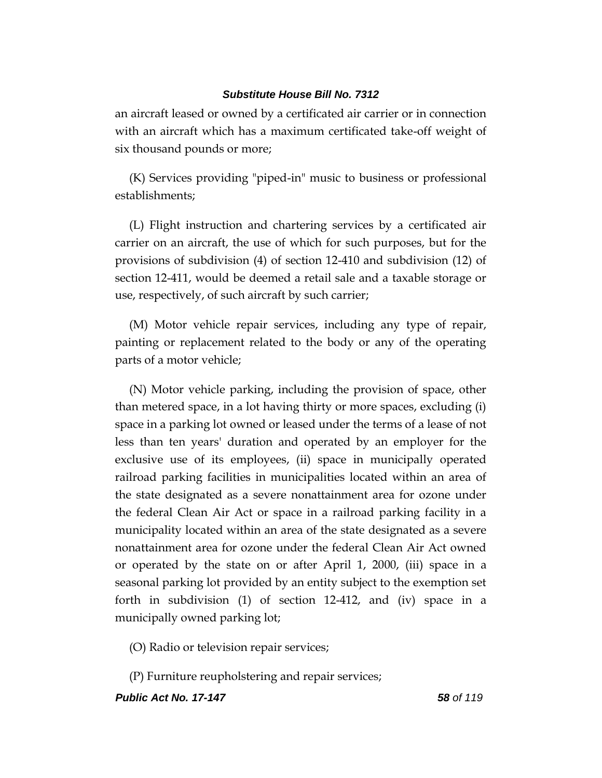an aircraft leased or owned by a certificated air carrier or in connection with an aircraft which has a maximum certificated take-off weight of six thousand pounds or more;

(K) Services providing "piped-in" music to business or professional establishments;

(L) Flight instruction and chartering services by a certificated air carrier on an aircraft, the use of which for such purposes, but for the provisions of subdivision (4) of section 12-410 and subdivision (12) of section 12-411, would be deemed a retail sale and a taxable storage or use, respectively, of such aircraft by such carrier;

(M) Motor vehicle repair services, including any type of repair, painting or replacement related to the body or any of the operating parts of a motor vehicle;

(N) Motor vehicle parking, including the provision of space, other than metered space, in a lot having thirty or more spaces, excluding (i) space in a parking lot owned or leased under the terms of a lease of not less than ten years' duration and operated by an employer for the exclusive use of its employees, (ii) space in municipally operated railroad parking facilities in municipalities located within an area of the state designated as a severe nonattainment area for ozone under the federal Clean Air Act or space in a railroad parking facility in a municipality located within an area of the state designated as a severe nonattainment area for ozone under the federal Clean Air Act owned or operated by the state on or after April 1, 2000, (iii) space in a seasonal parking lot provided by an entity subject to the exemption set forth in subdivision (1) of section 12-412, and (iv) space in a municipally owned parking lot;

(O) Radio or television repair services;

(P) Furniture reupholstering and repair services;

*Public Act No. 17-147 58 of 119*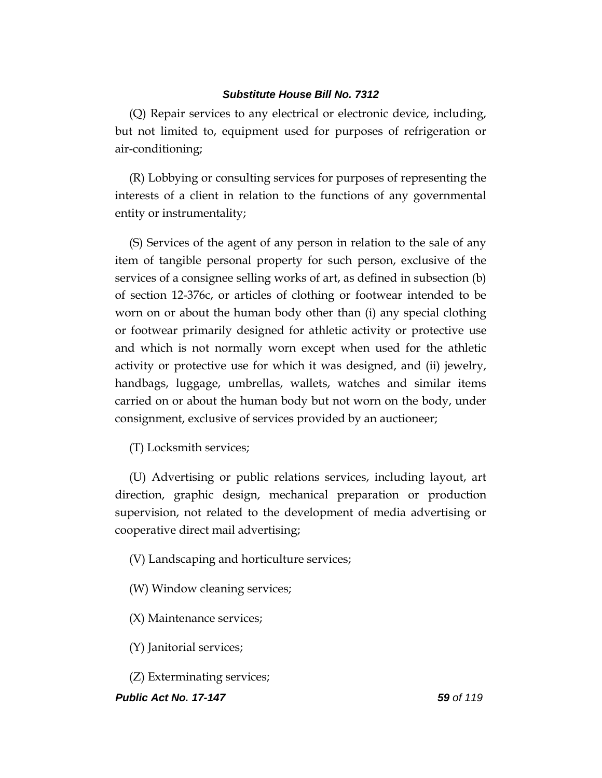(Q) Repair services to any electrical or electronic device, including, but not limited to, equipment used for purposes of refrigeration or air-conditioning;

(R) Lobbying or consulting services for purposes of representing the interests of a client in relation to the functions of any governmental entity or instrumentality;

(S) Services of the agent of any person in relation to the sale of any item of tangible personal property for such person, exclusive of the services of a consignee selling works of art, as defined in subsection (b) of section 12-376c, or articles of clothing or footwear intended to be worn on or about the human body other than (i) any special clothing or footwear primarily designed for athletic activity or protective use and which is not normally worn except when used for the athletic activity or protective use for which it was designed, and (ii) jewelry, handbags, luggage, umbrellas, wallets, watches and similar items carried on or about the human body but not worn on the body, under consignment, exclusive of services provided by an auctioneer;

(T) Locksmith services;

(U) Advertising or public relations services, including layout, art direction, graphic design, mechanical preparation or production supervision, not related to the development of media advertising or cooperative direct mail advertising;

(V) Landscaping and horticulture services;

(W) Window cleaning services;

(X) Maintenance services;

(Y) Janitorial services;

(Z) Exterminating services;

### *Public Act No. 17-147 59 of 119*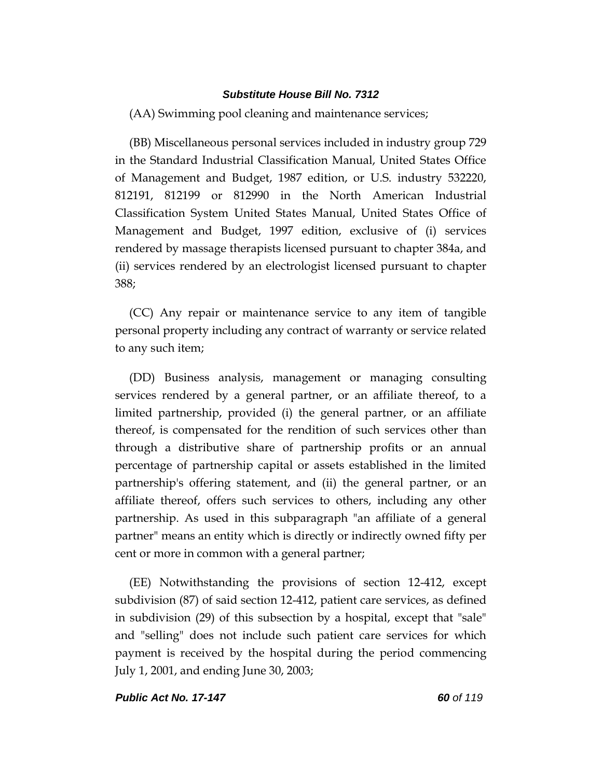(AA) Swimming pool cleaning and maintenance services;

(BB) Miscellaneous personal services included in industry group 729 in the Standard Industrial Classification Manual, United States Office of Management and Budget, 1987 edition, or U.S. industry 532220, 812191, 812199 or 812990 in the North American Industrial Classification System United States Manual, United States Office of Management and Budget, 1997 edition, exclusive of (i) services rendered by massage therapists licensed pursuant to chapter 384a, and (ii) services rendered by an electrologist licensed pursuant to chapter 388;

(CC) Any repair or maintenance service to any item of tangible personal property including any contract of warranty or service related to any such item;

(DD) Business analysis, management or managing consulting services rendered by a general partner, or an affiliate thereof, to a limited partnership, provided (i) the general partner, or an affiliate thereof, is compensated for the rendition of such services other than through a distributive share of partnership profits or an annual percentage of partnership capital or assets established in the limited partnership's offering statement, and (ii) the general partner, or an affiliate thereof, offers such services to others, including any other partnership. As used in this subparagraph "an affiliate of a general partner" means an entity which is directly or indirectly owned fifty per cent or more in common with a general partner;

(EE) Notwithstanding the provisions of section 12-412, except subdivision (87) of said section 12-412, patient care services, as defined in subdivision (29) of this subsection by a hospital, except that "sale" and "selling" does not include such patient care services for which payment is received by the hospital during the period commencing July 1, 2001, and ending June 30, 2003;

#### *Public Act No. 17-147 60 of 119*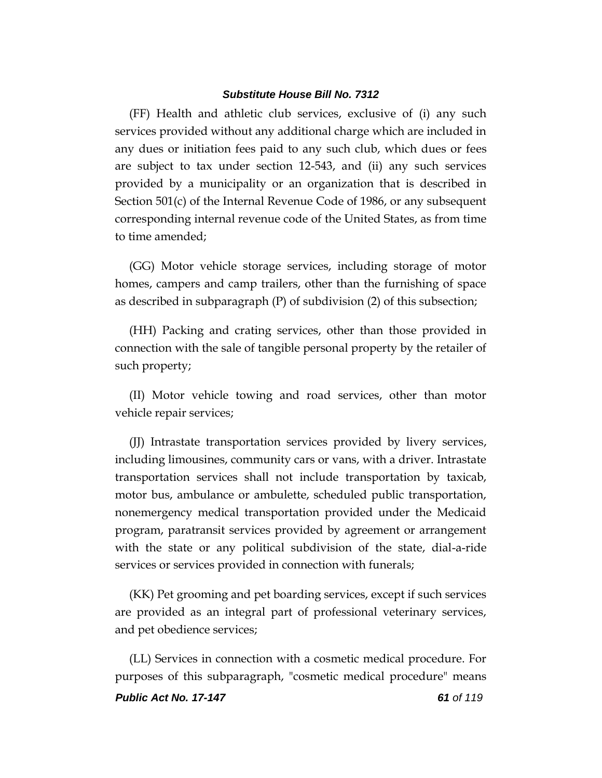(FF) Health and athletic club services, exclusive of (i) any such services provided without any additional charge which are included in any dues or initiation fees paid to any such club, which dues or fees are subject to tax under section 12-543, and (ii) any such services provided by a municipality or an organization that is described in Section 501(c) of the Internal Revenue Code of 1986, or any subsequent corresponding internal revenue code of the United States, as from time to time amended;

(GG) Motor vehicle storage services, including storage of motor homes, campers and camp trailers, other than the furnishing of space as described in subparagraph (P) of subdivision (2) of this subsection;

(HH) Packing and crating services, other than those provided in connection with the sale of tangible personal property by the retailer of such property;

(II) Motor vehicle towing and road services, other than motor vehicle repair services;

(JJ) Intrastate transportation services provided by livery services, including limousines, community cars or vans, with a driver. Intrastate transportation services shall not include transportation by taxicab, motor bus, ambulance or ambulette, scheduled public transportation, nonemergency medical transportation provided under the Medicaid program, paratransit services provided by agreement or arrangement with the state or any political subdivision of the state, dial-a-ride services or services provided in connection with funerals;

(KK) Pet grooming and pet boarding services, except if such services are provided as an integral part of professional veterinary services, and pet obedience services;

(LL) Services in connection with a cosmetic medical procedure. For purposes of this subparagraph, "cosmetic medical procedure" means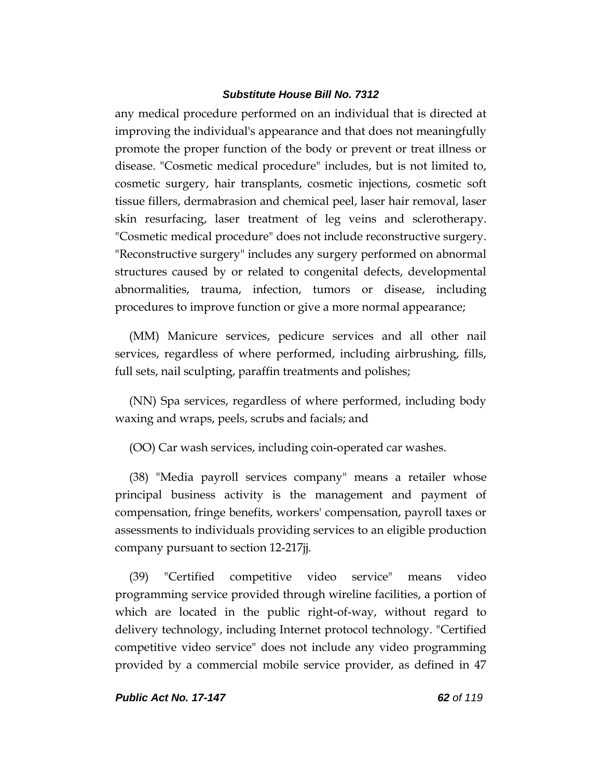any medical procedure performed on an individual that is directed at improving the individual's appearance and that does not meaningfully promote the proper function of the body or prevent or treat illness or disease. "Cosmetic medical procedure" includes, but is not limited to, cosmetic surgery, hair transplants, cosmetic injections, cosmetic soft tissue fillers, dermabrasion and chemical peel, laser hair removal, laser skin resurfacing, laser treatment of leg veins and sclerotherapy. "Cosmetic medical procedure" does not include reconstructive surgery. "Reconstructive surgery" includes any surgery performed on abnormal structures caused by or related to congenital defects, developmental abnormalities, trauma, infection, tumors or disease, including procedures to improve function or give a more normal appearance;

(MM) Manicure services, pedicure services and all other nail services, regardless of where performed, including airbrushing, fills, full sets, nail sculpting, paraffin treatments and polishes;

(NN) Spa services, regardless of where performed, including body waxing and wraps, peels, scrubs and facials; and

(OO) Car wash services, including coin-operated car washes.

(38) "Media payroll services company" means a retailer whose principal business activity is the management and payment of compensation, fringe benefits, workers' compensation, payroll taxes or assessments to individuals providing services to an eligible production company pursuant to section 12-217jj.

(39) "Certified competitive video service" means video programming service provided through wireline facilities, a portion of which are located in the public right-of-way, without regard to delivery technology, including Internet protocol technology. "Certified competitive video service" does not include any video programming provided by a commercial mobile service provider, as defined in 47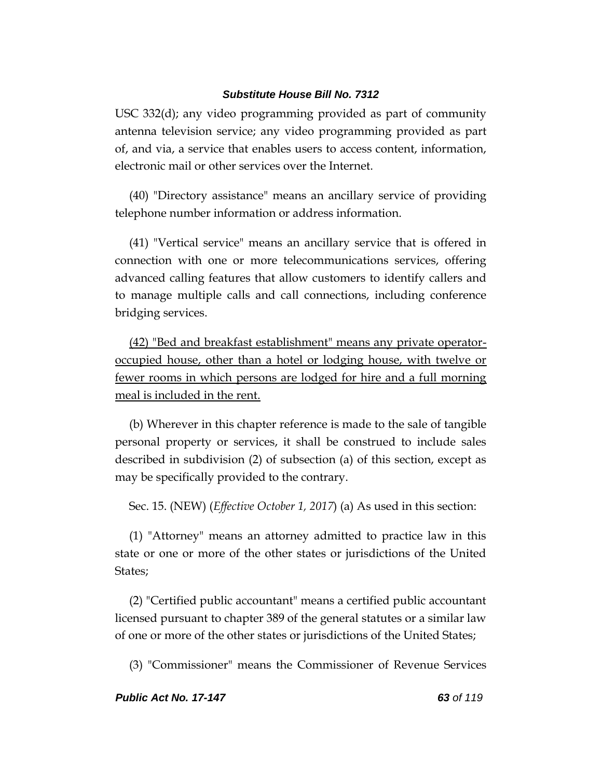USC 332(d); any video programming provided as part of community antenna television service; any video programming provided as part of, and via, a service that enables users to access content, information, electronic mail or other services over the Internet.

(40) "Directory assistance" means an ancillary service of providing telephone number information or address information.

(41) "Vertical service" means an ancillary service that is offered in connection with one or more telecommunications services, offering advanced calling features that allow customers to identify callers and to manage multiple calls and call connections, including conference bridging services.

(42) "Bed and breakfast establishment" means any private operatoroccupied house, other than a hotel or lodging house, with twelve or fewer rooms in which persons are lodged for hire and a full morning meal is included in the rent.

(b) Wherever in this chapter reference is made to the sale of tangible personal property or services, it shall be construed to include sales described in subdivision (2) of subsection (a) of this section, except as may be specifically provided to the contrary.

Sec. 15. (NEW) (*Effective October 1, 2017*) (a) As used in this section:

(1) "Attorney" means an attorney admitted to practice law in this state or one or more of the other states or jurisdictions of the United States;

(2) "Certified public accountant" means a certified public accountant licensed pursuant to chapter 389 of the general statutes or a similar law of one or more of the other states or jurisdictions of the United States;

(3) "Commissioner" means the Commissioner of Revenue Services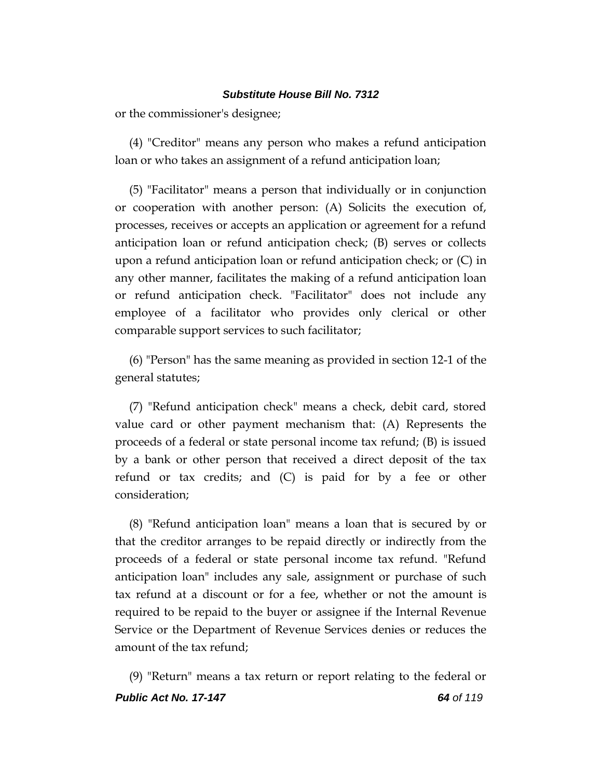or the commissioner's designee;

(4) "Creditor" means any person who makes a refund anticipation loan or who takes an assignment of a refund anticipation loan;

(5) "Facilitator" means a person that individually or in conjunction or cooperation with another person: (A) Solicits the execution of, processes, receives or accepts an application or agreement for a refund anticipation loan or refund anticipation check; (B) serves or collects upon a refund anticipation loan or refund anticipation check; or (C) in any other manner, facilitates the making of a refund anticipation loan or refund anticipation check. "Facilitator" does not include any employee of a facilitator who provides only clerical or other comparable support services to such facilitator;

(6) "Person" has the same meaning as provided in section 12-1 of the general statutes;

(7) "Refund anticipation check" means a check, debit card, stored value card or other payment mechanism that: (A) Represents the proceeds of a federal or state personal income tax refund; (B) is issued by a bank or other person that received a direct deposit of the tax refund or tax credits; and (C) is paid for by a fee or other consideration;

(8) "Refund anticipation loan" means a loan that is secured by or that the creditor arranges to be repaid directly or indirectly from the proceeds of a federal or state personal income tax refund. "Refund anticipation loan" includes any sale, assignment or purchase of such tax refund at a discount or for a fee, whether or not the amount is required to be repaid to the buyer or assignee if the Internal Revenue Service or the Department of Revenue Services denies or reduces the amount of the tax refund;

*Public Act No. 17-147 64 of 119* (9) "Return" means a tax return or report relating to the federal or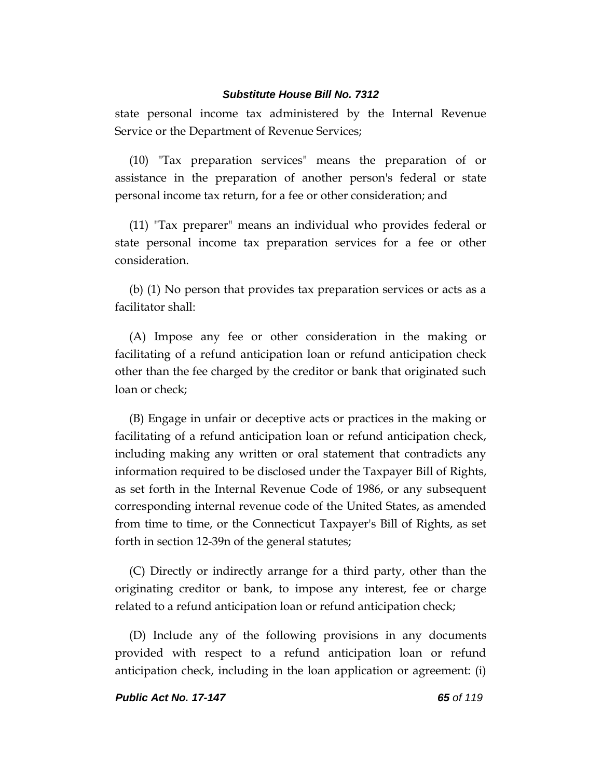state personal income tax administered by the Internal Revenue Service or the Department of Revenue Services;

(10) "Tax preparation services" means the preparation of or assistance in the preparation of another person's federal or state personal income tax return, for a fee or other consideration; and

(11) "Tax preparer" means an individual who provides federal or state personal income tax preparation services for a fee or other consideration.

(b) (1) No person that provides tax preparation services or acts as a facilitator shall:

(A) Impose any fee or other consideration in the making or facilitating of a refund anticipation loan or refund anticipation check other than the fee charged by the creditor or bank that originated such loan or check;

(B) Engage in unfair or deceptive acts or practices in the making or facilitating of a refund anticipation loan or refund anticipation check, including making any written or oral statement that contradicts any information required to be disclosed under the Taxpayer Bill of Rights, as set forth in the Internal Revenue Code of 1986, or any subsequent corresponding internal revenue code of the United States, as amended from time to time, or the Connecticut Taxpayer's Bill of Rights, as set forth in section 12-39n of the general statutes;

(C) Directly or indirectly arrange for a third party, other than the originating creditor or bank, to impose any interest, fee or charge related to a refund anticipation loan or refund anticipation check;

(D) Include any of the following provisions in any documents provided with respect to a refund anticipation loan or refund anticipation check, including in the loan application or agreement: (i)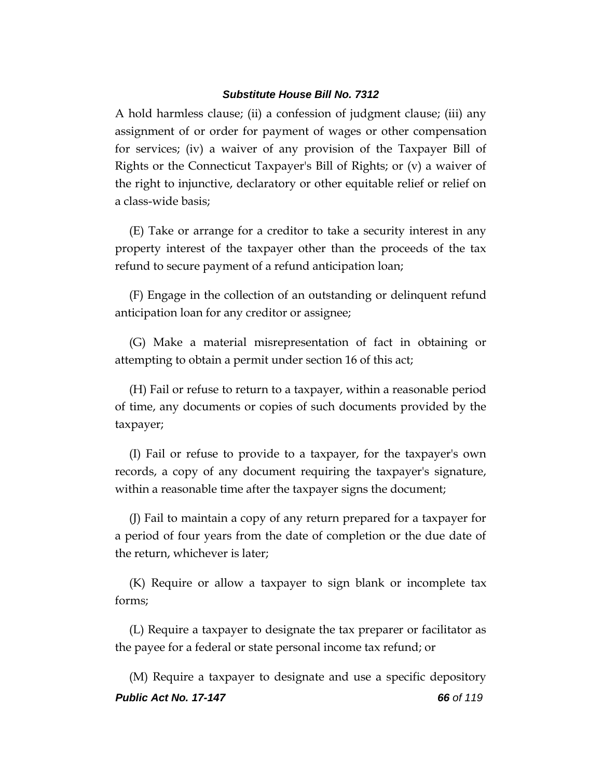A hold harmless clause; (ii) a confession of judgment clause; (iii) any assignment of or order for payment of wages or other compensation for services; (iv) a waiver of any provision of the Taxpayer Bill of Rights or the Connecticut Taxpayer's Bill of Rights; or (v) a waiver of the right to injunctive, declaratory or other equitable relief or relief on a class-wide basis;

(E) Take or arrange for a creditor to take a security interest in any property interest of the taxpayer other than the proceeds of the tax refund to secure payment of a refund anticipation loan;

(F) Engage in the collection of an outstanding or delinquent refund anticipation loan for any creditor or assignee;

(G) Make a material misrepresentation of fact in obtaining or attempting to obtain a permit under section 16 of this act;

(H) Fail or refuse to return to a taxpayer, within a reasonable period of time, any documents or copies of such documents provided by the taxpayer;

(I) Fail or refuse to provide to a taxpayer, for the taxpayer's own records, a copy of any document requiring the taxpayer's signature, within a reasonable time after the taxpayer signs the document;

(J) Fail to maintain a copy of any return prepared for a taxpayer for a period of four years from the date of completion or the due date of the return, whichever is later;

(K) Require or allow a taxpayer to sign blank or incomplete tax forms;

(L) Require a taxpayer to designate the tax preparer or facilitator as the payee for a federal or state personal income tax refund; or

*Public Act No. 17-147 66 of 119* (M) Require a taxpayer to designate and use a specific depository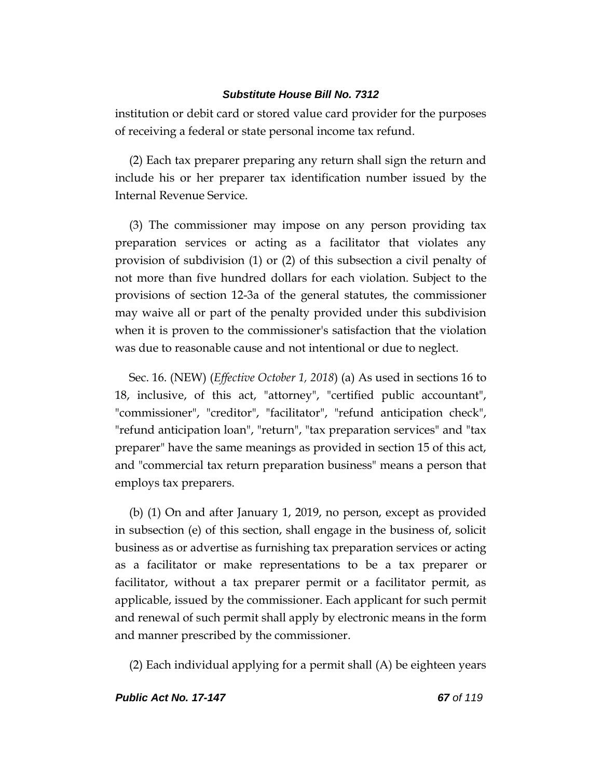institution or debit card or stored value card provider for the purposes of receiving a federal or state personal income tax refund.

(2) Each tax preparer preparing any return shall sign the return and include his or her preparer tax identification number issued by the Internal Revenue Service.

(3) The commissioner may impose on any person providing tax preparation services or acting as a facilitator that violates any provision of subdivision (1) or (2) of this subsection a civil penalty of not more than five hundred dollars for each violation. Subject to the provisions of section 12-3a of the general statutes, the commissioner may waive all or part of the penalty provided under this subdivision when it is proven to the commissioner's satisfaction that the violation was due to reasonable cause and not intentional or due to neglect.

Sec. 16. (NEW) (*Effective October 1, 2018*) (a) As used in sections 16 to 18, inclusive, of this act, "attorney", "certified public accountant", "commissioner", "creditor", "facilitator", "refund anticipation check", "refund anticipation loan", "return", "tax preparation services" and "tax preparer" have the same meanings as provided in section 15 of this act, and "commercial tax return preparation business" means a person that employs tax preparers.

(b) (1) On and after January 1, 2019, no person, except as provided in subsection (e) of this section, shall engage in the business of, solicit business as or advertise as furnishing tax preparation services or acting as a facilitator or make representations to be a tax preparer or facilitator, without a tax preparer permit or a facilitator permit, as applicable, issued by the commissioner. Each applicant for such permit and renewal of such permit shall apply by electronic means in the form and manner prescribed by the commissioner.

(2) Each individual applying for a permit shall (A) be eighteen years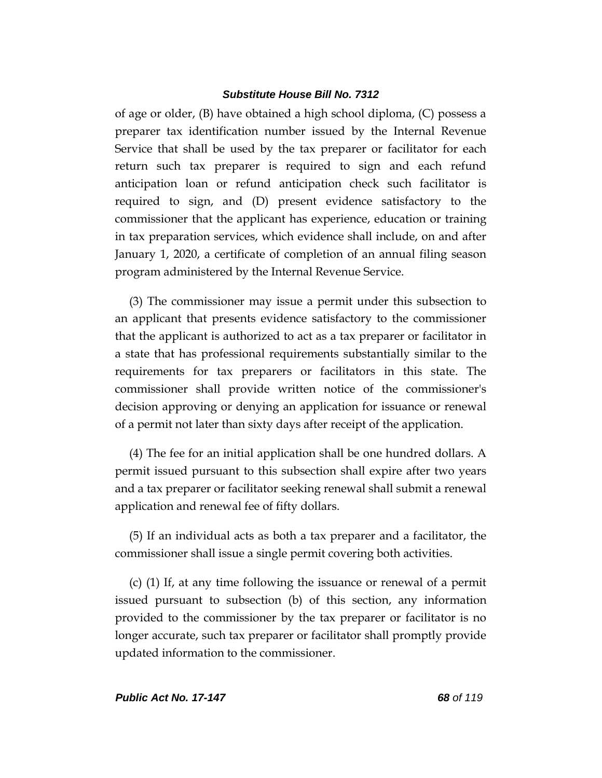of age or older, (B) have obtained a high school diploma, (C) possess a preparer tax identification number issued by the Internal Revenue Service that shall be used by the tax preparer or facilitator for each return such tax preparer is required to sign and each refund anticipation loan or refund anticipation check such facilitator is required to sign, and (D) present evidence satisfactory to the commissioner that the applicant has experience, education or training in tax preparation services, which evidence shall include, on and after January 1, 2020, a certificate of completion of an annual filing season program administered by the Internal Revenue Service.

(3) The commissioner may issue a permit under this subsection to an applicant that presents evidence satisfactory to the commissioner that the applicant is authorized to act as a tax preparer or facilitator in a state that has professional requirements substantially similar to the requirements for tax preparers or facilitators in this state. The commissioner shall provide written notice of the commissioner's decision approving or denying an application for issuance or renewal of a permit not later than sixty days after receipt of the application.

(4) The fee for an initial application shall be one hundred dollars. A permit issued pursuant to this subsection shall expire after two years and a tax preparer or facilitator seeking renewal shall submit a renewal application and renewal fee of fifty dollars.

(5) If an individual acts as both a tax preparer and a facilitator, the commissioner shall issue a single permit covering both activities.

(c) (1) If, at any time following the issuance or renewal of a permit issued pursuant to subsection (b) of this section, any information provided to the commissioner by the tax preparer or facilitator is no longer accurate, such tax preparer or facilitator shall promptly provide updated information to the commissioner.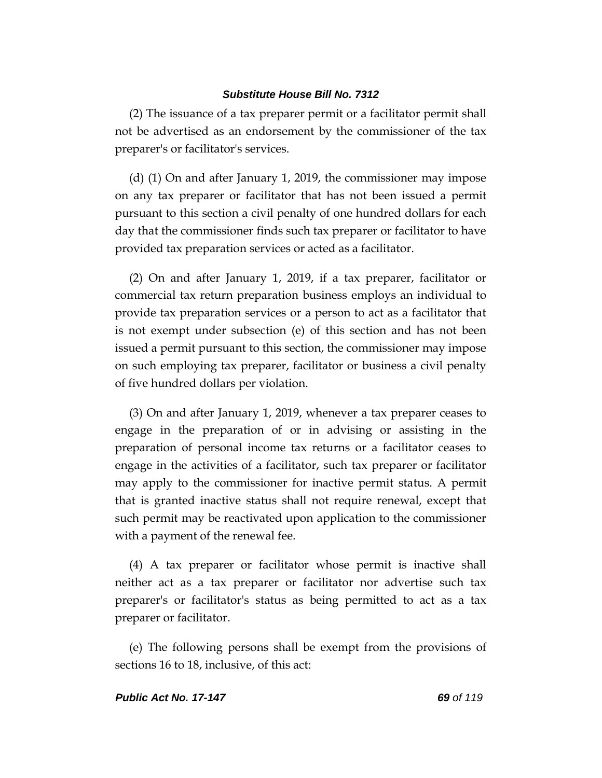(2) The issuance of a tax preparer permit or a facilitator permit shall not be advertised as an endorsement by the commissioner of the tax preparer's or facilitator's services.

(d) (1) On and after January 1, 2019, the commissioner may impose on any tax preparer or facilitator that has not been issued a permit pursuant to this section a civil penalty of one hundred dollars for each day that the commissioner finds such tax preparer or facilitator to have provided tax preparation services or acted as a facilitator.

(2) On and after January 1, 2019, if a tax preparer, facilitator or commercial tax return preparation business employs an individual to provide tax preparation services or a person to act as a facilitator that is not exempt under subsection (e) of this section and has not been issued a permit pursuant to this section, the commissioner may impose on such employing tax preparer, facilitator or business a civil penalty of five hundred dollars per violation.

(3) On and after January 1, 2019, whenever a tax preparer ceases to engage in the preparation of or in advising or assisting in the preparation of personal income tax returns or a facilitator ceases to engage in the activities of a facilitator, such tax preparer or facilitator may apply to the commissioner for inactive permit status. A permit that is granted inactive status shall not require renewal, except that such permit may be reactivated upon application to the commissioner with a payment of the renewal fee.

(4) A tax preparer or facilitator whose permit is inactive shall neither act as a tax preparer or facilitator nor advertise such tax preparer's or facilitator's status as being permitted to act as a tax preparer or facilitator.

(e) The following persons shall be exempt from the provisions of sections 16 to 18, inclusive, of this act: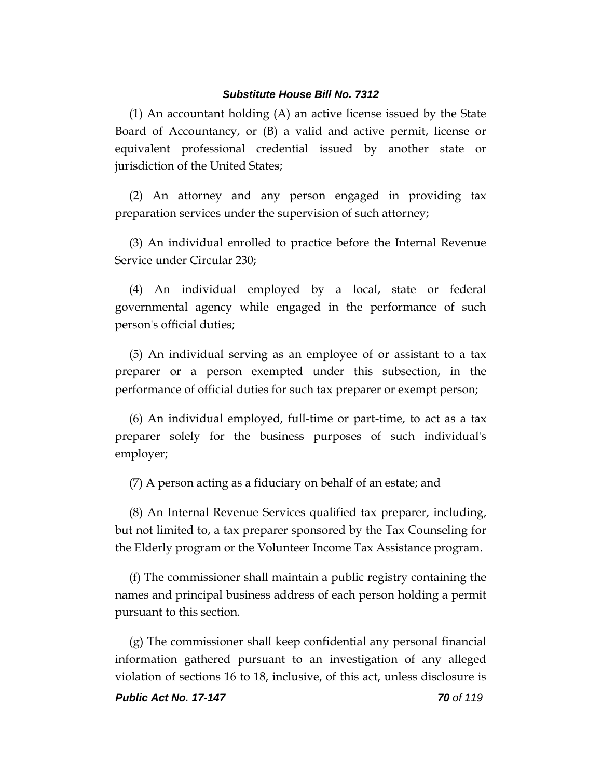(1) An accountant holding (A) an active license issued by the State Board of Accountancy, or (B) a valid and active permit, license or equivalent professional credential issued by another state or jurisdiction of the United States;

(2) An attorney and any person engaged in providing tax preparation services under the supervision of such attorney;

(3) An individual enrolled to practice before the Internal Revenue Service under Circular 230;

(4) An individual employed by a local, state or federal governmental agency while engaged in the performance of such person's official duties;

(5) An individual serving as an employee of or assistant to a tax preparer or a person exempted under this subsection, in the performance of official duties for such tax preparer or exempt person;

(6) An individual employed, full-time or part-time, to act as a tax preparer solely for the business purposes of such individual's employer;

(7) A person acting as a fiduciary on behalf of an estate; and

(8) An Internal Revenue Services qualified tax preparer, including, but not limited to, a tax preparer sponsored by the Tax Counseling for the Elderly program or the Volunteer Income Tax Assistance program.

(f) The commissioner shall maintain a public registry containing the names and principal business address of each person holding a permit pursuant to this section.

(g) The commissioner shall keep confidential any personal financial information gathered pursuant to an investigation of any alleged violation of sections 16 to 18, inclusive, of this act, unless disclosure is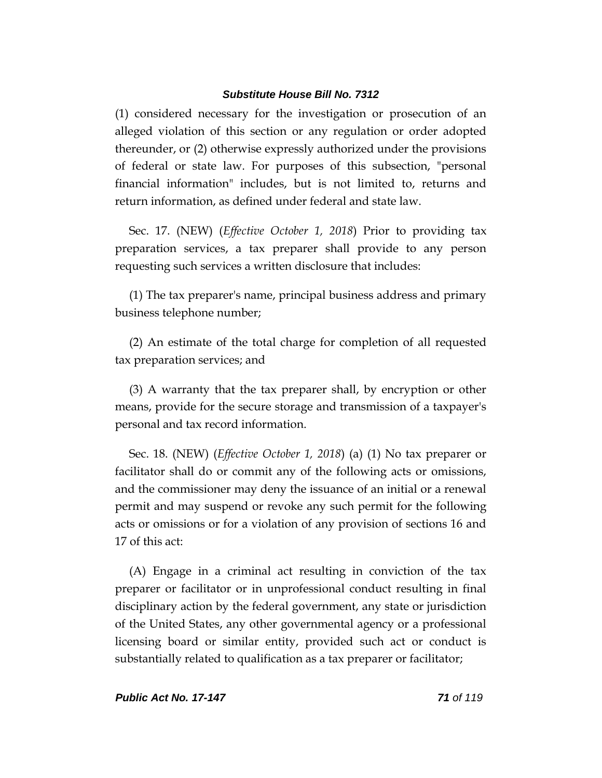(1) considered necessary for the investigation or prosecution of an alleged violation of this section or any regulation or order adopted thereunder, or (2) otherwise expressly authorized under the provisions of federal or state law. For purposes of this subsection, "personal financial information" includes, but is not limited to, returns and return information, as defined under federal and state law.

Sec. 17. (NEW) (*Effective October 1, 2018*) Prior to providing tax preparation services, a tax preparer shall provide to any person requesting such services a written disclosure that includes:

(1) The tax preparer's name, principal business address and primary business telephone number;

(2) An estimate of the total charge for completion of all requested tax preparation services; and

(3) A warranty that the tax preparer shall, by encryption or other means, provide for the secure storage and transmission of a taxpayer's personal and tax record information.

Sec. 18. (NEW) (*Effective October 1, 2018*) (a) (1) No tax preparer or facilitator shall do or commit any of the following acts or omissions, and the commissioner may deny the issuance of an initial or a renewal permit and may suspend or revoke any such permit for the following acts or omissions or for a violation of any provision of sections 16 and 17 of this act:

(A) Engage in a criminal act resulting in conviction of the tax preparer or facilitator or in unprofessional conduct resulting in final disciplinary action by the federal government, any state or jurisdiction of the United States, any other governmental agency or a professional licensing board or similar entity, provided such act or conduct is substantially related to qualification as a tax preparer or facilitator;

*Public Act No. 17-147 71 of 119*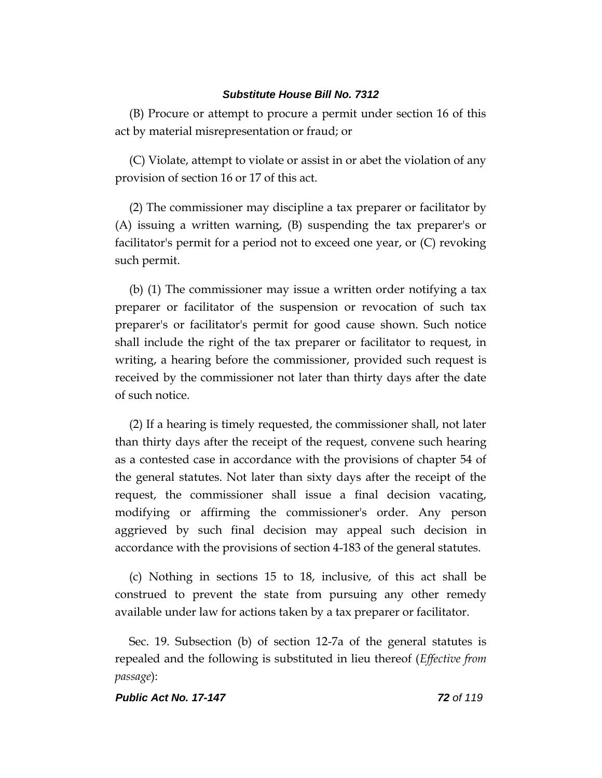(B) Procure or attempt to procure a permit under section 16 of this act by material misrepresentation or fraud; or

(C) Violate, attempt to violate or assist in or abet the violation of any provision of section 16 or 17 of this act.

(2) The commissioner may discipline a tax preparer or facilitator by (A) issuing a written warning, (B) suspending the tax preparer's or facilitator's permit for a period not to exceed one year, or (C) revoking such permit.

(b) (1) The commissioner may issue a written order notifying a tax preparer or facilitator of the suspension or revocation of such tax preparer's or facilitator's permit for good cause shown. Such notice shall include the right of the tax preparer or facilitator to request, in writing, a hearing before the commissioner, provided such request is received by the commissioner not later than thirty days after the date of such notice.

(2) If a hearing is timely requested, the commissioner shall, not later than thirty days after the receipt of the request, convene such hearing as a contested case in accordance with the provisions of chapter 54 of the general statutes. Not later than sixty days after the receipt of the request, the commissioner shall issue a final decision vacating, modifying or affirming the commissioner's order. Any person aggrieved by such final decision may appeal such decision in accordance with the provisions of section 4-183 of the general statutes.

(c) Nothing in sections 15 to 18, inclusive, of this act shall be construed to prevent the state from pursuing any other remedy available under law for actions taken by a tax preparer or facilitator.

Sec. 19. Subsection (b) of section 12-7a of the general statutes is repealed and the following is substituted in lieu thereof (*Effective from passage*):

#### *Public Act No. 17-147 72 of 119*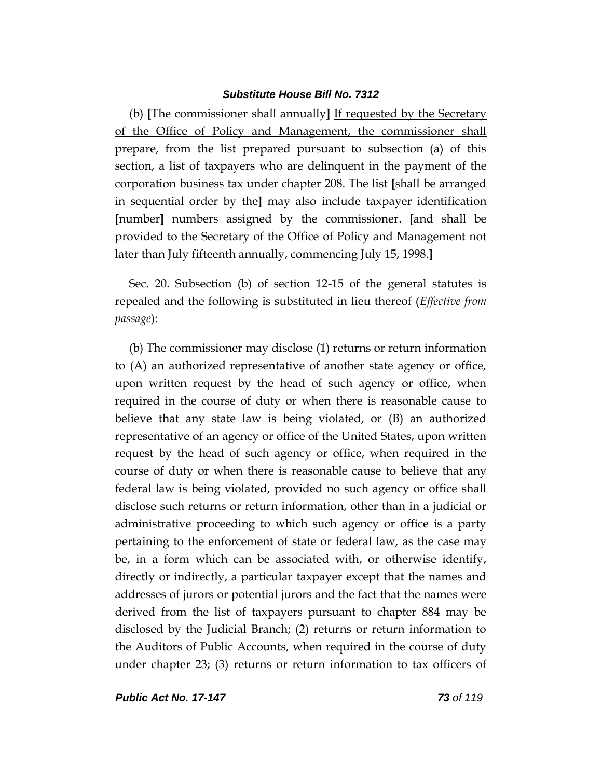(b) **[**The commissioner shall annually**]** If requested by the Secretary of the Office of Policy and Management, the commissioner shall prepare, from the list prepared pursuant to subsection (a) of this section, a list of taxpayers who are delinquent in the payment of the corporation business tax under chapter 208. The list **[**shall be arranged in sequential order by the**]** may also include taxpayer identification **[**number**]** numbers assigned by the commissioner. **[**and shall be provided to the Secretary of the Office of Policy and Management not later than July fifteenth annually, commencing July 15, 1998.**]**

Sec. 20. Subsection (b) of section 12-15 of the general statutes is repealed and the following is substituted in lieu thereof (*Effective from passage*):

(b) The commissioner may disclose (1) returns or return information to (A) an authorized representative of another state agency or office, upon written request by the head of such agency or office, when required in the course of duty or when there is reasonable cause to believe that any state law is being violated, or (B) an authorized representative of an agency or office of the United States, upon written request by the head of such agency or office, when required in the course of duty or when there is reasonable cause to believe that any federal law is being violated, provided no such agency or office shall disclose such returns or return information, other than in a judicial or administrative proceeding to which such agency or office is a party pertaining to the enforcement of state or federal law, as the case may be, in a form which can be associated with, or otherwise identify, directly or indirectly, a particular taxpayer except that the names and addresses of jurors or potential jurors and the fact that the names were derived from the list of taxpayers pursuant to chapter 884 may be disclosed by the Judicial Branch; (2) returns or return information to the Auditors of Public Accounts, when required in the course of duty under chapter 23; (3) returns or return information to tax officers of

*Public Act No. 17-147 73 of 119*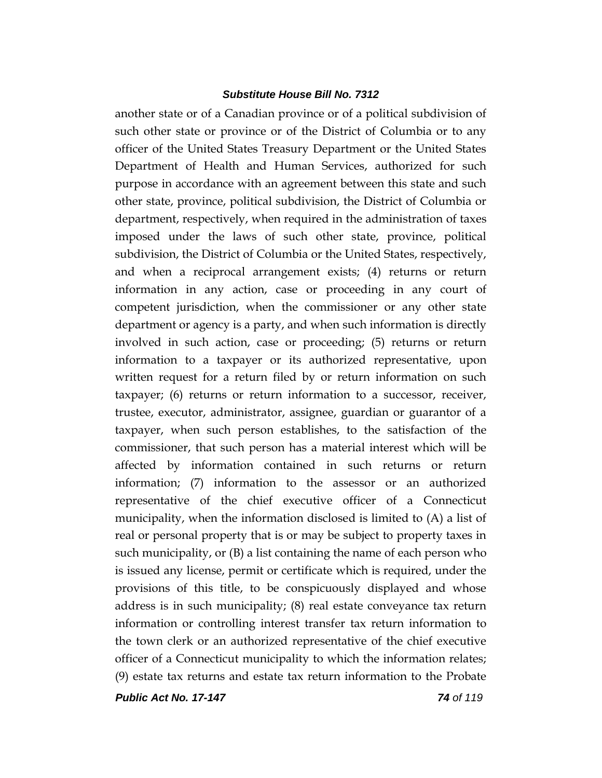another state or of a Canadian province or of a political subdivision of such other state or province or of the District of Columbia or to any officer of the United States Treasury Department or the United States Department of Health and Human Services, authorized for such purpose in accordance with an agreement between this state and such other state, province, political subdivision, the District of Columbia or department, respectively, when required in the administration of taxes imposed under the laws of such other state, province, political subdivision, the District of Columbia or the United States, respectively, and when a reciprocal arrangement exists; (4) returns or return information in any action, case or proceeding in any court of competent jurisdiction, when the commissioner or any other state department or agency is a party, and when such information is directly involved in such action, case or proceeding; (5) returns or return information to a taxpayer or its authorized representative, upon written request for a return filed by or return information on such taxpayer; (6) returns or return information to a successor, receiver, trustee, executor, administrator, assignee, guardian or guarantor of a taxpayer, when such person establishes, to the satisfaction of the commissioner, that such person has a material interest which will be affected by information contained in such returns or return information; (7) information to the assessor or an authorized representative of the chief executive officer of a Connecticut municipality, when the information disclosed is limited to (A) a list of real or personal property that is or may be subject to property taxes in such municipality, or (B) a list containing the name of each person who is issued any license, permit or certificate which is required, under the provisions of this title, to be conspicuously displayed and whose address is in such municipality; (8) real estate conveyance tax return information or controlling interest transfer tax return information to the town clerk or an authorized representative of the chief executive officer of a Connecticut municipality to which the information relates; (9) estate tax returns and estate tax return information to the Probate

*Public Act No. 17-147 74 of 119*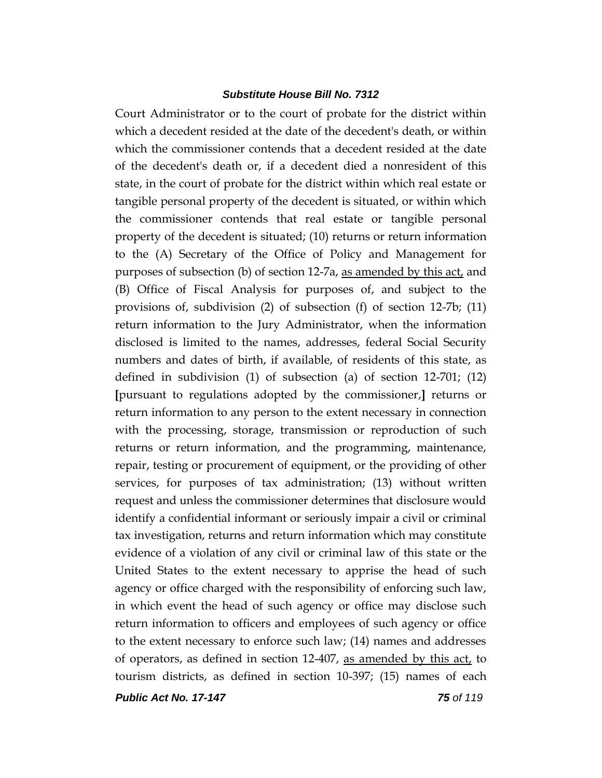Court Administrator or to the court of probate for the district within which a decedent resided at the date of the decedent's death, or within which the commissioner contends that a decedent resided at the date of the decedent's death or, if a decedent died a nonresident of this state, in the court of probate for the district within which real estate or tangible personal property of the decedent is situated, or within which the commissioner contends that real estate or tangible personal property of the decedent is situated; (10) returns or return information to the (A) Secretary of the Office of Policy and Management for purposes of subsection (b) of section 12-7a, as amended by this act, and (B) Office of Fiscal Analysis for purposes of, and subject to the provisions of, subdivision (2) of subsection (f) of section 12-7b; (11) return information to the Jury Administrator, when the information disclosed is limited to the names, addresses, federal Social Security numbers and dates of birth, if available, of residents of this state, as defined in subdivision (1) of subsection (a) of section 12-701; (12) **[**pursuant to regulations adopted by the commissioner,**]** returns or return information to any person to the extent necessary in connection with the processing, storage, transmission or reproduction of such returns or return information, and the programming, maintenance, repair, testing or procurement of equipment, or the providing of other services, for purposes of tax administration; (13) without written request and unless the commissioner determines that disclosure would identify a confidential informant or seriously impair a civil or criminal tax investigation, returns and return information which may constitute evidence of a violation of any civil or criminal law of this state or the United States to the extent necessary to apprise the head of such agency or office charged with the responsibility of enforcing such law, in which event the head of such agency or office may disclose such return information to officers and employees of such agency or office to the extent necessary to enforce such law; (14) names and addresses of operators, as defined in section 12-407, as amended by this act, to tourism districts, as defined in section 10-397; (15) names of each

*Public Act No. 17-147 75 of 119*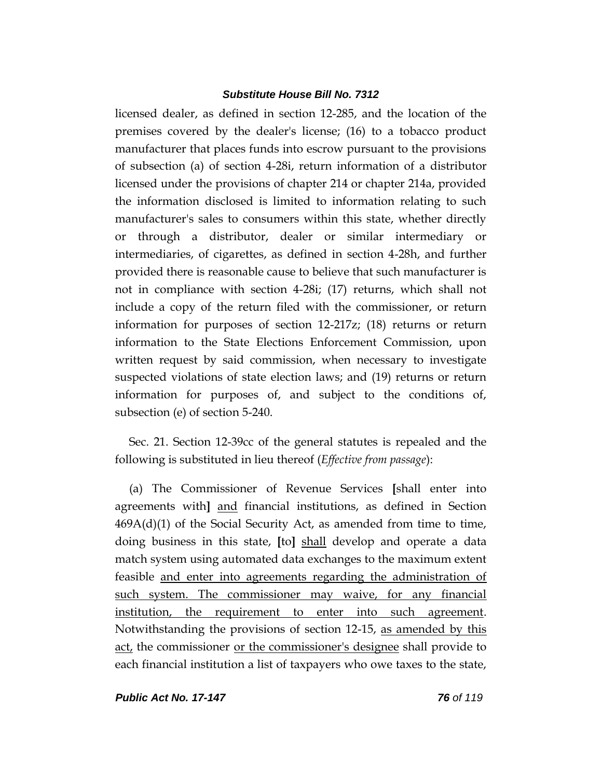licensed dealer, as defined in section 12-285, and the location of the premises covered by the dealer's license; (16) to a tobacco product manufacturer that places funds into escrow pursuant to the provisions of subsection (a) of section 4-28i, return information of a distributor licensed under the provisions of chapter 214 or chapter 214a, provided the information disclosed is limited to information relating to such manufacturer's sales to consumers within this state, whether directly or through a distributor, dealer or similar intermediary or intermediaries, of cigarettes, as defined in section 4-28h, and further provided there is reasonable cause to believe that such manufacturer is not in compliance with section 4-28i; (17) returns, which shall not include a copy of the return filed with the commissioner, or return information for purposes of section 12-217z; (18) returns or return information to the State Elections Enforcement Commission, upon written request by said commission, when necessary to investigate suspected violations of state election laws; and (19) returns or return information for purposes of, and subject to the conditions of, subsection (e) of section 5-240.

Sec. 21. Section 12-39cc of the general statutes is repealed and the following is substituted in lieu thereof (*Effective from passage*):

(a) The Commissioner of Revenue Services **[**shall enter into agreements with**]** and financial institutions, as defined in Section  $469A(d)(1)$  of the Social Security Act, as amended from time to time, doing business in this state, **[**to**]** shall develop and operate a data match system using automated data exchanges to the maximum extent feasible and enter into agreements regarding the administration of such system. The commissioner may waive, for any financial institution, the requirement to enter into such agreement. Notwithstanding the provisions of section 12-15, as amended by this act, the commissioner or the commissioner's designee shall provide to each financial institution a list of taxpayers who owe taxes to the state,

*Public Act No. 17-147 76 of 119*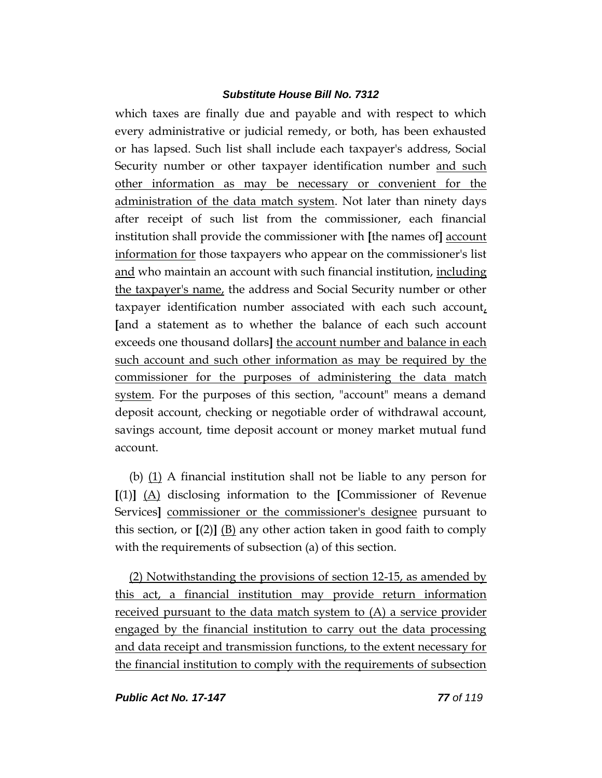which taxes are finally due and payable and with respect to which every administrative or judicial remedy, or both, has been exhausted or has lapsed. Such list shall include each taxpayer's address, Social Security number or other taxpayer identification number and such other information as may be necessary or convenient for the administration of the data match system. Not later than ninety days after receipt of such list from the commissioner, each financial institution shall provide the commissioner with **[**the names of**]** account information for those taxpayers who appear on the commissioner's list and who maintain an account with such financial institution, including the taxpayer's name, the address and Social Security number or other taxpayer identification number associated with each such account, **[**and a statement as to whether the balance of each such account exceeds one thousand dollars**]** the account number and balance in each such account and such other information as may be required by the commissioner for the purposes of administering the data match system. For the purposes of this section, "account" means a demand deposit account, checking or negotiable order of withdrawal account, savings account, time deposit account or money market mutual fund account.

(b) (1) A financial institution shall not be liable to any person for **[**(1)**]** (A) disclosing information to the **[**Commissioner of Revenue Services**]** commissioner or the commissioner's designee pursuant to this section, or  $[(2)]$  (B) any other action taken in good faith to comply with the requirements of subsection (a) of this section.

(2) Notwithstanding the provisions of section 12-15, as amended by this act, a financial institution may provide return information received pursuant to the data match system to (A) a service provider engaged by the financial institution to carry out the data processing and data receipt and transmission functions, to the extent necessary for the financial institution to comply with the requirements of subsection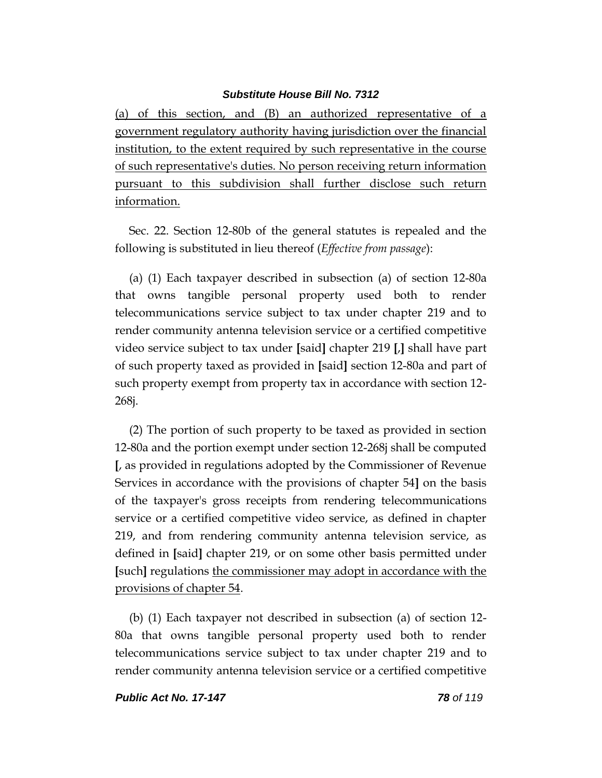(a) of this section, and (B) an authorized representative of a government regulatory authority having jurisdiction over the financial institution, to the extent required by such representative in the course of such representative's duties. No person receiving return information pursuant to this subdivision shall further disclose such return information.

Sec. 22. Section 12-80b of the general statutes is repealed and the following is substituted in lieu thereof (*Effective from passage*):

(a) (1) Each taxpayer described in subsection (a) of section 12-80a that owns tangible personal property used both to render telecommunications service subject to tax under chapter 219 and to render community antenna television service or a certified competitive video service subject to tax under **[**said**]** chapter 219 **[**,**]** shall have part of such property taxed as provided in **[**said**]** section 12-80a and part of such property exempt from property tax in accordance with section 12- 268j.

(2) The portion of such property to be taxed as provided in section 12-80a and the portion exempt under section 12-268j shall be computed **[**, as provided in regulations adopted by the Commissioner of Revenue Services in accordance with the provisions of chapter 54**]** on the basis of the taxpayer's gross receipts from rendering telecommunications service or a certified competitive video service, as defined in chapter 219, and from rendering community antenna television service, as defined in **[**said**]** chapter 219, or on some other basis permitted under **[**such**]** regulations the commissioner may adopt in accordance with the provisions of chapter 54.

(b) (1) Each taxpayer not described in subsection (a) of section 12- 80a that owns tangible personal property used both to render telecommunications service subject to tax under chapter 219 and to render community antenna television service or a certified competitive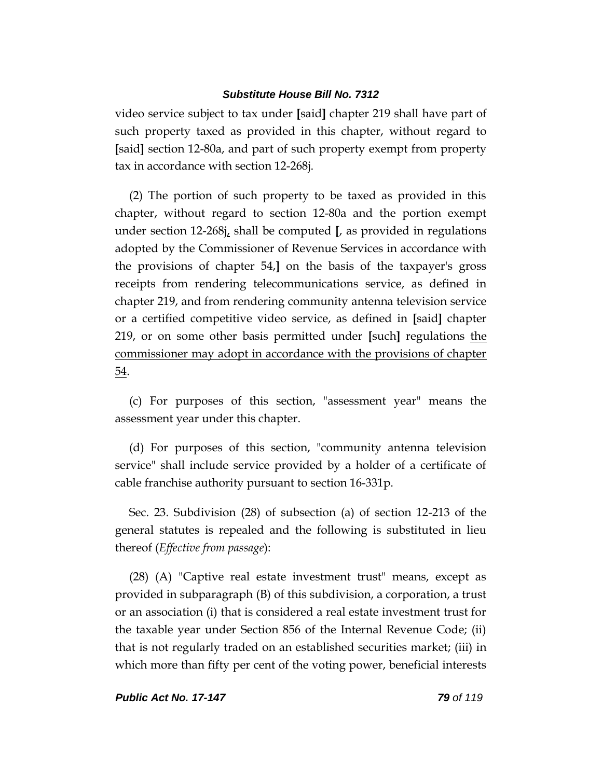video service subject to tax under **[**said**]** chapter 219 shall have part of such property taxed as provided in this chapter, without regard to **[**said**]** section 12-80a, and part of such property exempt from property tax in accordance with section 12-268j.

(2) The portion of such property to be taxed as provided in this chapter, without regard to section 12-80a and the portion exempt under section 12-268j, shall be computed **[**, as provided in regulations adopted by the Commissioner of Revenue Services in accordance with the provisions of chapter 54,**]** on the basis of the taxpayer's gross receipts from rendering telecommunications service, as defined in chapter 219, and from rendering community antenna television service or a certified competitive video service, as defined in **[**said**]** chapter 219, or on some other basis permitted under **[**such**]** regulations the commissioner may adopt in accordance with the provisions of chapter 54.

(c) For purposes of this section, "assessment year" means the assessment year under this chapter.

(d) For purposes of this section, "community antenna television service" shall include service provided by a holder of a certificate of cable franchise authority pursuant to section 16-331p.

Sec. 23. Subdivision (28) of subsection (a) of section 12-213 of the general statutes is repealed and the following is substituted in lieu thereof (*Effective from passage*):

(28) (A) "Captive real estate investment trust" means, except as provided in subparagraph (B) of this subdivision, a corporation, a trust or an association (i) that is considered a real estate investment trust for the taxable year under Section 856 of the Internal Revenue Code; (ii) that is not regularly traded on an established securities market; (iii) in which more than fifty per cent of the voting power, beneficial interests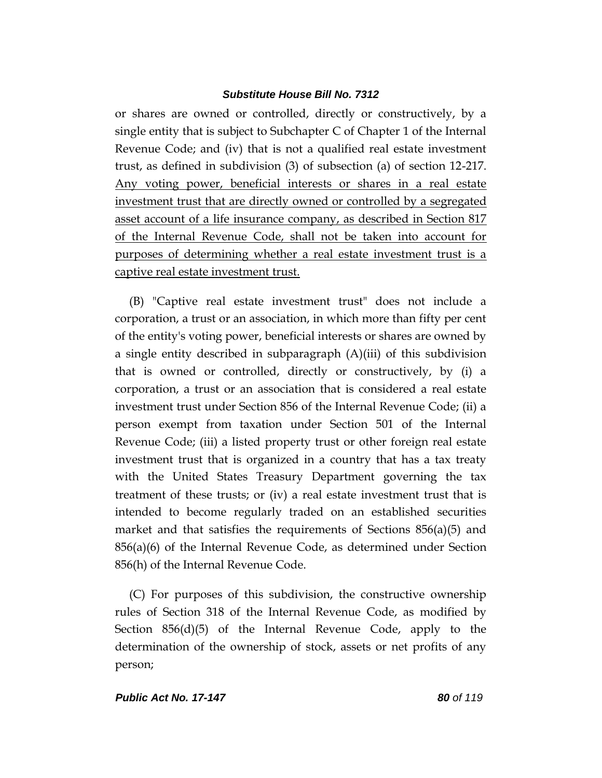or shares are owned or controlled, directly or constructively, by a single entity that is subject to Subchapter C of Chapter 1 of the Internal Revenue Code; and (iv) that is not a qualified real estate investment trust, as defined in subdivision (3) of subsection (a) of section 12-217. Any voting power, beneficial interests or shares in a real estate investment trust that are directly owned or controlled by a segregated asset account of a life insurance company, as described in Section 817 of the Internal Revenue Code, shall not be taken into account for purposes of determining whether a real estate investment trust is a captive real estate investment trust.

(B) "Captive real estate investment trust" does not include a corporation, a trust or an association, in which more than fifty per cent of the entity's voting power, beneficial interests or shares are owned by a single entity described in subparagraph (A)(iii) of this subdivision that is owned or controlled, directly or constructively, by (i) a corporation, a trust or an association that is considered a real estate investment trust under Section 856 of the Internal Revenue Code; (ii) a person exempt from taxation under Section 501 of the Internal Revenue Code; (iii) a listed property trust or other foreign real estate investment trust that is organized in a country that has a tax treaty with the United States Treasury Department governing the tax treatment of these trusts; or (iv) a real estate investment trust that is intended to become regularly traded on an established securities market and that satisfies the requirements of Sections  $856(a)(5)$  and 856(a)(6) of the Internal Revenue Code, as determined under Section 856(h) of the Internal Revenue Code.

(C) For purposes of this subdivision, the constructive ownership rules of Section 318 of the Internal Revenue Code, as modified by Section 856(d)(5) of the Internal Revenue Code, apply to the determination of the ownership of stock, assets or net profits of any person;

### *Public Act No. 17-147 80 of 119*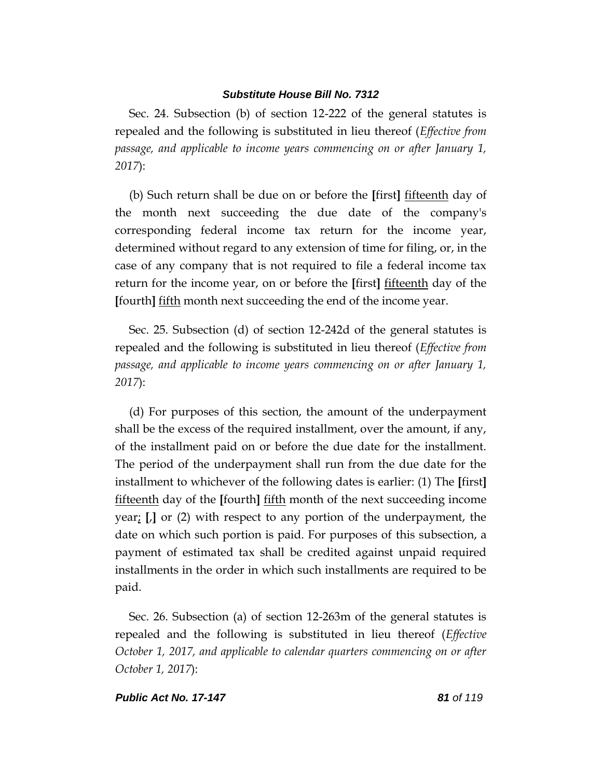Sec. 24. Subsection (b) of section 12-222 of the general statutes is repealed and the following is substituted in lieu thereof (*Effective from passage, and applicable to income years commencing on or after January 1, 2017*):

(b) Such return shall be due on or before the **[**first**]** fifteenth day of the month next succeeding the due date of the company's corresponding federal income tax return for the income year, determined without regard to any extension of time for filing, or, in the case of any company that is not required to file a federal income tax return for the income year, on or before the **[**first**]** fifteenth day of the **[**fourth**]** fifth month next succeeding the end of the income year.

Sec. 25. Subsection (d) of section 12-242d of the general statutes is repealed and the following is substituted in lieu thereof (*Effective from passage, and applicable to income years commencing on or after January 1, 2017*):

(d) For purposes of this section, the amount of the underpayment shall be the excess of the required installment, over the amount, if any, of the installment paid on or before the due date for the installment. The period of the underpayment shall run from the due date for the installment to whichever of the following dates is earlier: (1) The **[**first**]** fifteenth day of the **[**fourth**]** fifth month of the next succeeding income year; **[**,**]** or (2) with respect to any portion of the underpayment, the date on which such portion is paid. For purposes of this subsection, a payment of estimated tax shall be credited against unpaid required installments in the order in which such installments are required to be paid.

Sec. 26. Subsection (a) of section 12-263m of the general statutes is repealed and the following is substituted in lieu thereof (*Effective October 1, 2017, and applicable to calendar quarters commencing on or after October 1, 2017*):

### *Public Act No. 17-147 81 of 119*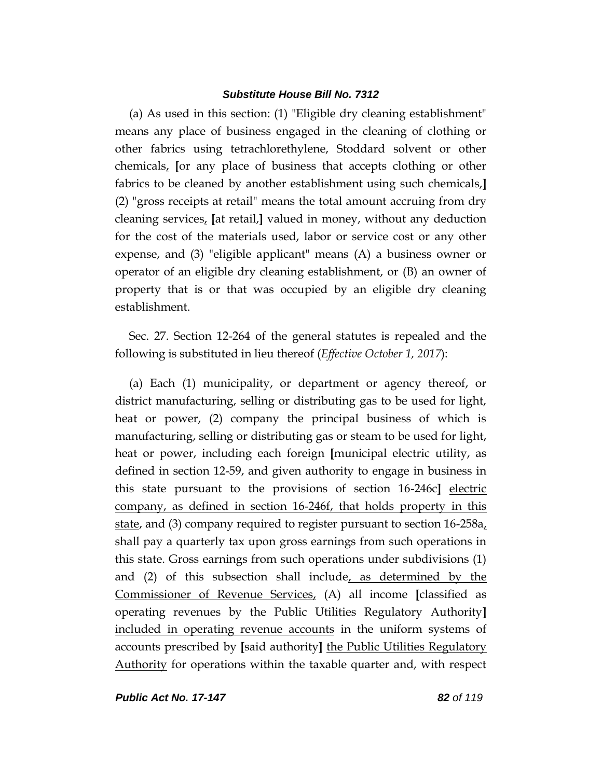(a) As used in this section: (1) "Eligible dry cleaning establishment" means any place of business engaged in the cleaning of clothing or other fabrics using tetrachlorethylene, Stoddard solvent or other chemicals, **[**or any place of business that accepts clothing or other fabrics to be cleaned by another establishment using such chemicals,**]** (2) "gross receipts at retail" means the total amount accruing from dry cleaning services, **[**at retail,**]** valued in money, without any deduction for the cost of the materials used, labor or service cost or any other expense, and (3) "eligible applicant" means (A) a business owner or operator of an eligible dry cleaning establishment, or (B) an owner of property that is or that was occupied by an eligible dry cleaning establishment.

Sec. 27. Section 12-264 of the general statutes is repealed and the following is substituted in lieu thereof (*Effective October 1, 2017*):

(a) Each (1) municipality, or department or agency thereof, or district manufacturing, selling or distributing gas to be used for light, heat or power, (2) company the principal business of which is manufacturing, selling or distributing gas or steam to be used for light, heat or power, including each foreign **[**municipal electric utility, as defined in section 12-59, and given authority to engage in business in this state pursuant to the provisions of section 16-246c**]** electric company, as defined in section 16-246f, that holds property in this state, and (3) company required to register pursuant to section 16-258a, shall pay a quarterly tax upon gross earnings from such operations in this state. Gross earnings from such operations under subdivisions (1) and (2) of this subsection shall include, as determined by the Commissioner of Revenue Services, (A) all income **[**classified as operating revenues by the Public Utilities Regulatory Authority**]** included in operating revenue accounts in the uniform systems of accounts prescribed by **[**said authority**]** the Public Utilities Regulatory Authority for operations within the taxable quarter and, with respect

*Public Act No. 17-147 82 of 119*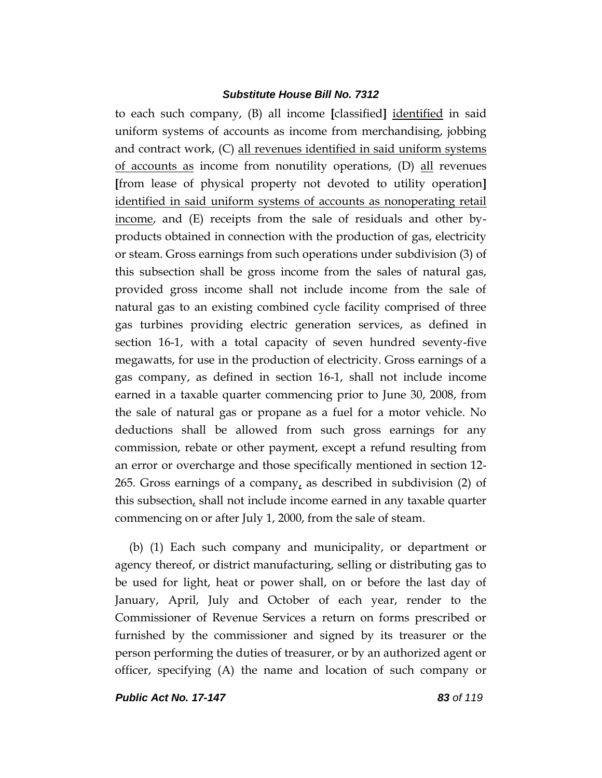to each such company, (B) all income **[**classified**]** identified in said uniform systems of accounts as income from merchandising, jobbing and contract work, (C) all revenues identified in said uniform systems of accounts as income from nonutility operations, (D) all revenues **[**from lease of physical property not devoted to utility operation**]** identified in said uniform systems of accounts as nonoperating retail income, and (E) receipts from the sale of residuals and other byproducts obtained in connection with the production of gas, electricity or steam. Gross earnings from such operations under subdivision (3) of this subsection shall be gross income from the sales of natural gas, provided gross income shall not include income from the sale of natural gas to an existing combined cycle facility comprised of three gas turbines providing electric generation services, as defined in section 16-1, with a total capacity of seven hundred seventy-five megawatts, for use in the production of electricity. Gross earnings of a gas company, as defined in section 16-1, shall not include income earned in a taxable quarter commencing prior to June 30, 2008, from the sale of natural gas or propane as a fuel for a motor vehicle. No deductions shall be allowed from such gross earnings for any commission, rebate or other payment, except a refund resulting from an error or overcharge and those specifically mentioned in section 12- 265. Gross earnings of a company, as described in subdivision  $(2)$  of this subsection, shall not include income earned in any taxable quarter commencing on or after July 1, 2000, from the sale of steam.

(b) (1) Each such company and municipality, or department or agency thereof, or district manufacturing, selling or distributing gas to be used for light, heat or power shall, on or before the last day of January, April, July and October of each year, render to the Commissioner of Revenue Services a return on forms prescribed or furnished by the commissioner and signed by its treasurer or the person performing the duties of treasurer, or by an authorized agent or officer, specifying (A) the name and location of such company or

*Public Act No. 17-147 83 of 119*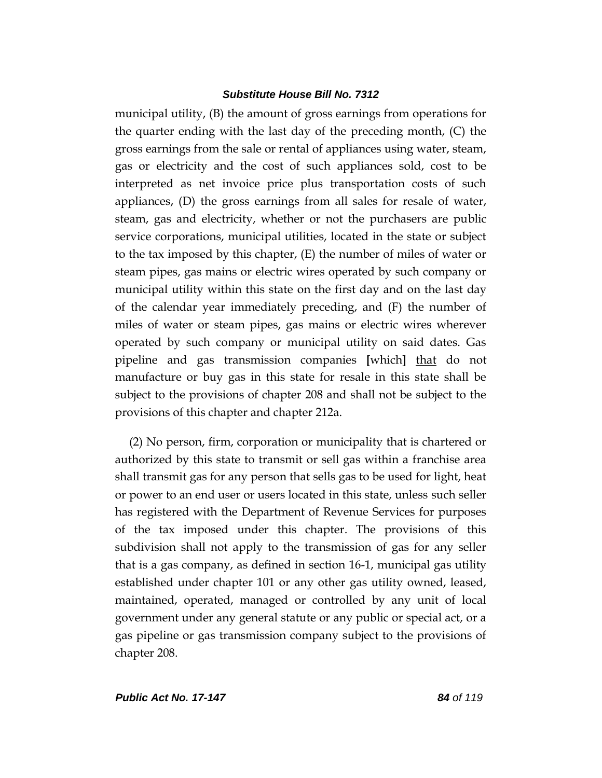municipal utility, (B) the amount of gross earnings from operations for the quarter ending with the last day of the preceding month, (C) the gross earnings from the sale or rental of appliances using water, steam, gas or electricity and the cost of such appliances sold, cost to be interpreted as net invoice price plus transportation costs of such appliances, (D) the gross earnings from all sales for resale of water, steam, gas and electricity, whether or not the purchasers are public service corporations, municipal utilities, located in the state or subject to the tax imposed by this chapter, (E) the number of miles of water or steam pipes, gas mains or electric wires operated by such company or municipal utility within this state on the first day and on the last day of the calendar year immediately preceding, and (F) the number of miles of water or steam pipes, gas mains or electric wires wherever operated by such company or municipal utility on said dates. Gas pipeline and gas transmission companies **[**which**]** that do not manufacture or buy gas in this state for resale in this state shall be subject to the provisions of chapter 208 and shall not be subject to the provisions of this chapter and chapter 212a.

(2) No person, firm, corporation or municipality that is chartered or authorized by this state to transmit or sell gas within a franchise area shall transmit gas for any person that sells gas to be used for light, heat or power to an end user or users located in this state, unless such seller has registered with the Department of Revenue Services for purposes of the tax imposed under this chapter. The provisions of this subdivision shall not apply to the transmission of gas for any seller that is a gas company, as defined in section 16-1, municipal gas utility established under chapter 101 or any other gas utility owned, leased, maintained, operated, managed or controlled by any unit of local government under any general statute or any public or special act, or a gas pipeline or gas transmission company subject to the provisions of chapter 208.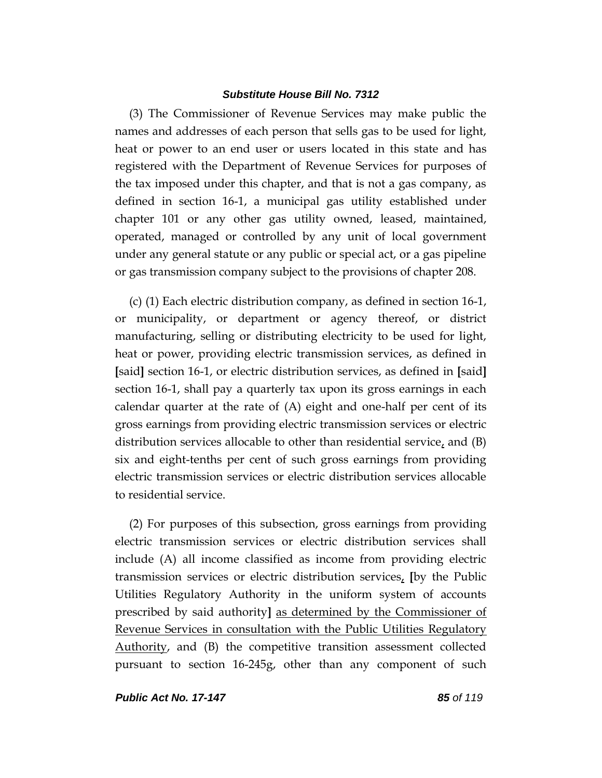(3) The Commissioner of Revenue Services may make public the names and addresses of each person that sells gas to be used for light, heat or power to an end user or users located in this state and has registered with the Department of Revenue Services for purposes of the tax imposed under this chapter, and that is not a gas company, as defined in section 16-1, a municipal gas utility established under chapter 101 or any other gas utility owned, leased, maintained, operated, managed or controlled by any unit of local government under any general statute or any public or special act, or a gas pipeline or gas transmission company subject to the provisions of chapter 208.

(c) (1) Each electric distribution company, as defined in section 16-1, or municipality, or department or agency thereof, or district manufacturing, selling or distributing electricity to be used for light, heat or power, providing electric transmission services, as defined in **[**said**]** section 16-1, or electric distribution services, as defined in **[**said**]** section 16-1, shall pay a quarterly tax upon its gross earnings in each calendar quarter at the rate of (A) eight and one-half per cent of its gross earnings from providing electric transmission services or electric distribution services allocable to other than residential service, and  $(B)$ six and eight-tenths per cent of such gross earnings from providing electric transmission services or electric distribution services allocable to residential service.

(2) For purposes of this subsection, gross earnings from providing electric transmission services or electric distribution services shall include (A) all income classified as income from providing electric transmission services or electric distribution services, **[**by the Public Utilities Regulatory Authority in the uniform system of accounts prescribed by said authority**]** as determined by the Commissioner of Revenue Services in consultation with the Public Utilities Regulatory Authority, and (B) the competitive transition assessment collected pursuant to section 16-245g, other than any component of such

*Public Act No. 17-147 85 of 119*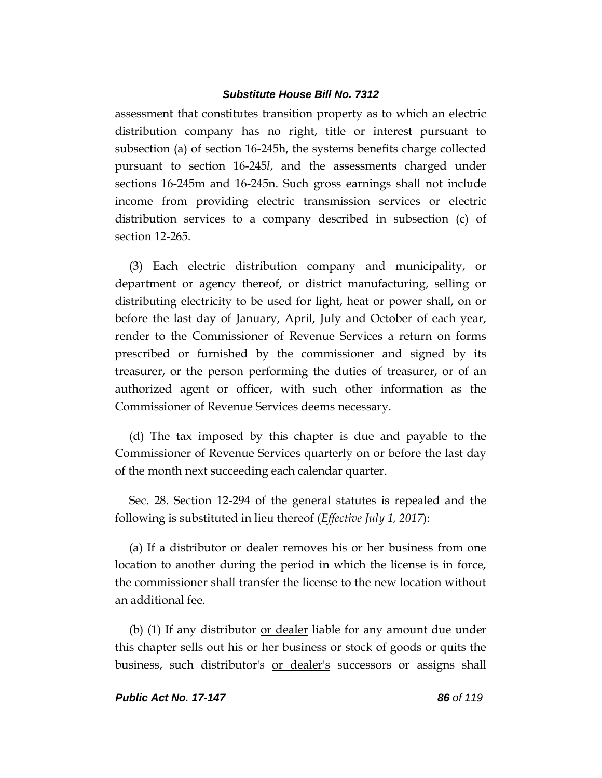assessment that constitutes transition property as to which an electric distribution company has no right, title or interest pursuant to subsection (a) of section 16-245h, the systems benefits charge collected pursuant to section 16-245*l*, and the assessments charged under sections 16-245m and 16-245n. Such gross earnings shall not include income from providing electric transmission services or electric distribution services to a company described in subsection (c) of section 12-265.

(3) Each electric distribution company and municipality, or department or agency thereof, or district manufacturing, selling or distributing electricity to be used for light, heat or power shall, on or before the last day of January, April, July and October of each year, render to the Commissioner of Revenue Services a return on forms prescribed or furnished by the commissioner and signed by its treasurer, or the person performing the duties of treasurer, or of an authorized agent or officer, with such other information as the Commissioner of Revenue Services deems necessary.

(d) The tax imposed by this chapter is due and payable to the Commissioner of Revenue Services quarterly on or before the last day of the month next succeeding each calendar quarter.

Sec. 28. Section 12-294 of the general statutes is repealed and the following is substituted in lieu thereof (*Effective July 1, 2017*):

(a) If a distributor or dealer removes his or her business from one location to another during the period in which the license is in force, the commissioner shall transfer the license to the new location without an additional fee.

(b) (1) If any distributor <u>or dealer</u> liable for any amount due under this chapter sells out his or her business or stock of goods or quits the business, such distributor's or dealer's successors or assigns shall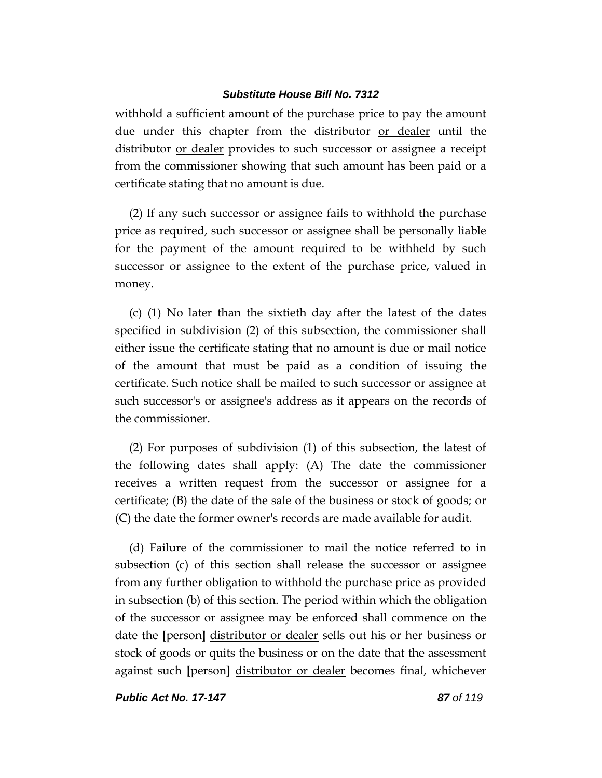withhold a sufficient amount of the purchase price to pay the amount due under this chapter from the distributor or dealer until the distributor or dealer provides to such successor or assignee a receipt from the commissioner showing that such amount has been paid or a certificate stating that no amount is due.

(2) If any such successor or assignee fails to withhold the purchase price as required, such successor or assignee shall be personally liable for the payment of the amount required to be withheld by such successor or assignee to the extent of the purchase price, valued in money.

(c) (1) No later than the sixtieth day after the latest of the dates specified in subdivision (2) of this subsection, the commissioner shall either issue the certificate stating that no amount is due or mail notice of the amount that must be paid as a condition of issuing the certificate. Such notice shall be mailed to such successor or assignee at such successor's or assignee's address as it appears on the records of the commissioner.

(2) For purposes of subdivision (1) of this subsection, the latest of the following dates shall apply: (A) The date the commissioner receives a written request from the successor or assignee for a certificate; (B) the date of the sale of the business or stock of goods; or (C) the date the former owner's records are made available for audit.

(d) Failure of the commissioner to mail the notice referred to in subsection (c) of this section shall release the successor or assignee from any further obligation to withhold the purchase price as provided in subsection (b) of this section. The period within which the obligation of the successor or assignee may be enforced shall commence on the date the **[**person**]** distributor or dealer sells out his or her business or stock of goods or quits the business or on the date that the assessment against such **[**person**]** distributor or dealer becomes final, whichever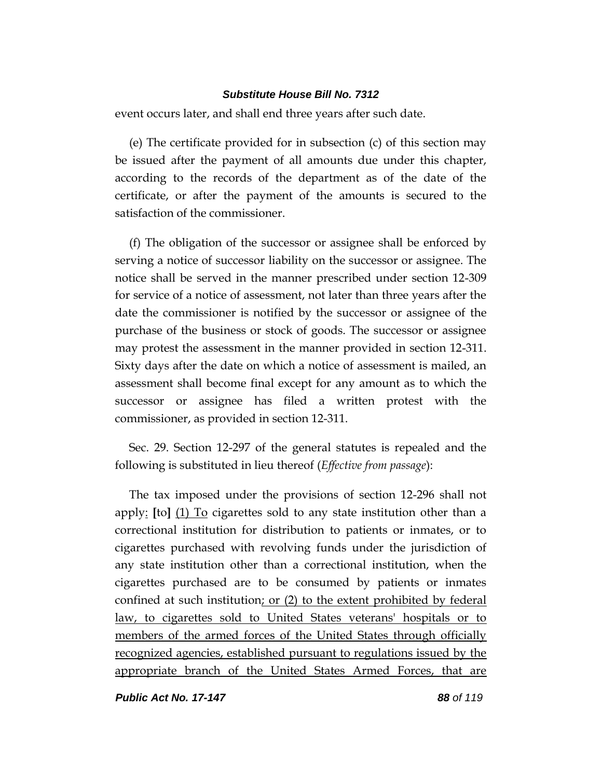event occurs later, and shall end three years after such date.

(e) The certificate provided for in subsection (c) of this section may be issued after the payment of all amounts due under this chapter, according to the records of the department as of the date of the certificate, or after the payment of the amounts is secured to the satisfaction of the commissioner.

(f) The obligation of the successor or assignee shall be enforced by serving a notice of successor liability on the successor or assignee. The notice shall be served in the manner prescribed under section 12-309 for service of a notice of assessment, not later than three years after the date the commissioner is notified by the successor or assignee of the purchase of the business or stock of goods. The successor or assignee may protest the assessment in the manner provided in section 12-311. Sixty days after the date on which a notice of assessment is mailed, an assessment shall become final except for any amount as to which the successor or assignee has filed a written protest with the commissioner, as provided in section 12-311.

Sec. 29. Section 12-297 of the general statutes is repealed and the following is substituted in lieu thereof (*Effective from passage*):

The tax imposed under the provisions of section 12-296 shall not apply: **[**to**]** (1) To cigarettes sold to any state institution other than a correctional institution for distribution to patients or inmates, or to cigarettes purchased with revolving funds under the jurisdiction of any state institution other than a correctional institution, when the cigarettes purchased are to be consumed by patients or inmates confined at such institution; or (2) to the extent prohibited by federal law, to cigarettes sold to United States veterans' hospitals or to members of the armed forces of the United States through officially recognized agencies, established pursuant to regulations issued by the appropriate branch of the United States Armed Forces, that are

*Public Act No. 17-147 88 of 119*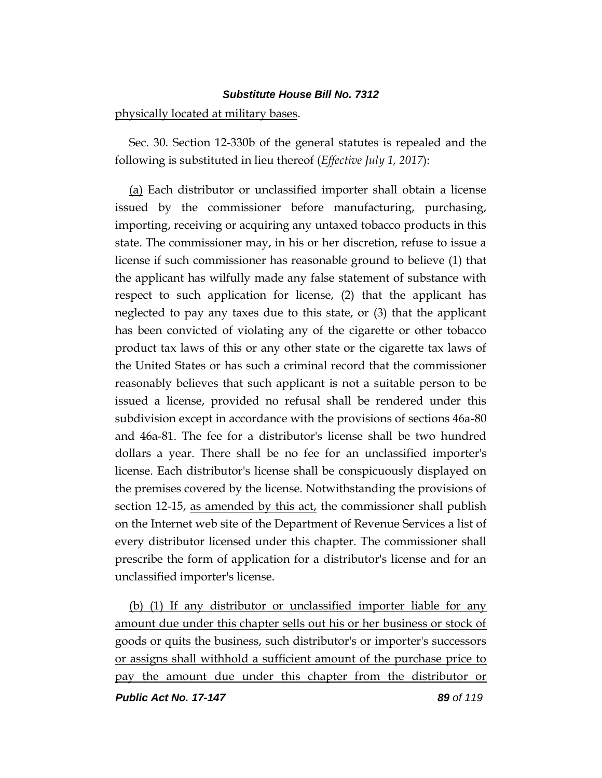#### physically located at military bases.

Sec. 30. Section 12-330b of the general statutes is repealed and the following is substituted in lieu thereof (*Effective July 1, 2017*):

(a) Each distributor or unclassified importer shall obtain a license issued by the commissioner before manufacturing, purchasing, importing, receiving or acquiring any untaxed tobacco products in this state. The commissioner may, in his or her discretion, refuse to issue a license if such commissioner has reasonable ground to believe (1) that the applicant has wilfully made any false statement of substance with respect to such application for license, (2) that the applicant has neglected to pay any taxes due to this state, or (3) that the applicant has been convicted of violating any of the cigarette or other tobacco product tax laws of this or any other state or the cigarette tax laws of the United States or has such a criminal record that the commissioner reasonably believes that such applicant is not a suitable person to be issued a license, provided no refusal shall be rendered under this subdivision except in accordance with the provisions of sections 46a-80 and 46a-81. The fee for a distributor's license shall be two hundred dollars a year. There shall be no fee for an unclassified importer's license. Each distributor's license shall be conspicuously displayed on the premises covered by the license. Notwithstanding the provisions of section 12-15, as amended by this act, the commissioner shall publish on the Internet web site of the Department of Revenue Services a list of every distributor licensed under this chapter. The commissioner shall prescribe the form of application for a distributor's license and for an unclassified importer's license.

(b) (1) If any distributor or unclassified importer liable for any amount due under this chapter sells out his or her business or stock of goods or quits the business, such distributor's or importer's successors or assigns shall withhold a sufficient amount of the purchase price to pay the amount due under this chapter from the distributor or

*Public Act No. 17-147 89 of 119*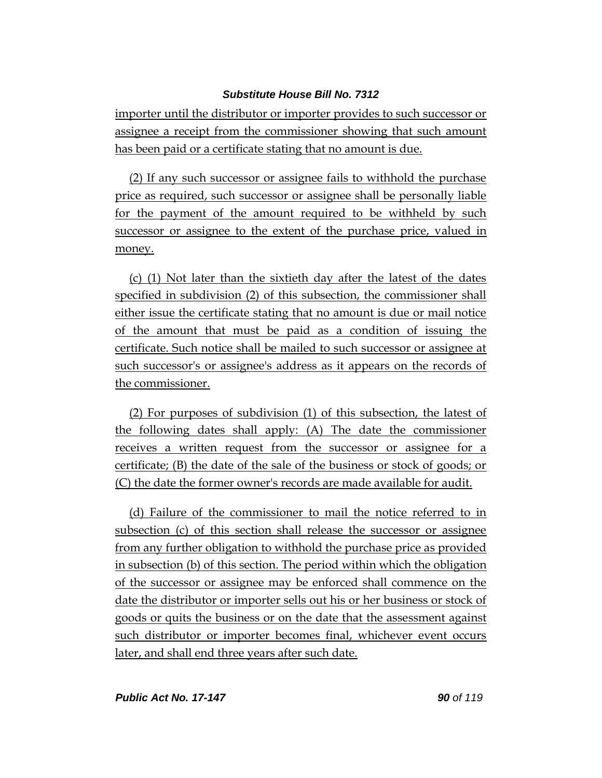importer until the distributor or importer provides to such successor or assignee a receipt from the commissioner showing that such amount has been paid or a certificate stating that no amount is due.

(2) If any such successor or assignee fails to withhold the purchase price as required, such successor or assignee shall be personally liable for the payment of the amount required to be withheld by such successor or assignee to the extent of the purchase price, valued in money.

(c) (1) Not later than the sixtieth day after the latest of the dates specified in subdivision (2) of this subsection, the commissioner shall either issue the certificate stating that no amount is due or mail notice of the amount that must be paid as a condition of issuing the certificate. Such notice shall be mailed to such successor or assignee at such successor's or assignee's address as it appears on the records of the commissioner.

(2) For purposes of subdivision (1) of this subsection, the latest of the following dates shall apply: (A) The date the commissioner receives a written request from the successor or assignee for a certificate; (B) the date of the sale of the business or stock of goods; or (C) the date the former owner's records are made available for audit.

(d) Failure of the commissioner to mail the notice referred to in subsection (c) of this section shall release the successor or assignee from any further obligation to withhold the purchase price as provided in subsection (b) of this section. The period within which the obligation of the successor or assignee may be enforced shall commence on the date the distributor or importer sells out his or her business or stock of goods or quits the business or on the date that the assessment against such distributor or importer becomes final, whichever event occurs later, and shall end three years after such date.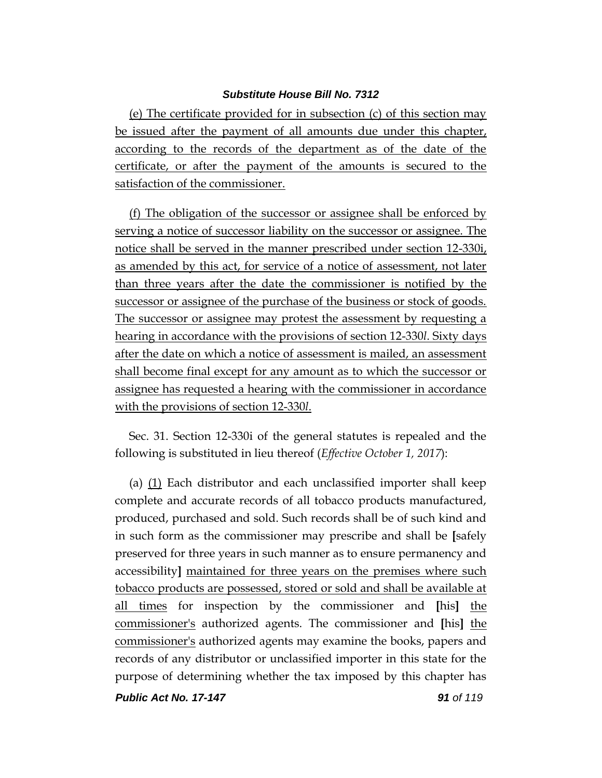(e) The certificate provided for in subsection (c) of this section may be issued after the payment of all amounts due under this chapter, according to the records of the department as of the date of the certificate, or after the payment of the amounts is secured to the satisfaction of the commissioner.

(f) The obligation of the successor or assignee shall be enforced by serving a notice of successor liability on the successor or assignee. The notice shall be served in the manner prescribed under section 12-330i, as amended by this act, for service of a notice of assessment, not later than three years after the date the commissioner is notified by the successor or assignee of the purchase of the business or stock of goods. The successor or assignee may protest the assessment by requesting a hearing in accordance with the provisions of section 12-330*l*. Sixty days after the date on which a notice of assessment is mailed, an assessment shall become final except for any amount as to which the successor or assignee has requested a hearing with the commissioner in accordance with the provisions of section 12-330*l*.

Sec. 31. Section 12-330i of the general statutes is repealed and the following is substituted in lieu thereof (*Effective October 1, 2017*):

(a) (1) Each distributor and each unclassified importer shall keep complete and accurate records of all tobacco products manufactured, produced, purchased and sold. Such records shall be of such kind and in such form as the commissioner may prescribe and shall be **[**safely preserved for three years in such manner as to ensure permanency and accessibility**]** maintained for three years on the premises where such tobacco products are possessed, stored or sold and shall be available at all times for inspection by the commissioner and **[**his**]** the commissioner's authorized agents. The commissioner and **[**his**]** the commissioner's authorized agents may examine the books, papers and records of any distributor or unclassified importer in this state for the purpose of determining whether the tax imposed by this chapter has

*Public Act No. 17-147 91 of 119*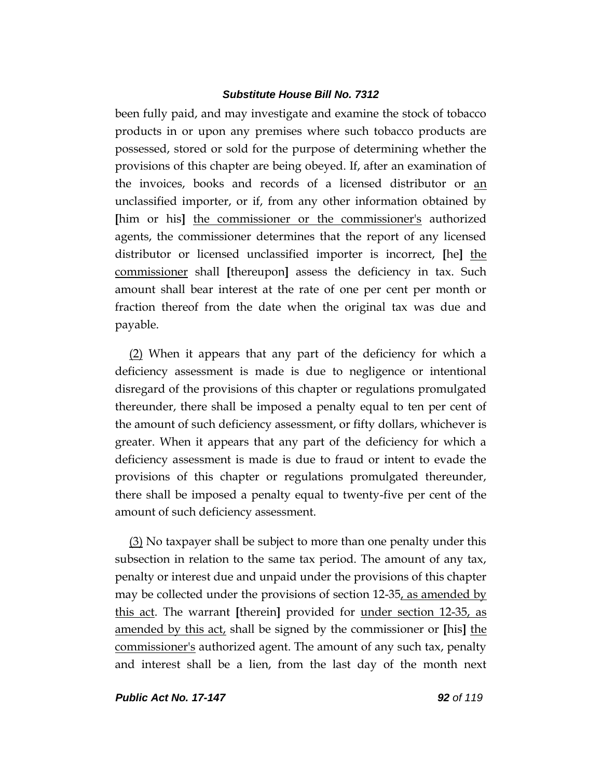been fully paid, and may investigate and examine the stock of tobacco products in or upon any premises where such tobacco products are possessed, stored or sold for the purpose of determining whether the provisions of this chapter are being obeyed. If, after an examination of the invoices, books and records of a licensed distributor or an unclassified importer, or if, from any other information obtained by **[**him or his**]** the commissioner or the commissioner's authorized agents, the commissioner determines that the report of any licensed distributor or licensed unclassified importer is incorrect, **[**he**]** the commissioner shall **[**thereupon**]** assess the deficiency in tax. Such amount shall bear interest at the rate of one per cent per month or fraction thereof from the date when the original tax was due and payable.

(2) When it appears that any part of the deficiency for which a deficiency assessment is made is due to negligence or intentional disregard of the provisions of this chapter or regulations promulgated thereunder, there shall be imposed a penalty equal to ten per cent of the amount of such deficiency assessment, or fifty dollars, whichever is greater. When it appears that any part of the deficiency for which a deficiency assessment is made is due to fraud or intent to evade the provisions of this chapter or regulations promulgated thereunder, there shall be imposed a penalty equal to twenty-five per cent of the amount of such deficiency assessment.

(3) No taxpayer shall be subject to more than one penalty under this subsection in relation to the same tax period. The amount of any tax, penalty or interest due and unpaid under the provisions of this chapter may be collected under the provisions of section 12-35, as amended by this act. The warrant **[**therein**]** provided for under section 12-35, as amended by this act, shall be signed by the commissioner or **[**his**]** the commissioner's authorized agent. The amount of any such tax, penalty and interest shall be a lien, from the last day of the month next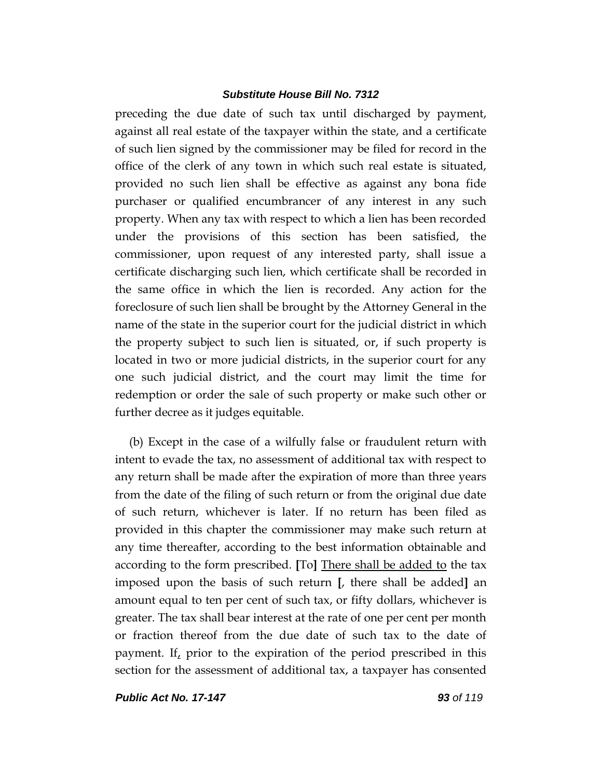preceding the due date of such tax until discharged by payment, against all real estate of the taxpayer within the state, and a certificate of such lien signed by the commissioner may be filed for record in the office of the clerk of any town in which such real estate is situated, provided no such lien shall be effective as against any bona fide purchaser or qualified encumbrancer of any interest in any such property. When any tax with respect to which a lien has been recorded under the provisions of this section has been satisfied, the commissioner, upon request of any interested party, shall issue a certificate discharging such lien, which certificate shall be recorded in the same office in which the lien is recorded. Any action for the foreclosure of such lien shall be brought by the Attorney General in the name of the state in the superior court for the judicial district in which the property subject to such lien is situated, or, if such property is located in two or more judicial districts, in the superior court for any one such judicial district, and the court may limit the time for redemption or order the sale of such property or make such other or further decree as it judges equitable.

(b) Except in the case of a wilfully false or fraudulent return with intent to evade the tax, no assessment of additional tax with respect to any return shall be made after the expiration of more than three years from the date of the filing of such return or from the original due date of such return, whichever is later. If no return has been filed as provided in this chapter the commissioner may make such return at any time thereafter, according to the best information obtainable and according to the form prescribed. **[**To**]** There shall be added to the tax imposed upon the basis of such return **[**, there shall be added**]** an amount equal to ten per cent of such tax, or fifty dollars, whichever is greater. The tax shall bear interest at the rate of one per cent per month or fraction thereof from the due date of such tax to the date of payment. If, prior to the expiration of the period prescribed in this section for the assessment of additional tax, a taxpayer has consented

*Public Act No. 17-147 93 of 119*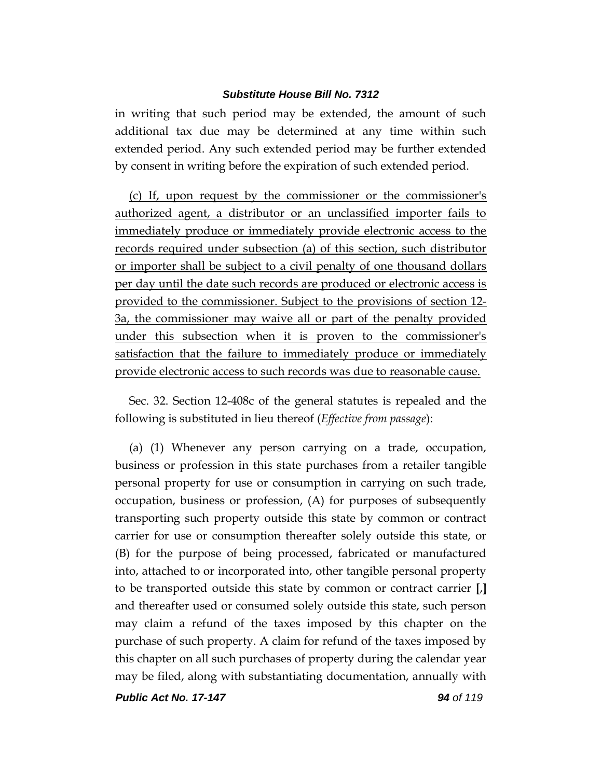in writing that such period may be extended, the amount of such additional tax due may be determined at any time within such extended period. Any such extended period may be further extended by consent in writing before the expiration of such extended period.

(c) If, upon request by the commissioner or the commissioner's authorized agent, a distributor or an unclassified importer fails to immediately produce or immediately provide electronic access to the records required under subsection (a) of this section, such distributor or importer shall be subject to a civil penalty of one thousand dollars per day until the date such records are produced or electronic access is provided to the commissioner. Subject to the provisions of section 12- 3a, the commissioner may waive all or part of the penalty provided under this subsection when it is proven to the commissioner's satisfaction that the failure to immediately produce or immediately provide electronic access to such records was due to reasonable cause.

Sec. 32. Section 12-408c of the general statutes is repealed and the following is substituted in lieu thereof (*Effective from passage*):

(a) (1) Whenever any person carrying on a trade, occupation, business or profession in this state purchases from a retailer tangible personal property for use or consumption in carrying on such trade, occupation, business or profession, (A) for purposes of subsequently transporting such property outside this state by common or contract carrier for use or consumption thereafter solely outside this state, or (B) for the purpose of being processed, fabricated or manufactured into, attached to or incorporated into, other tangible personal property to be transported outside this state by common or contract carrier **[**,**]** and thereafter used or consumed solely outside this state, such person may claim a refund of the taxes imposed by this chapter on the purchase of such property. A claim for refund of the taxes imposed by this chapter on all such purchases of property during the calendar year may be filed, along with substantiating documentation, annually with

*Public Act No. 17-147 94 of 119*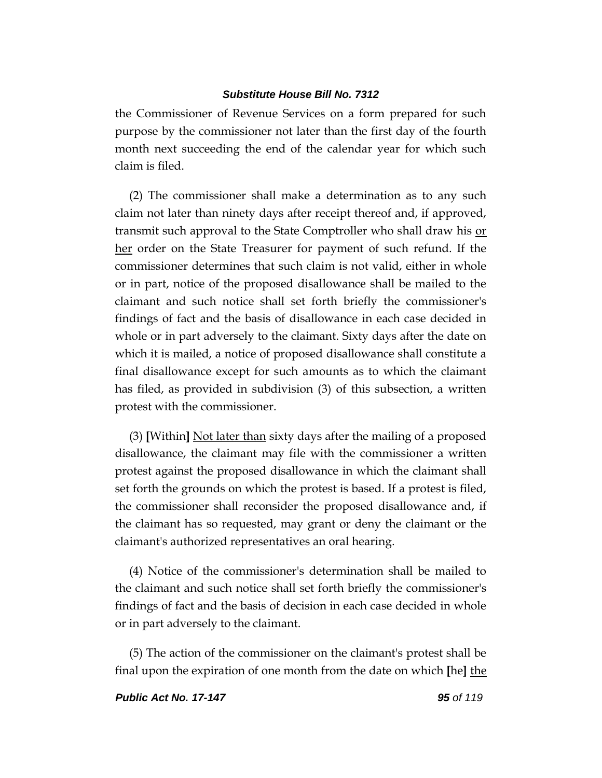the Commissioner of Revenue Services on a form prepared for such purpose by the commissioner not later than the first day of the fourth month next succeeding the end of the calendar year for which such claim is filed.

(2) The commissioner shall make a determination as to any such claim not later than ninety days after receipt thereof and, if approved, transmit such approval to the State Comptroller who shall draw his or her order on the State Treasurer for payment of such refund. If the commissioner determines that such claim is not valid, either in whole or in part, notice of the proposed disallowance shall be mailed to the claimant and such notice shall set forth briefly the commissioner's findings of fact and the basis of disallowance in each case decided in whole or in part adversely to the claimant. Sixty days after the date on which it is mailed, a notice of proposed disallowance shall constitute a final disallowance except for such amounts as to which the claimant has filed, as provided in subdivision (3) of this subsection, a written protest with the commissioner.

(3) **[**Within**]** Not later than sixty days after the mailing of a proposed disallowance, the claimant may file with the commissioner a written protest against the proposed disallowance in which the claimant shall set forth the grounds on which the protest is based. If a protest is filed, the commissioner shall reconsider the proposed disallowance and, if the claimant has so requested, may grant or deny the claimant or the claimant's authorized representatives an oral hearing.

(4) Notice of the commissioner's determination shall be mailed to the claimant and such notice shall set forth briefly the commissioner's findings of fact and the basis of decision in each case decided in whole or in part adversely to the claimant.

(5) The action of the commissioner on the claimant's protest shall be final upon the expiration of one month from the date on which **[**he**]** the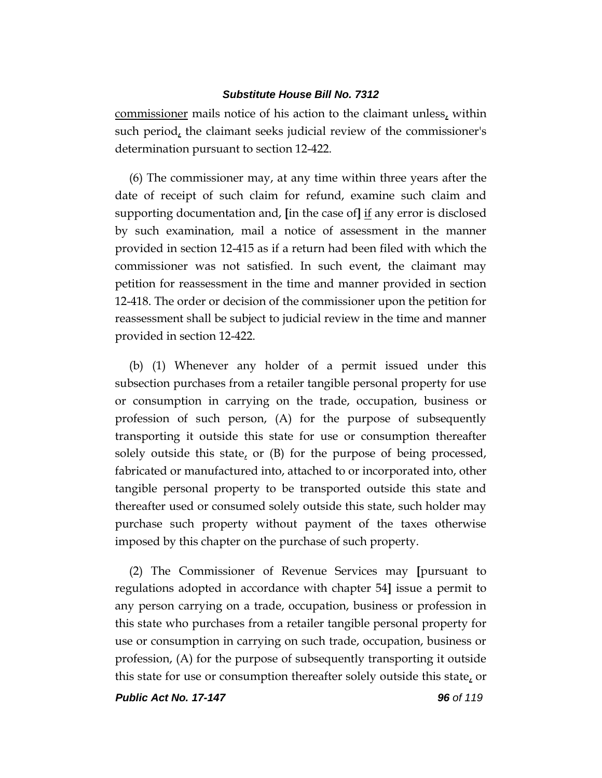commissioner mails notice of his action to the claimant unless, within such period, the claimant seeks judicial review of the commissioner's determination pursuant to section 12-422.

(6) The commissioner may, at any time within three years after the date of receipt of such claim for refund, examine such claim and supporting documentation and, **[**in the case of**]** if any error is disclosed by such examination, mail a notice of assessment in the manner provided in section 12-415 as if a return had been filed with which the commissioner was not satisfied. In such event, the claimant may petition for reassessment in the time and manner provided in section 12-418. The order or decision of the commissioner upon the petition for reassessment shall be subject to judicial review in the time and manner provided in section 12-422.

(b) (1) Whenever any holder of a permit issued under this subsection purchases from a retailer tangible personal property for use or consumption in carrying on the trade, occupation, business or profession of such person, (A) for the purpose of subsequently transporting it outside this state for use or consumption thereafter solely outside this state, or (B) for the purpose of being processed, fabricated or manufactured into, attached to or incorporated into, other tangible personal property to be transported outside this state and thereafter used or consumed solely outside this state, such holder may purchase such property without payment of the taxes otherwise imposed by this chapter on the purchase of such property.

(2) The Commissioner of Revenue Services may **[**pursuant to regulations adopted in accordance with chapter 54**]** issue a permit to any person carrying on a trade, occupation, business or profession in this state who purchases from a retailer tangible personal property for use or consumption in carrying on such trade, occupation, business or profession, (A) for the purpose of subsequently transporting it outside this state for use or consumption thereafter solely outside this state, or

*Public Act No. 17-147 96 of 119*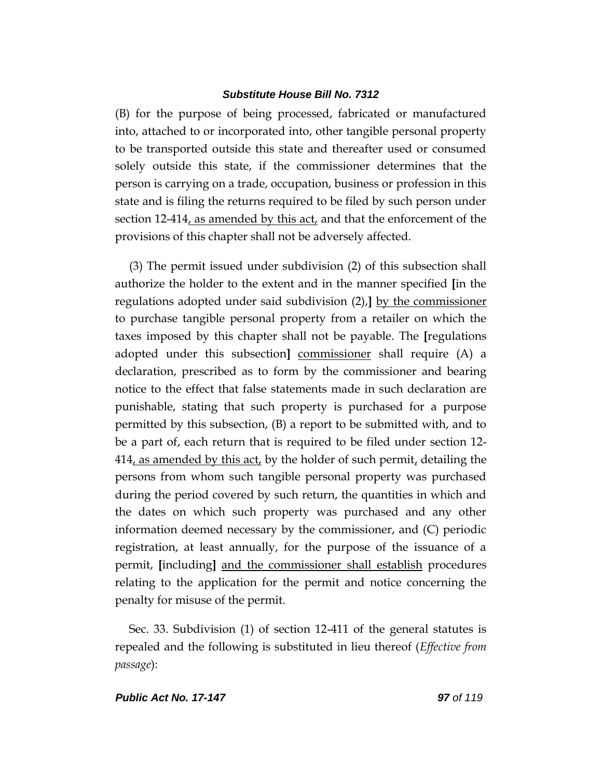(B) for the purpose of being processed, fabricated or manufactured into, attached to or incorporated into, other tangible personal property to be transported outside this state and thereafter used or consumed solely outside this state, if the commissioner determines that the person is carrying on a trade, occupation, business or profession in this state and is filing the returns required to be filed by such person under section 12-414, as amended by this act, and that the enforcement of the provisions of this chapter shall not be adversely affected.

(3) The permit issued under subdivision (2) of this subsection shall authorize the holder to the extent and in the manner specified **[**in the regulations adopted under said subdivision (2),**]** by the commissioner to purchase tangible personal property from a retailer on which the taxes imposed by this chapter shall not be payable. The **[**regulations adopted under this subsection**]** commissioner shall require (A) a declaration, prescribed as to form by the commissioner and bearing notice to the effect that false statements made in such declaration are punishable, stating that such property is purchased for a purpose permitted by this subsection, (B) a report to be submitted with, and to be a part of, each return that is required to be filed under section 12- 414, as amended by this act, by the holder of such permit, detailing the persons from whom such tangible personal property was purchased during the period covered by such return, the quantities in which and the dates on which such property was purchased and any other information deemed necessary by the commissioner, and (C) periodic registration, at least annually, for the purpose of the issuance of a permit, **[**including**]** and the commissioner shall establish procedures relating to the application for the permit and notice concerning the penalty for misuse of the permit.

Sec. 33. Subdivision (1) of section 12-411 of the general statutes is repealed and the following is substituted in lieu thereof (*Effective from passage*):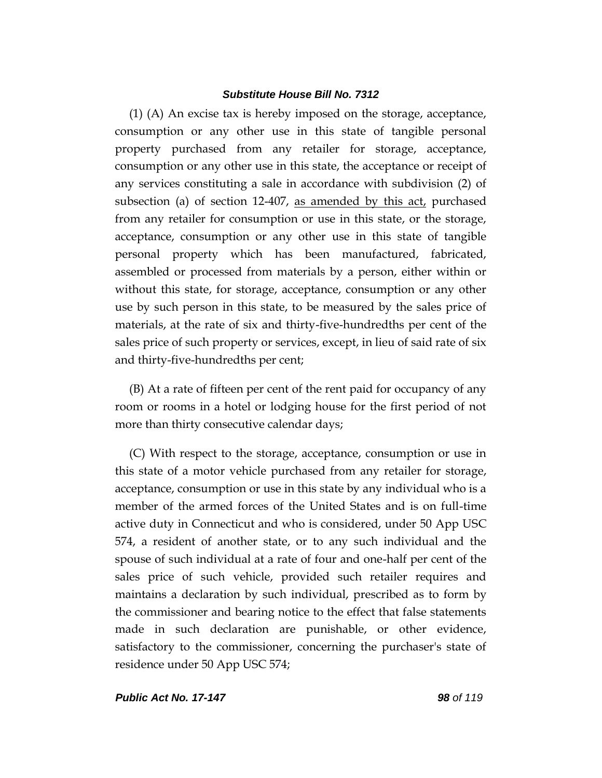(1) (A) An excise tax is hereby imposed on the storage, acceptance, consumption or any other use in this state of tangible personal property purchased from any retailer for storage, acceptance, consumption or any other use in this state, the acceptance or receipt of any services constituting a sale in accordance with subdivision (2) of subsection (a) of section 12-407, as amended by this act, purchased from any retailer for consumption or use in this state, or the storage, acceptance, consumption or any other use in this state of tangible personal property which has been manufactured, fabricated, assembled or processed from materials by a person, either within or without this state, for storage, acceptance, consumption or any other use by such person in this state, to be measured by the sales price of materials, at the rate of six and thirty-five-hundredths per cent of the sales price of such property or services, except, in lieu of said rate of six and thirty-five-hundredths per cent;

(B) At a rate of fifteen per cent of the rent paid for occupancy of any room or rooms in a hotel or lodging house for the first period of not more than thirty consecutive calendar days;

(C) With respect to the storage, acceptance, consumption or use in this state of a motor vehicle purchased from any retailer for storage, acceptance, consumption or use in this state by any individual who is a member of the armed forces of the United States and is on full-time active duty in Connecticut and who is considered, under 50 App USC 574, a resident of another state, or to any such individual and the spouse of such individual at a rate of four and one-half per cent of the sales price of such vehicle, provided such retailer requires and maintains a declaration by such individual, prescribed as to form by the commissioner and bearing notice to the effect that false statements made in such declaration are punishable, or other evidence, satisfactory to the commissioner, concerning the purchaser's state of residence under 50 App USC 574;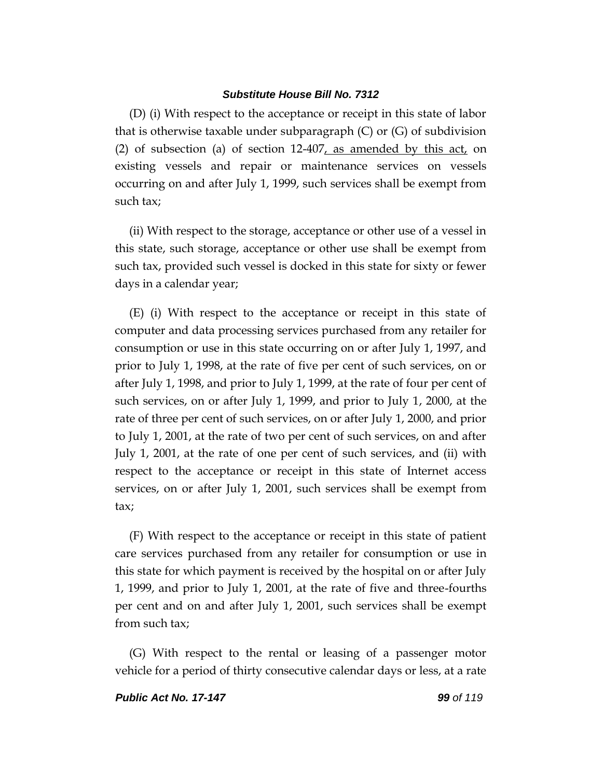(D) (i) With respect to the acceptance or receipt in this state of labor that is otherwise taxable under subparagraph (C) or (G) of subdivision (2) of subsection (a) of section  $12-407$ , as amended by this act, on existing vessels and repair or maintenance services on vessels occurring on and after July 1, 1999, such services shall be exempt from such tax;

(ii) With respect to the storage, acceptance or other use of a vessel in this state, such storage, acceptance or other use shall be exempt from such tax, provided such vessel is docked in this state for sixty or fewer days in a calendar year;

(E) (i) With respect to the acceptance or receipt in this state of computer and data processing services purchased from any retailer for consumption or use in this state occurring on or after July 1, 1997, and prior to July 1, 1998, at the rate of five per cent of such services, on or after July 1, 1998, and prior to July 1, 1999, at the rate of four per cent of such services, on or after July 1, 1999, and prior to July 1, 2000, at the rate of three per cent of such services, on or after July 1, 2000, and prior to July 1, 2001, at the rate of two per cent of such services, on and after July 1, 2001, at the rate of one per cent of such services, and (ii) with respect to the acceptance or receipt in this state of Internet access services, on or after July 1, 2001, such services shall be exempt from tax;

(F) With respect to the acceptance or receipt in this state of patient care services purchased from any retailer for consumption or use in this state for which payment is received by the hospital on or after July 1, 1999, and prior to July 1, 2001, at the rate of five and three-fourths per cent and on and after July 1, 2001, such services shall be exempt from such tax;

(G) With respect to the rental or leasing of a passenger motor vehicle for a period of thirty consecutive calendar days or less, at a rate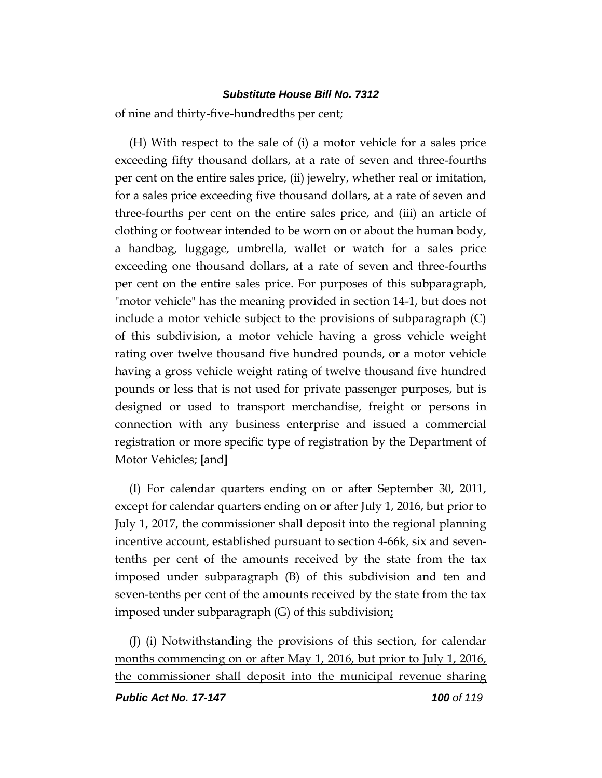of nine and thirty-five-hundredths per cent;

(H) With respect to the sale of (i) a motor vehicle for a sales price exceeding fifty thousand dollars, at a rate of seven and three-fourths per cent on the entire sales price, (ii) jewelry, whether real or imitation, for a sales price exceeding five thousand dollars, at a rate of seven and three-fourths per cent on the entire sales price, and (iii) an article of clothing or footwear intended to be worn on or about the human body, a handbag, luggage, umbrella, wallet or watch for a sales price exceeding one thousand dollars, at a rate of seven and three-fourths per cent on the entire sales price. For purposes of this subparagraph, "motor vehicle" has the meaning provided in section 14-1, but does not include a motor vehicle subject to the provisions of subparagraph (C) of this subdivision, a motor vehicle having a gross vehicle weight rating over twelve thousand five hundred pounds, or a motor vehicle having a gross vehicle weight rating of twelve thousand five hundred pounds or less that is not used for private passenger purposes, but is designed or used to transport merchandise, freight or persons in connection with any business enterprise and issued a commercial registration or more specific type of registration by the Department of Motor Vehicles; **[**and**]**

(I) For calendar quarters ending on or after September 30, 2011, except for calendar quarters ending on or after July 1, 2016, but prior to July 1, 2017, the commissioner shall deposit into the regional planning incentive account, established pursuant to section 4-66k, six and seventenths per cent of the amounts received by the state from the tax imposed under subparagraph (B) of this subdivision and ten and seven-tenths per cent of the amounts received by the state from the tax imposed under subparagraph (G) of this subdivision;

(J) (i) Notwithstanding the provisions of this section, for calendar months commencing on or after May 1, 2016, but prior to July 1, 2016, the commissioner shall deposit into the municipal revenue sharing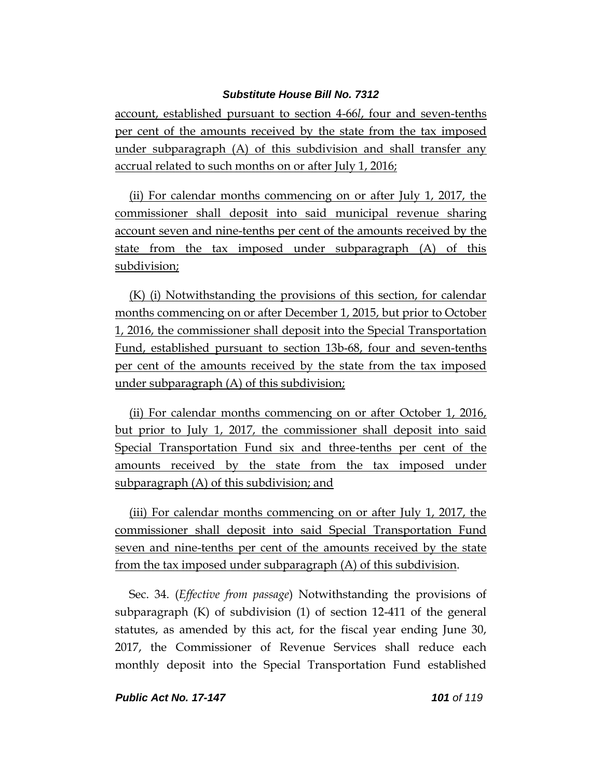account, established pursuant to section 4-66*l*, four and seven-tenths per cent of the amounts received by the state from the tax imposed under subparagraph (A) of this subdivision and shall transfer any accrual related to such months on or after July 1, 2016;

(ii) For calendar months commencing on or after July 1, 2017, the commissioner shall deposit into said municipal revenue sharing account seven and nine-tenths per cent of the amounts received by the state from the tax imposed under subparagraph (A) of this subdivision;

(K) (i) Notwithstanding the provisions of this section, for calendar months commencing on or after December 1, 2015, but prior to October 1, 2016, the commissioner shall deposit into the Special Transportation Fund, established pursuant to section 13b-68, four and seven-tenths per cent of the amounts received by the state from the tax imposed under subparagraph (A) of this subdivision;

(ii) For calendar months commencing on or after October 1, 2016, but prior to July 1, 2017, the commissioner shall deposit into said Special Transportation Fund six and three-tenths per cent of the amounts received by the state from the tax imposed under subparagraph (A) of this subdivision; and

(iii) For calendar months commencing on or after July 1, 2017, the commissioner shall deposit into said Special Transportation Fund seven and nine-tenths per cent of the amounts received by the state from the tax imposed under subparagraph (A) of this subdivision.

Sec. 34. (*Effective from passage*) Notwithstanding the provisions of subparagraph (K) of subdivision (1) of section 12-411 of the general statutes, as amended by this act, for the fiscal year ending June 30, 2017, the Commissioner of Revenue Services shall reduce each monthly deposit into the Special Transportation Fund established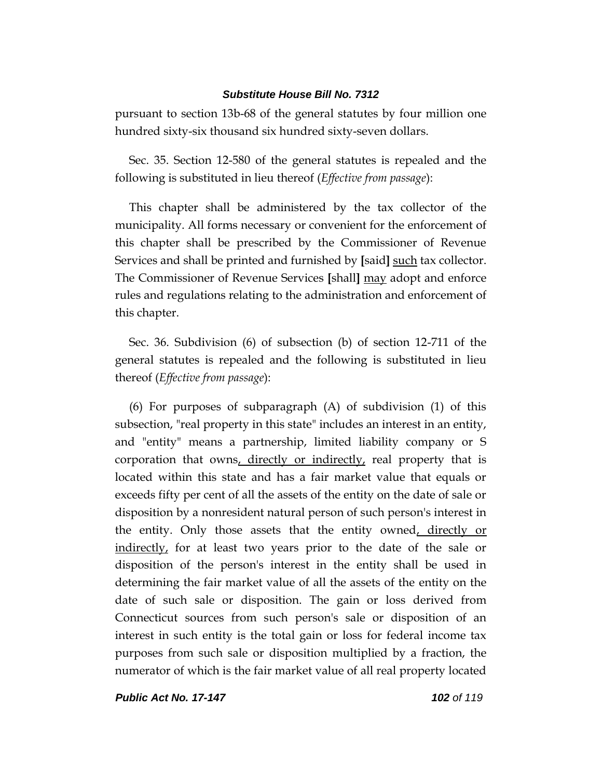pursuant to section 13b-68 of the general statutes by four million one hundred sixty-six thousand six hundred sixty-seven dollars.

Sec. 35. Section 12-580 of the general statutes is repealed and the following is substituted in lieu thereof (*Effective from passage*):

This chapter shall be administered by the tax collector of the municipality. All forms necessary or convenient for the enforcement of this chapter shall be prescribed by the Commissioner of Revenue Services and shall be printed and furnished by **[**said**]** such tax collector. The Commissioner of Revenue Services **[**shall**]** may adopt and enforce rules and regulations relating to the administration and enforcement of this chapter.

Sec. 36. Subdivision (6) of subsection (b) of section 12-711 of the general statutes is repealed and the following is substituted in lieu thereof (*Effective from passage*):

(6) For purposes of subparagraph (A) of subdivision (1) of this subsection, "real property in this state" includes an interest in an entity, and "entity" means a partnership, limited liability company or S corporation that owns, directly or indirectly, real property that is located within this state and has a fair market value that equals or exceeds fifty per cent of all the assets of the entity on the date of sale or disposition by a nonresident natural person of such person's interest in the entity. Only those assets that the entity owned, directly or indirectly, for at least two years prior to the date of the sale or disposition of the person's interest in the entity shall be used in determining the fair market value of all the assets of the entity on the date of such sale or disposition. The gain or loss derived from Connecticut sources from such person's sale or disposition of an interest in such entity is the total gain or loss for federal income tax purposes from such sale or disposition multiplied by a fraction, the numerator of which is the fair market value of all real property located

*Public Act No. 17-147 102 of 119*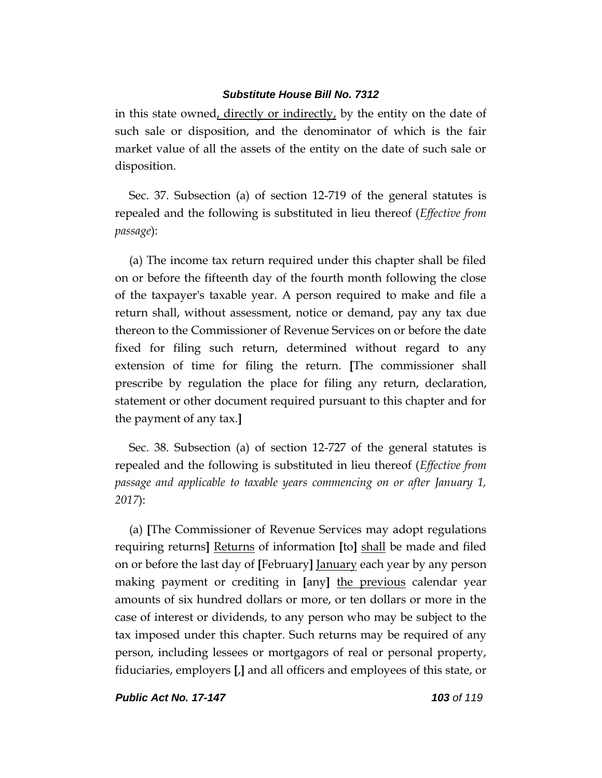in this state owned, directly or indirectly, by the entity on the date of such sale or disposition, and the denominator of which is the fair market value of all the assets of the entity on the date of such sale or disposition.

Sec. 37. Subsection (a) of section 12-719 of the general statutes is repealed and the following is substituted in lieu thereof (*Effective from passage*):

(a) The income tax return required under this chapter shall be filed on or before the fifteenth day of the fourth month following the close of the taxpayer's taxable year. A person required to make and file a return shall, without assessment, notice or demand, pay any tax due thereon to the Commissioner of Revenue Services on or before the date fixed for filing such return, determined without regard to any extension of time for filing the return. **[**The commissioner shall prescribe by regulation the place for filing any return, declaration, statement or other document required pursuant to this chapter and for the payment of any tax.**]**

Sec. 38. Subsection (a) of section 12-727 of the general statutes is repealed and the following is substituted in lieu thereof (*Effective from passage and applicable to taxable years commencing on or after January 1, 2017*):

(a) **[**The Commissioner of Revenue Services may adopt regulations requiring returns**]** Returns of information **[**to**]** shall be made and filed on or before the last day of **[**February**]** January each year by any person making payment or crediting in **[**any**]** the previous calendar year amounts of six hundred dollars or more, or ten dollars or more in the case of interest or dividends, to any person who may be subject to the tax imposed under this chapter. Such returns may be required of any person, including lessees or mortgagors of real or personal property, fiduciaries, employers **[**,**]** and all officers and employees of this state, or

*Public Act No. 17-147 103 of 119*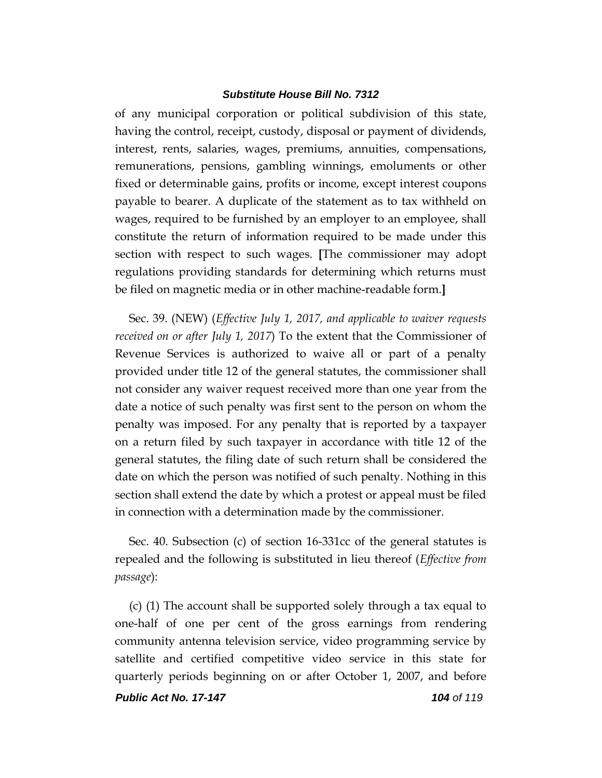of any municipal corporation or political subdivision of this state, having the control, receipt, custody, disposal or payment of dividends, interest, rents, salaries, wages, premiums, annuities, compensations, remunerations, pensions, gambling winnings, emoluments or other fixed or determinable gains, profits or income, except interest coupons payable to bearer. A duplicate of the statement as to tax withheld on wages, required to be furnished by an employer to an employee, shall constitute the return of information required to be made under this section with respect to such wages. **[**The commissioner may adopt regulations providing standards for determining which returns must be filed on magnetic media or in other machine-readable form.**]**

Sec. 39. (NEW) (*Effective July 1, 2017, and applicable to waiver requests received on or after July 1, 2017*) To the extent that the Commissioner of Revenue Services is authorized to waive all or part of a penalty provided under title 12 of the general statutes, the commissioner shall not consider any waiver request received more than one year from the date a notice of such penalty was first sent to the person on whom the penalty was imposed. For any penalty that is reported by a taxpayer on a return filed by such taxpayer in accordance with title 12 of the general statutes, the filing date of such return shall be considered the date on which the person was notified of such penalty. Nothing in this section shall extend the date by which a protest or appeal must be filed in connection with a determination made by the commissioner.

Sec. 40. Subsection (c) of section 16-331cc of the general statutes is repealed and the following is substituted in lieu thereof (*Effective from passage*):

(c) (1) The account shall be supported solely through a tax equal to one-half of one per cent of the gross earnings from rendering community antenna television service, video programming service by satellite and certified competitive video service in this state for quarterly periods beginning on or after October 1, 2007, and before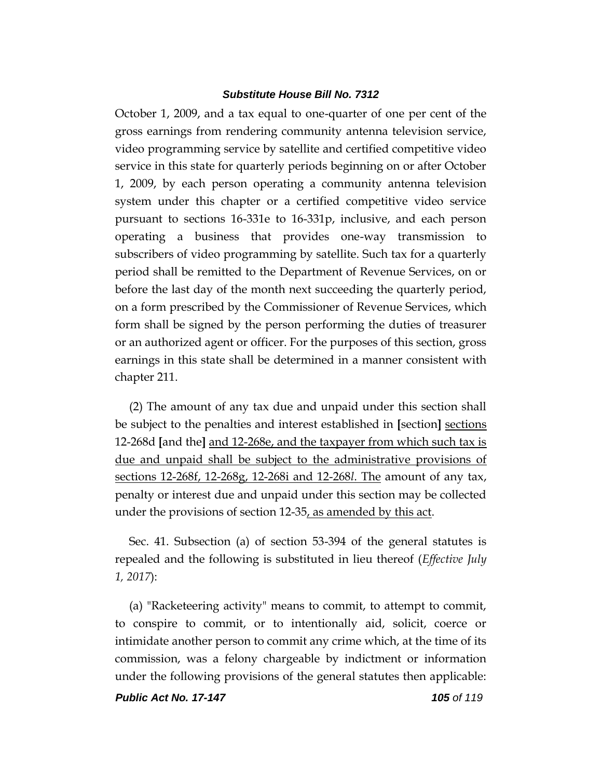October 1, 2009, and a tax equal to one-quarter of one per cent of the gross earnings from rendering community antenna television service, video programming service by satellite and certified competitive video service in this state for quarterly periods beginning on or after October 1, 2009, by each person operating a community antenna television system under this chapter or a certified competitive video service pursuant to sections 16-331e to 16-331p, inclusive, and each person operating a business that provides one-way transmission to subscribers of video programming by satellite. Such tax for a quarterly period shall be remitted to the Department of Revenue Services, on or before the last day of the month next succeeding the quarterly period, on a form prescribed by the Commissioner of Revenue Services, which form shall be signed by the person performing the duties of treasurer or an authorized agent or officer. For the purposes of this section, gross earnings in this state shall be determined in a manner consistent with chapter 211.

(2) The amount of any tax due and unpaid under this section shall be subject to the penalties and interest established in **[**section**]** sections 12-268d **[**and the**]** and 12-268e, and the taxpayer from which such tax is due and unpaid shall be subject to the administrative provisions of sections 12-268f, 12-268g, 12-268i and 12-268*l*. The amount of any tax, penalty or interest due and unpaid under this section may be collected under the provisions of section 12-35, as amended by this act.

Sec. 41. Subsection (a) of section 53-394 of the general statutes is repealed and the following is substituted in lieu thereof (*Effective July 1, 2017*):

(a) "Racketeering activity" means to commit, to attempt to commit, to conspire to commit, or to intentionally aid, solicit, coerce or intimidate another person to commit any crime which, at the time of its commission, was a felony chargeable by indictment or information under the following provisions of the general statutes then applicable:

*Public Act No. 17-147 105 of 119*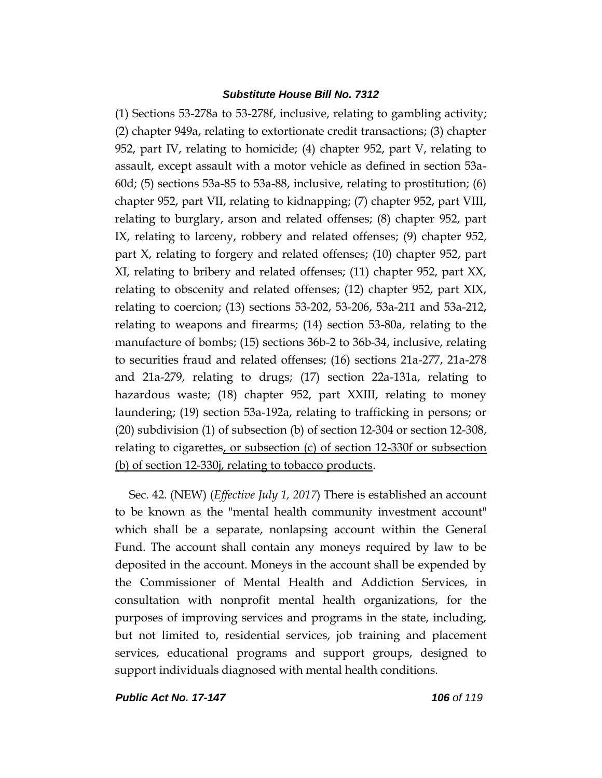(1) Sections 53-278a to 53-278f, inclusive, relating to gambling activity; (2) chapter 949a, relating to extortionate credit transactions; (3) chapter 952, part IV, relating to homicide; (4) chapter 952, part V, relating to assault, except assault with a motor vehicle as defined in section 53a-60d; (5) sections 53a-85 to 53a-88, inclusive, relating to prostitution; (6) chapter 952, part VII, relating to kidnapping; (7) chapter 952, part VIII, relating to burglary, arson and related offenses; (8) chapter 952, part IX, relating to larceny, robbery and related offenses; (9) chapter 952, part X, relating to forgery and related offenses; (10) chapter 952, part XI, relating to bribery and related offenses; (11) chapter 952, part XX, relating to obscenity and related offenses; (12) chapter 952, part XIX, relating to coercion; (13) sections 53-202, 53-206, 53a-211 and 53a-212, relating to weapons and firearms; (14) section 53-80a, relating to the manufacture of bombs; (15) sections 36b-2 to 36b-34, inclusive, relating to securities fraud and related offenses; (16) sections 21a-277, 21a-278 and 21a-279, relating to drugs; (17) section 22a-131a, relating to hazardous waste; (18) chapter 952, part XXIII, relating to money laundering; (19) section 53a-192a, relating to trafficking in persons; or (20) subdivision (1) of subsection (b) of section 12-304 or section 12-308, relating to cigarettes, or subsection (c) of section 12-330f or subsection (b) of section 12-330j, relating to tobacco products.

Sec. 42. (NEW) (*Effective July 1, 2017*) There is established an account to be known as the "mental health community investment account" which shall be a separate, nonlapsing account within the General Fund. The account shall contain any moneys required by law to be deposited in the account. Moneys in the account shall be expended by the Commissioner of Mental Health and Addiction Services, in consultation with nonprofit mental health organizations, for the purposes of improving services and programs in the state, including, but not limited to, residential services, job training and placement services, educational programs and support groups, designed to support individuals diagnosed with mental health conditions.

*Public Act No. 17-147 106 of 119*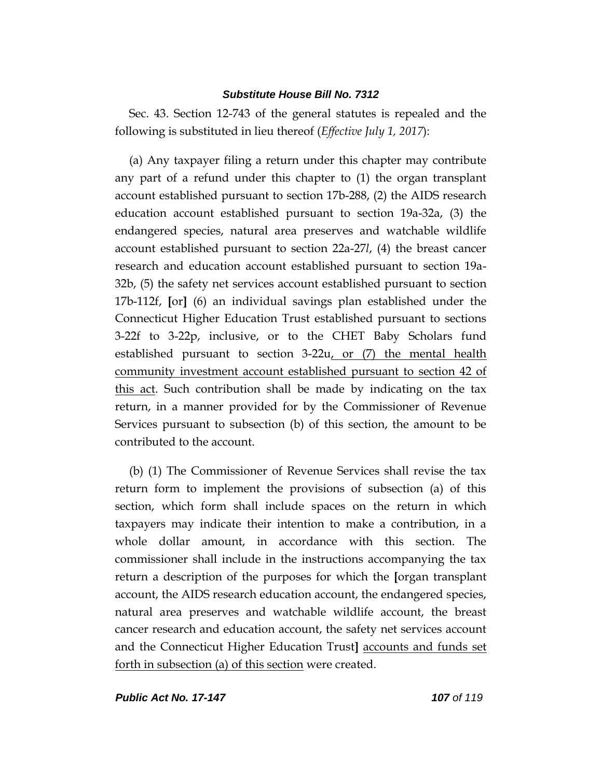Sec. 43. Section 12-743 of the general statutes is repealed and the following is substituted in lieu thereof (*Effective July 1, 2017*):

(a) Any taxpayer filing a return under this chapter may contribute any part of a refund under this chapter to (1) the organ transplant account established pursuant to section 17b-288, (2) the AIDS research education account established pursuant to section 19a-32a, (3) the endangered species, natural area preserves and watchable wildlife account established pursuant to section 22a-27*l*, (4) the breast cancer research and education account established pursuant to section 19a-32b, (5) the safety net services account established pursuant to section 17b-112f, **[**or**]** (6) an individual savings plan established under the Connecticut Higher Education Trust established pursuant to sections 3-22f to 3-22p, inclusive, or to the CHET Baby Scholars fund established pursuant to section 3-22u, or (7) the mental health community investment account established pursuant to section 42 of this act. Such contribution shall be made by indicating on the tax return, in a manner provided for by the Commissioner of Revenue Services pursuant to subsection (b) of this section, the amount to be contributed to the account.

(b) (1) The Commissioner of Revenue Services shall revise the tax return form to implement the provisions of subsection (a) of this section, which form shall include spaces on the return in which taxpayers may indicate their intention to make a contribution, in a whole dollar amount, in accordance with this section. The commissioner shall include in the instructions accompanying the tax return a description of the purposes for which the **[**organ transplant account, the AIDS research education account, the endangered species, natural area preserves and watchable wildlife account, the breast cancer research and education account, the safety net services account and the Connecticut Higher Education Trust**]** accounts and funds set forth in subsection (a) of this section were created.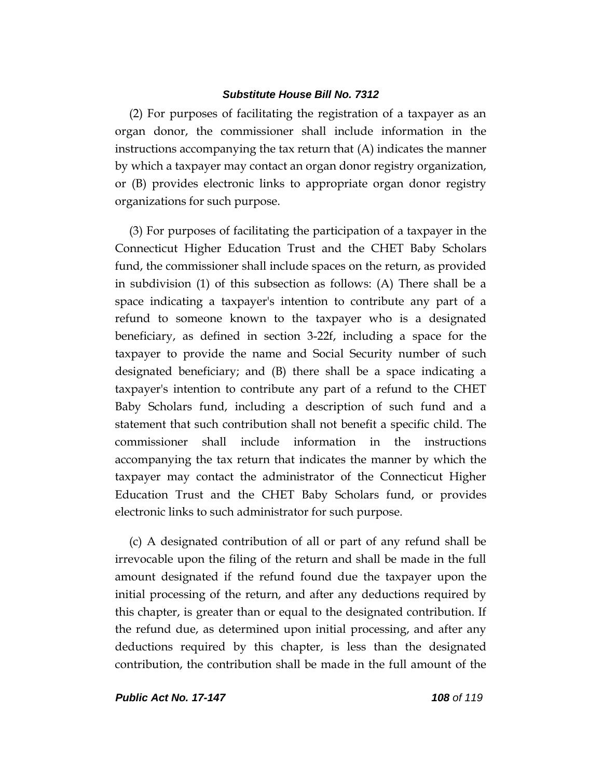(2) For purposes of facilitating the registration of a taxpayer as an organ donor, the commissioner shall include information in the instructions accompanying the tax return that (A) indicates the manner by which a taxpayer may contact an organ donor registry organization, or (B) provides electronic links to appropriate organ donor registry organizations for such purpose.

(3) For purposes of facilitating the participation of a taxpayer in the Connecticut Higher Education Trust and the CHET Baby Scholars fund, the commissioner shall include spaces on the return, as provided in subdivision (1) of this subsection as follows: (A) There shall be a space indicating a taxpayer's intention to contribute any part of a refund to someone known to the taxpayer who is a designated beneficiary, as defined in section 3-22f, including a space for the taxpayer to provide the name and Social Security number of such designated beneficiary; and (B) there shall be a space indicating a taxpayer's intention to contribute any part of a refund to the CHET Baby Scholars fund, including a description of such fund and a statement that such contribution shall not benefit a specific child. The commissioner shall include information in the instructions accompanying the tax return that indicates the manner by which the taxpayer may contact the administrator of the Connecticut Higher Education Trust and the CHET Baby Scholars fund, or provides electronic links to such administrator for such purpose.

(c) A designated contribution of all or part of any refund shall be irrevocable upon the filing of the return and shall be made in the full amount designated if the refund found due the taxpayer upon the initial processing of the return, and after any deductions required by this chapter, is greater than or equal to the designated contribution. If the refund due, as determined upon initial processing, and after any deductions required by this chapter, is less than the designated contribution, the contribution shall be made in the full amount of the

*Public Act No. 17-147 108 of 119*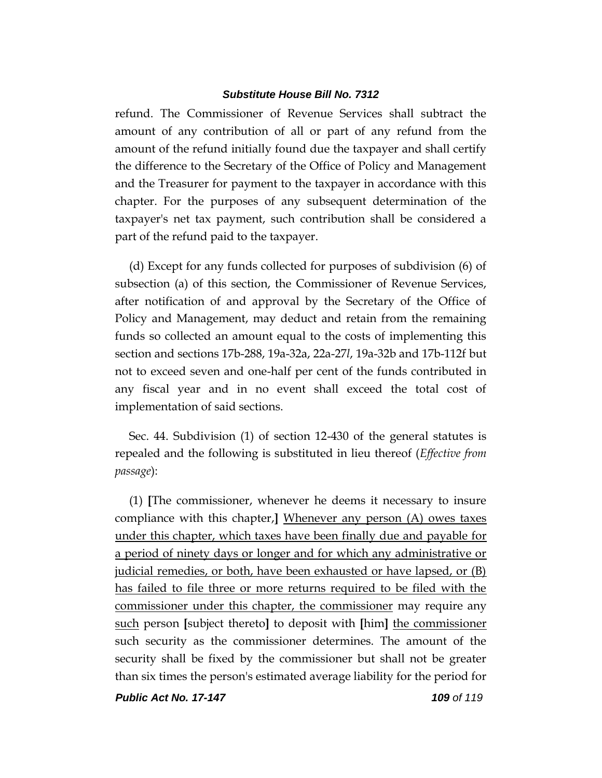refund. The Commissioner of Revenue Services shall subtract the amount of any contribution of all or part of any refund from the amount of the refund initially found due the taxpayer and shall certify the difference to the Secretary of the Office of Policy and Management and the Treasurer for payment to the taxpayer in accordance with this chapter. For the purposes of any subsequent determination of the taxpayer's net tax payment, such contribution shall be considered a part of the refund paid to the taxpayer.

(d) Except for any funds collected for purposes of subdivision (6) of subsection (a) of this section, the Commissioner of Revenue Services, after notification of and approval by the Secretary of the Office of Policy and Management, may deduct and retain from the remaining funds so collected an amount equal to the costs of implementing this section and sections 17b-288, 19a-32a, 22a-27*l*, 19a-32b and 17b-112f but not to exceed seven and one-half per cent of the funds contributed in any fiscal year and in no event shall exceed the total cost of implementation of said sections.

Sec. 44. Subdivision (1) of section 12-430 of the general statutes is repealed and the following is substituted in lieu thereof (*Effective from passage*):

(1) **[**The commissioner, whenever he deems it necessary to insure compliance with this chapter,**]** Whenever any person (A) owes taxes under this chapter, which taxes have been finally due and payable for a period of ninety days or longer and for which any administrative or judicial remedies, or both, have been exhausted or have lapsed, or (B) has failed to file three or more returns required to be filed with the commissioner under this chapter, the commissioner may require any such person **[**subject thereto**]** to deposit with **[**him**]** the commissioner such security as the commissioner determines. The amount of the security shall be fixed by the commissioner but shall not be greater than six times the person's estimated average liability for the period for

*Public Act No. 17-147 109 of 119*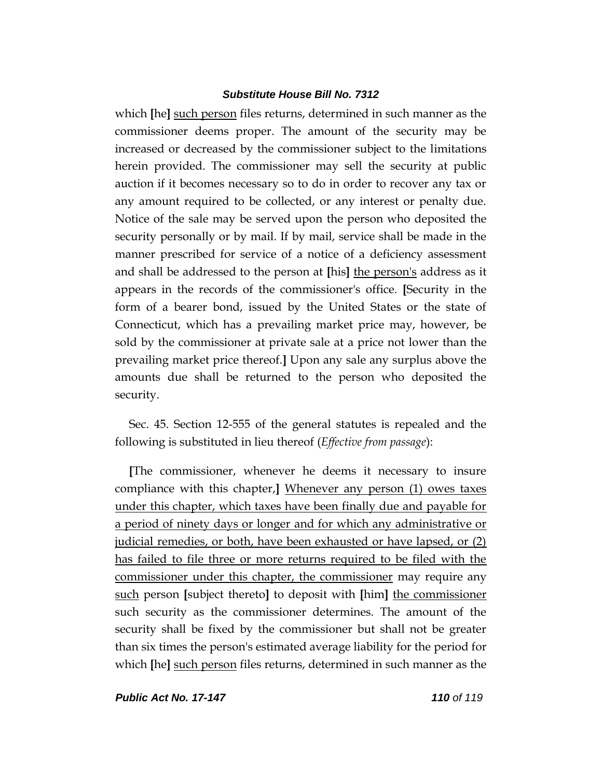which **[he]** such person files returns, determined in such manner as the commissioner deems proper. The amount of the security may be increased or decreased by the commissioner subject to the limitations herein provided. The commissioner may sell the security at public auction if it becomes necessary so to do in order to recover any tax or any amount required to be collected, or any interest or penalty due. Notice of the sale may be served upon the person who deposited the security personally or by mail. If by mail, service shall be made in the manner prescribed for service of a notice of a deficiency assessment and shall be addressed to the person at **[**his**]** the person's address as it appears in the records of the commissioner's office. **[**Security in the form of a bearer bond, issued by the United States or the state of Connecticut, which has a prevailing market price may, however, be sold by the commissioner at private sale at a price not lower than the prevailing market price thereof.**]** Upon any sale any surplus above the amounts due shall be returned to the person who deposited the security.

Sec. 45. Section 12-555 of the general statutes is repealed and the following is substituted in lieu thereof (*Effective from passage*):

**[**The commissioner, whenever he deems it necessary to insure compliance with this chapter,**]** Whenever any person (1) owes taxes under this chapter, which taxes have been finally due and payable for a period of ninety days or longer and for which any administrative or judicial remedies, or both, have been exhausted or have lapsed, or (2) has failed to file three or more returns required to be filed with the commissioner under this chapter, the commissioner may require any such person **[**subject thereto**]** to deposit with **[**him**]** the commissioner such security as the commissioner determines. The amount of the security shall be fixed by the commissioner but shall not be greater than six times the person's estimated average liability for the period for which **[**he**]** such person files returns, determined in such manner as the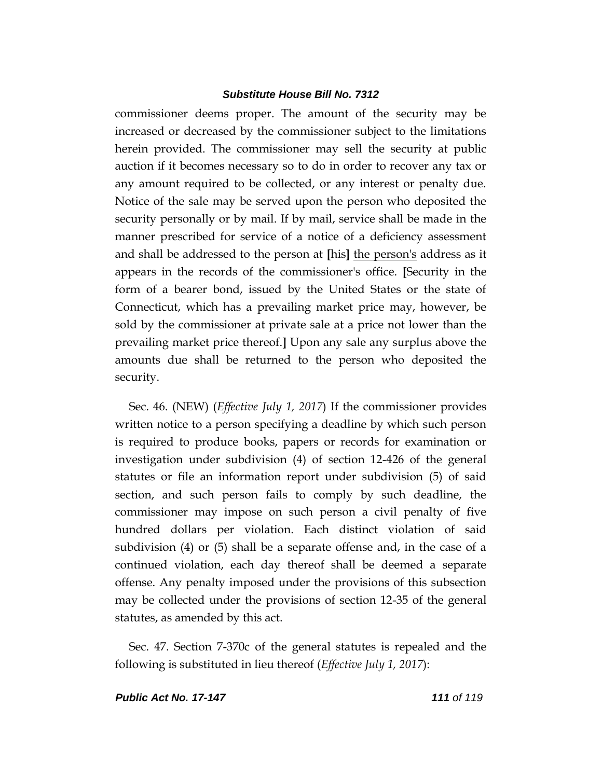commissioner deems proper. The amount of the security may be increased or decreased by the commissioner subject to the limitations herein provided. The commissioner may sell the security at public auction if it becomes necessary so to do in order to recover any tax or any amount required to be collected, or any interest or penalty due. Notice of the sale may be served upon the person who deposited the security personally or by mail. If by mail, service shall be made in the manner prescribed for service of a notice of a deficiency assessment and shall be addressed to the person at **[**his**]** the person's address as it appears in the records of the commissioner's office. **[**Security in the form of a bearer bond, issued by the United States or the state of Connecticut, which has a prevailing market price may, however, be sold by the commissioner at private sale at a price not lower than the prevailing market price thereof.**]** Upon any sale any surplus above the amounts due shall be returned to the person who deposited the security.

Sec. 46. (NEW) (*Effective July 1, 2017*) If the commissioner provides written notice to a person specifying a deadline by which such person is required to produce books, papers or records for examination or investigation under subdivision (4) of section 12-426 of the general statutes or file an information report under subdivision (5) of said section, and such person fails to comply by such deadline, the commissioner may impose on such person a civil penalty of five hundred dollars per violation. Each distinct violation of said subdivision (4) or (5) shall be a separate offense and, in the case of a continued violation, each day thereof shall be deemed a separate offense. Any penalty imposed under the provisions of this subsection may be collected under the provisions of section 12-35 of the general statutes, as amended by this act.

Sec. 47. Section 7-370c of the general statutes is repealed and the following is substituted in lieu thereof (*Effective July 1, 2017*):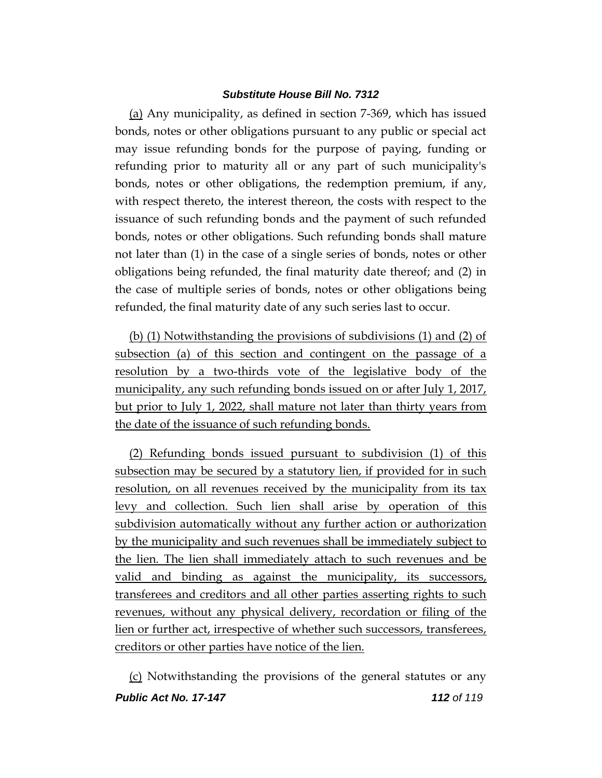(a) Any municipality, as defined in section 7-369, which has issued bonds, notes or other obligations pursuant to any public or special act may issue refunding bonds for the purpose of paying, funding or refunding prior to maturity all or any part of such municipality's bonds, notes or other obligations, the redemption premium, if any, with respect thereto, the interest thereon, the costs with respect to the issuance of such refunding bonds and the payment of such refunded bonds, notes or other obligations. Such refunding bonds shall mature not later than (1) in the case of a single series of bonds, notes or other obligations being refunded, the final maturity date thereof; and (2) in the case of multiple series of bonds, notes or other obligations being refunded, the final maturity date of any such series last to occur.

(b) (1) Notwithstanding the provisions of subdivisions (1) and (2) of subsection (a) of this section and contingent on the passage of a resolution by a two-thirds vote of the legislative body of the municipality, any such refunding bonds issued on or after July 1, 2017, but prior to July 1, 2022, shall mature not later than thirty years from the date of the issuance of such refunding bonds.

(2) Refunding bonds issued pursuant to subdivision (1) of this subsection may be secured by a statutory lien, if provided for in such resolution, on all revenues received by the municipality from its tax levy and collection. Such lien shall arise by operation of this subdivision automatically without any further action or authorization by the municipality and such revenues shall be immediately subject to the lien. The lien shall immediately attach to such revenues and be valid and binding as against the municipality, its successors, transferees and creditors and all other parties asserting rights to such revenues, without any physical delivery, recordation or filing of the lien or further act, irrespective of whether such successors, transferees, creditors or other parties have notice of the lien.

*Public Act No. 17-147 112 of 119* (c) Notwithstanding the provisions of the general statutes or any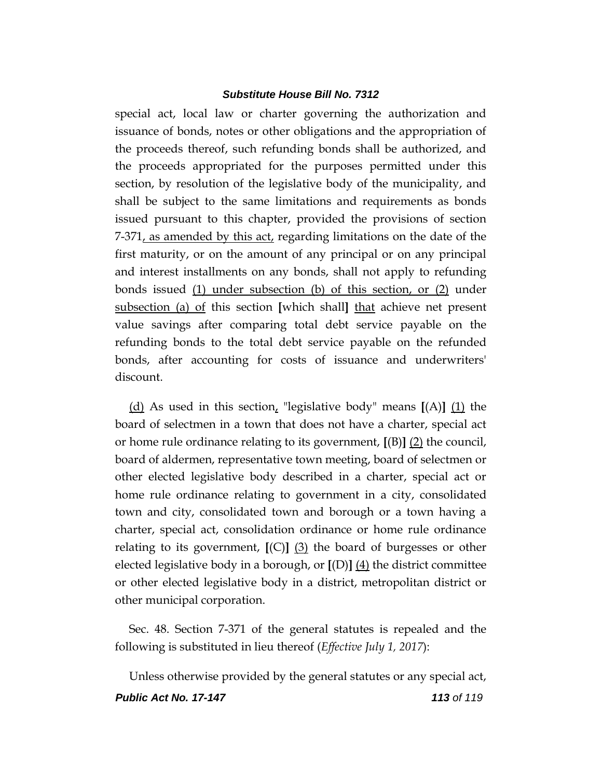special act, local law or charter governing the authorization and issuance of bonds, notes or other obligations and the appropriation of the proceeds thereof, such refunding bonds shall be authorized, and the proceeds appropriated for the purposes permitted under this section, by resolution of the legislative body of the municipality, and shall be subject to the same limitations and requirements as bonds issued pursuant to this chapter, provided the provisions of section 7-371, as amended by this act, regarding limitations on the date of the first maturity, or on the amount of any principal or on any principal and interest installments on any bonds, shall not apply to refunding bonds issued (1) under subsection (b) of this section, or (2) under subsection (a) of this section **[**which shall**]** that achieve net present value savings after comparing total debt service payable on the refunding bonds to the total debt service payable on the refunded bonds, after accounting for costs of issuance and underwriters' discount.

(d) As used in this section, "legislative body" means **[**(A)**]** (1) the board of selectmen in a town that does not have a charter, special act or home rule ordinance relating to its government, **[**(B)**]** (2) the council, board of aldermen, representative town meeting, board of selectmen or other elected legislative body described in a charter, special act or home rule ordinance relating to government in a city, consolidated town and city, consolidated town and borough or a town having a charter, special act, consolidation ordinance or home rule ordinance relating to its government, **[**(C)**]** (3) the board of burgesses or other elected legislative body in a borough, or **[**(D)**]** (4) the district committee or other elected legislative body in a district, metropolitan district or other municipal corporation.

Sec. 48. Section 7-371 of the general statutes is repealed and the following is substituted in lieu thereof (*Effective July 1, 2017*):

*Public Act No. 17-147 113 of 119* Unless otherwise provided by the general statutes or any special act,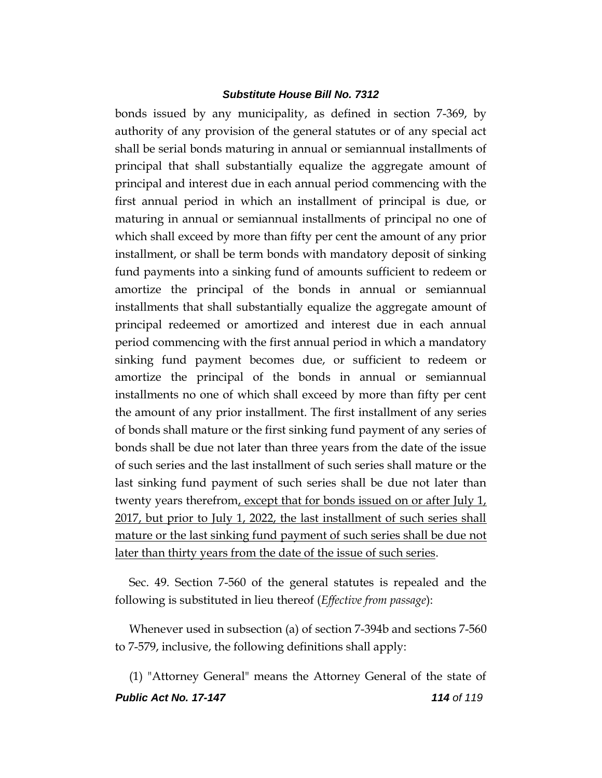bonds issued by any municipality, as defined in section 7-369, by authority of any provision of the general statutes or of any special act shall be serial bonds maturing in annual or semiannual installments of principal that shall substantially equalize the aggregate amount of principal and interest due in each annual period commencing with the first annual period in which an installment of principal is due, or maturing in annual or semiannual installments of principal no one of which shall exceed by more than fifty per cent the amount of any prior installment, or shall be term bonds with mandatory deposit of sinking fund payments into a sinking fund of amounts sufficient to redeem or amortize the principal of the bonds in annual or semiannual installments that shall substantially equalize the aggregate amount of principal redeemed or amortized and interest due in each annual period commencing with the first annual period in which a mandatory sinking fund payment becomes due, or sufficient to redeem or amortize the principal of the bonds in annual or semiannual installments no one of which shall exceed by more than fifty per cent the amount of any prior installment. The first installment of any series of bonds shall mature or the first sinking fund payment of any series of bonds shall be due not later than three years from the date of the issue of such series and the last installment of such series shall mature or the last sinking fund payment of such series shall be due not later than twenty years therefrom, except that for bonds issued on or after July 1, 2017, but prior to July 1, 2022, the last installment of such series shall mature or the last sinking fund payment of such series shall be due not later than thirty years from the date of the issue of such series.

Sec. 49. Section 7-560 of the general statutes is repealed and the following is substituted in lieu thereof (*Effective from passage*):

Whenever used in subsection (a) of section 7-394b and sections 7-560 to 7-579, inclusive, the following definitions shall apply:

*Public Act No. 17-147 114 of 119* (1) "Attorney General" means the Attorney General of the state of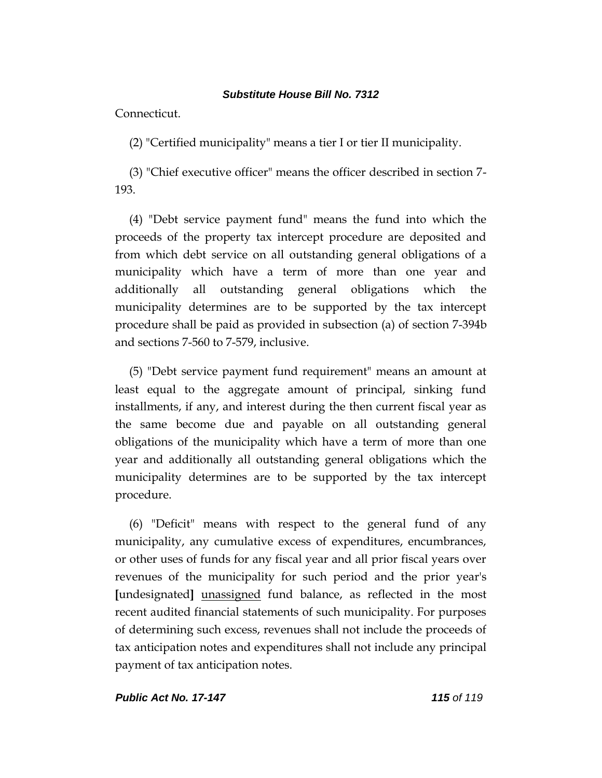Connecticut.

(2) "Certified municipality" means a tier I or tier II municipality.

(3) "Chief executive officer" means the officer described in section 7- 193.

(4) "Debt service payment fund" means the fund into which the proceeds of the property tax intercept procedure are deposited and from which debt service on all outstanding general obligations of a municipality which have a term of more than one year and additionally all outstanding general obligations which the municipality determines are to be supported by the tax intercept procedure shall be paid as provided in subsection (a) of section 7-394b and sections 7-560 to 7-579, inclusive.

(5) "Debt service payment fund requirement" means an amount at least equal to the aggregate amount of principal, sinking fund installments, if any, and interest during the then current fiscal year as the same become due and payable on all outstanding general obligations of the municipality which have a term of more than one year and additionally all outstanding general obligations which the municipality determines are to be supported by the tax intercept procedure.

(6) "Deficit" means with respect to the general fund of any municipality, any cumulative excess of expenditures, encumbrances, or other uses of funds for any fiscal year and all prior fiscal years over revenues of the municipality for such period and the prior year's **[**undesignated**]** unassigned fund balance, as reflected in the most recent audited financial statements of such municipality. For purposes of determining such excess, revenues shall not include the proceeds of tax anticipation notes and expenditures shall not include any principal payment of tax anticipation notes.

*Public Act No. 17-147 115 of 119*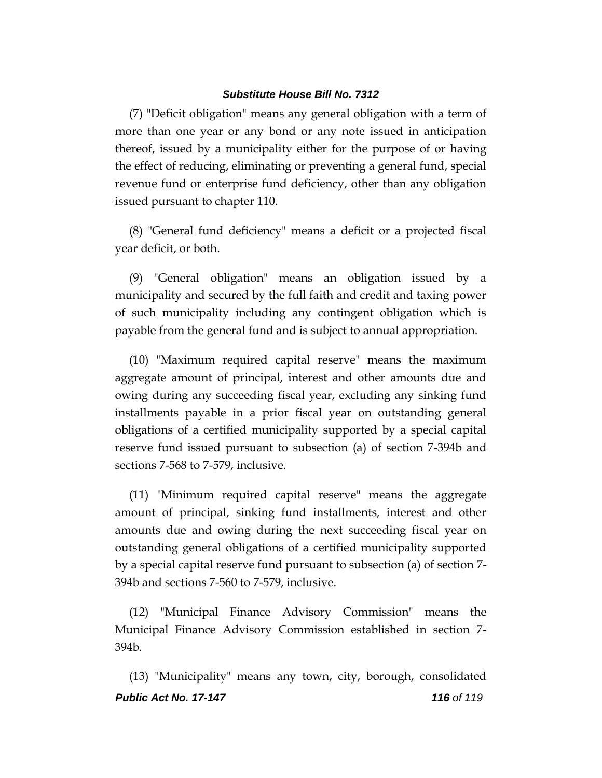(7) "Deficit obligation" means any general obligation with a term of more than one year or any bond or any note issued in anticipation thereof, issued by a municipality either for the purpose of or having the effect of reducing, eliminating or preventing a general fund, special revenue fund or enterprise fund deficiency, other than any obligation issued pursuant to chapter 110.

(8) "General fund deficiency" means a deficit or a projected fiscal year deficit, or both.

(9) "General obligation" means an obligation issued by a municipality and secured by the full faith and credit and taxing power of such municipality including any contingent obligation which is payable from the general fund and is subject to annual appropriation.

(10) "Maximum required capital reserve" means the maximum aggregate amount of principal, interest and other amounts due and owing during any succeeding fiscal year, excluding any sinking fund installments payable in a prior fiscal year on outstanding general obligations of a certified municipality supported by a special capital reserve fund issued pursuant to subsection (a) of section 7-394b and sections 7-568 to 7-579, inclusive.

(11) "Minimum required capital reserve" means the aggregate amount of principal, sinking fund installments, interest and other amounts due and owing during the next succeeding fiscal year on outstanding general obligations of a certified municipality supported by a special capital reserve fund pursuant to subsection (a) of section 7- 394b and sections 7-560 to 7-579, inclusive.

(12) "Municipal Finance Advisory Commission" means the Municipal Finance Advisory Commission established in section 7- 394b.

*Public Act No. 17-147 116 of 119* (13) "Municipality" means any town, city, borough, consolidated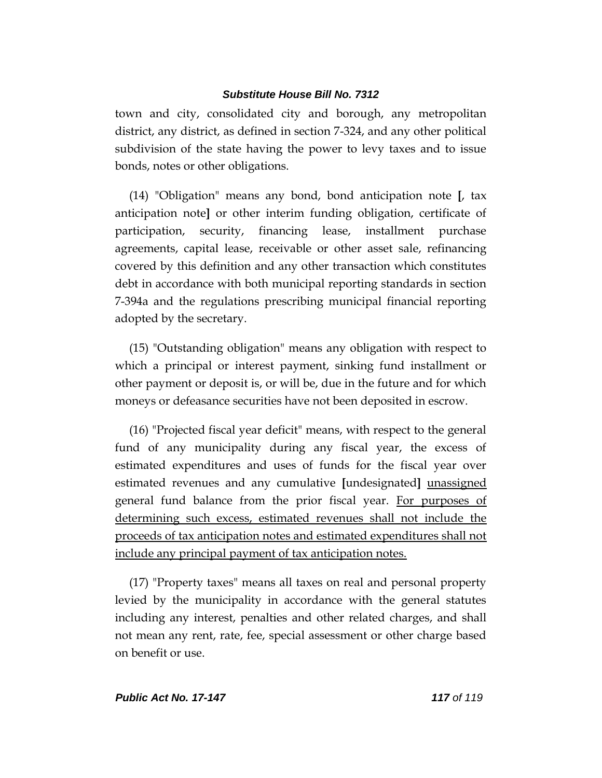town and city, consolidated city and borough, any metropolitan district, any district, as defined in section 7-324, and any other political subdivision of the state having the power to levy taxes and to issue bonds, notes or other obligations.

(14) "Obligation" means any bond, bond anticipation note **[**, tax anticipation note**]** or other interim funding obligation, certificate of participation, security, financing lease, installment purchase agreements, capital lease, receivable or other asset sale, refinancing covered by this definition and any other transaction which constitutes debt in accordance with both municipal reporting standards in section 7-394a and the regulations prescribing municipal financial reporting adopted by the secretary.

(15) "Outstanding obligation" means any obligation with respect to which a principal or interest payment, sinking fund installment or other payment or deposit is, or will be, due in the future and for which moneys or defeasance securities have not been deposited in escrow.

(16) "Projected fiscal year deficit" means, with respect to the general fund of any municipality during any fiscal year, the excess of estimated expenditures and uses of funds for the fiscal year over estimated revenues and any cumulative **[**undesignated**]** unassigned general fund balance from the prior fiscal year. For purposes of determining such excess, estimated revenues shall not include the proceeds of tax anticipation notes and estimated expenditures shall not include any principal payment of tax anticipation notes.

(17) "Property taxes" means all taxes on real and personal property levied by the municipality in accordance with the general statutes including any interest, penalties and other related charges, and shall not mean any rent, rate, fee, special assessment or other charge based on benefit or use.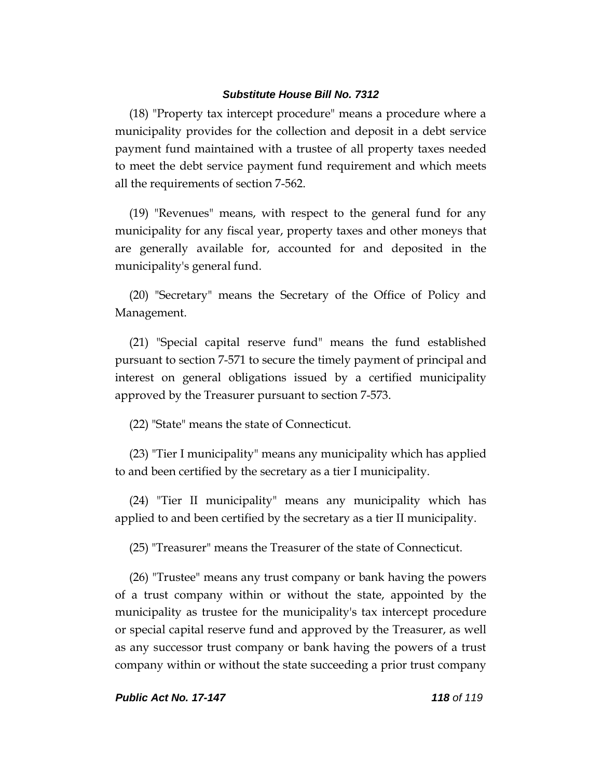(18) "Property tax intercept procedure" means a procedure where a municipality provides for the collection and deposit in a debt service payment fund maintained with a trustee of all property taxes needed to meet the debt service payment fund requirement and which meets all the requirements of section 7-562.

(19) "Revenues" means, with respect to the general fund for any municipality for any fiscal year, property taxes and other moneys that are generally available for, accounted for and deposited in the municipality's general fund.

(20) "Secretary" means the Secretary of the Office of Policy and Management.

(21) "Special capital reserve fund" means the fund established pursuant to section 7-571 to secure the timely payment of principal and interest on general obligations issued by a certified municipality approved by the Treasurer pursuant to section 7-573.

(22) "State" means the state of Connecticut.

(23) "Tier I municipality" means any municipality which has applied to and been certified by the secretary as a tier I municipality.

(24) "Tier II municipality" means any municipality which has applied to and been certified by the secretary as a tier II municipality.

(25) "Treasurer" means the Treasurer of the state of Connecticut.

(26) "Trustee" means any trust company or bank having the powers of a trust company within or without the state, appointed by the municipality as trustee for the municipality's tax intercept procedure or special capital reserve fund and approved by the Treasurer, as well as any successor trust company or bank having the powers of a trust company within or without the state succeeding a prior trust company